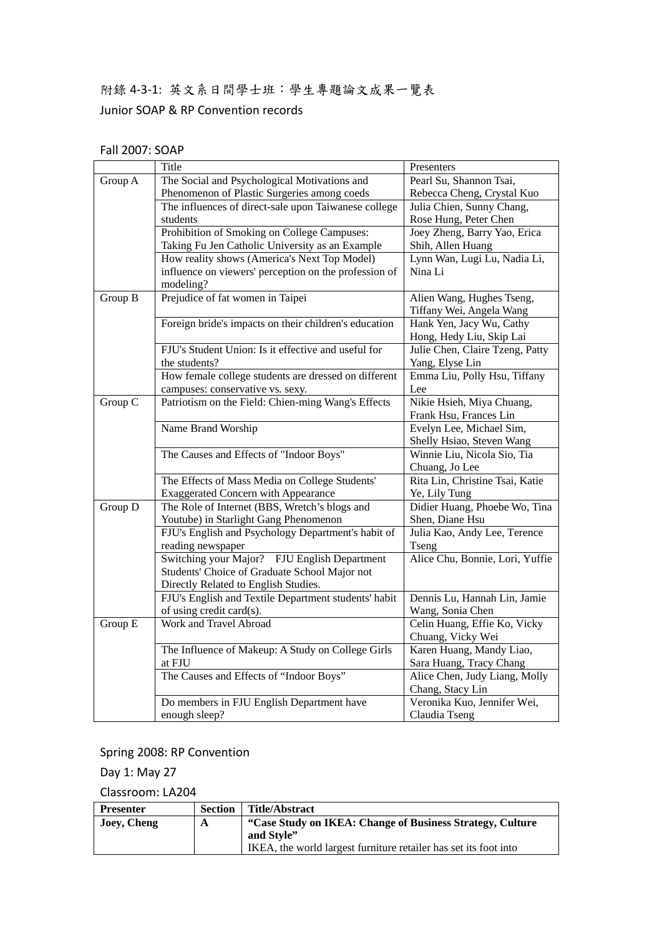# 附錄 4‐3‐1: 英文系日間學士班:學生專題論文成果一覽表 Junior SOAP & RP Convention records

|         | Title                                                              | Presenters                                      |
|---------|--------------------------------------------------------------------|-------------------------------------------------|
| Group A | The Social and Psychological Motivations and                       | Pearl Su, Shannon Tsai,                         |
|         | Phenomenon of Plastic Surgeries among coeds                        | Rebecca Cheng, Crystal Kuo                      |
|         | The influences of direct-sale upon Taiwanese college               | Julia Chien, Sunny Chang,                       |
|         | students                                                           | Rose Hung, Peter Chen                           |
|         | Prohibition of Smoking on College Campuses:                        | Joey Zheng, Barry Yao, Erica                    |
|         | Taking Fu Jen Catholic University as an Example                    | Shih, Allen Huang                               |
|         | How reality shows (America's Next Top Model)                       | Lynn Wan, Lugi Lu, Nadia Li,                    |
|         | influence on viewers' perception on the profession of<br>modeling? | Nina Li                                         |
| Group B | Prejudice of fat women in Taipei                                   | Alien Wang, Hughes Tseng,                       |
|         |                                                                    | Tiffany Wei, Angela Wang                        |
|         | Foreign bride's impacts on their children's education              | Hank Yen, Jacy Wu, Cathy                        |
|         |                                                                    | Hong, Hedy Liu, Skip Lai                        |
|         | FJU's Student Union: Is it effective and useful for                | Julie Chen, Claire Tzeng, Patty                 |
|         | the students?                                                      | Yang, Elyse Lin                                 |
|         | How female college students are dressed on different               | Emma Liu, Polly Hsu, Tiffany                    |
|         | campuses: conservative vs. sexy.                                   | Lee                                             |
| Group C | Patriotism on the Field: Chien-ming Wang's Effects                 | Nikie Hsieh, Miya Chuang,                       |
|         |                                                                    | Frank Hsu, Frances Lin                          |
|         | Name Brand Worship                                                 | Evelyn Lee, Michael Sim,                        |
|         |                                                                    | Shelly Hsiao, Steven Wang                       |
|         | The Causes and Effects of "Indoor Boys"                            | Winnie Liu, Nicola Sio, Tia                     |
|         |                                                                    | Chuang, Jo Lee                                  |
|         | The Effects of Mass Media on College Students'                     | Rita Lin, Christine Tsai, Katie                 |
|         | <b>Exaggerated Concern with Appearance</b>                         | Ye, Lily Tung                                   |
| Group D | The Role of Internet (BBS, Wretch's blogs and                      | Didier Huang, Phoebe Wo, Tina                   |
|         | Youtube) in Starlight Gang Phenomenon                              | Shen, Diane Hsu                                 |
|         | FJU's English and Psychology Department's habit of                 | Julia Kao, Andy Lee, Terence                    |
|         | reading newspaper                                                  | Tseng                                           |
|         | Switching your Major? FJU English Department                       | Alice Chu, Bonnie, Lori, Yuffie                 |
|         | Students' Choice of Graduate School Major not                      |                                                 |
|         | Directly Related to English Studies.                               |                                                 |
|         | FJU's English and Textile Department students' habit               | Dennis Lu, Hannah Lin, Jamie                    |
|         | of using credit card(s).                                           | Wang, Sonia Chen                                |
| Group E | Work and Travel Abroad                                             | Celin Huang, Effie Ko, Vicky                    |
|         |                                                                    | Chuang, Vicky Wei                               |
|         | The Influence of Makeup: A Study on College Girls                  | Karen Huang, Mandy Liao,                        |
|         | at FJU                                                             | Sara Huang, Tracy Chang                         |
|         | The Causes and Effects of "Indoor Boys"                            | Alice Chen, Judy Liang, Molly                   |
|         |                                                                    | Chang, Stacy Lin<br>Veronika Kuo, Jennifer Wei, |
|         | Do members in FJU English Department have                          |                                                 |
|         | enough sleep?                                                      | Claudia Tseng                                   |

## Spring 2008: RP Convention

Day 1: May 27

| <b>Presenter</b> | <b>Section</b> | <b>Title/Abstract</b>                                            |
|------------------|----------------|------------------------------------------------------------------|
| Joey, Cheng      | A              | "Case Study on IKEA: Change of Business Strategy, Culture        |
|                  |                | and Style"                                                       |
|                  |                | IKEA, the world largest furniture retailer has set its foot into |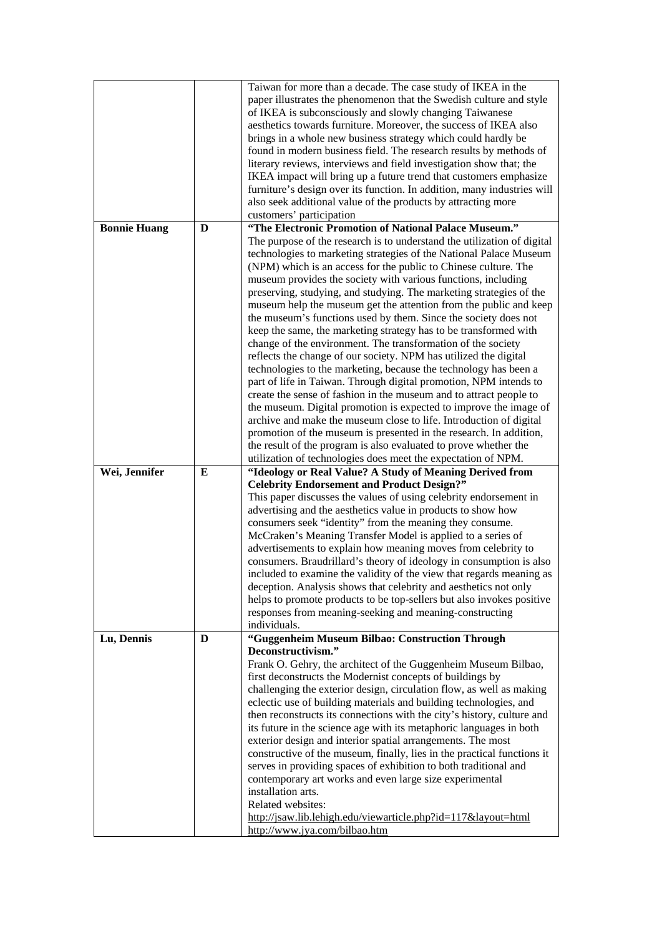|                     |   | Taiwan for more than a decade. The case study of IKEA in the<br>paper illustrates the phenomenon that the Swedish culture and style<br>of IKEA is subconsciously and slowly changing Taiwanese<br>aesthetics towards furniture. Moreover, the success of IKEA also<br>brings in a whole new business strategy which could hardly be<br>found in modern business field. The research results by methods of<br>literary reviews, interviews and field investigation show that; the<br>IKEA impact will bring up a future trend that customers emphasize<br>furniture's design over its function. In addition, many industries will<br>also seek additional value of the products by attracting more<br>customers' participation                                                                                                                                                                                                                                                                                                                                                                                                                                                                                                                                                                                                          |
|---------------------|---|----------------------------------------------------------------------------------------------------------------------------------------------------------------------------------------------------------------------------------------------------------------------------------------------------------------------------------------------------------------------------------------------------------------------------------------------------------------------------------------------------------------------------------------------------------------------------------------------------------------------------------------------------------------------------------------------------------------------------------------------------------------------------------------------------------------------------------------------------------------------------------------------------------------------------------------------------------------------------------------------------------------------------------------------------------------------------------------------------------------------------------------------------------------------------------------------------------------------------------------------------------------------------------------------------------------------------------------|
| <b>Bonnie Huang</b> | D | "The Electronic Promotion of National Palace Museum."<br>The purpose of the research is to understand the utilization of digital<br>technologies to marketing strategies of the National Palace Museum<br>(NPM) which is an access for the public to Chinese culture. The<br>museum provides the society with various functions, including<br>preserving, studying, and studying. The marketing strategies of the<br>museum help the museum get the attention from the public and keep<br>the museum's functions used by them. Since the society does not<br>keep the same, the marketing strategy has to be transformed with<br>change of the environment. The transformation of the society<br>reflects the change of our society. NPM has utilized the digital<br>technologies to the marketing, because the technology has been a<br>part of life in Taiwan. Through digital promotion, NPM intends to<br>create the sense of fashion in the museum and to attract people to<br>the museum. Digital promotion is expected to improve the image of<br>archive and make the museum close to life. Introduction of digital<br>promotion of the museum is presented in the research. In addition,<br>the result of the program is also evaluated to prove whether the<br>utilization of technologies does meet the expectation of NPM. |
| Wei, Jennifer       | E | "Ideology or Real Value? A Study of Meaning Derived from<br><b>Celebrity Endorsement and Product Design?"</b><br>This paper discusses the values of using celebrity endorsement in<br>advertising and the aesthetics value in products to show how<br>consumers seek "identity" from the meaning they consume.<br>McCraken's Meaning Transfer Model is applied to a series of<br>advertisements to explain how meaning moves from celebrity to<br>consumers. Braudrillard's theory of ideology in consumption is also<br>included to examine the validity of the view that regards meaning as<br>deception. Analysis shows that celebrity and aesthetics not only<br>helps to promote products to be top-sellers but also invokes positive<br>responses from meaning-seeking and meaning-constructing<br>individuals.                                                                                                                                                                                                                                                                                                                                                                                                                                                                                                                  |
| Lu, Dennis          | D | "Guggenheim Museum Bilbao: Construction Through<br>Deconstructivism."<br>Frank O. Gehry, the architect of the Guggenheim Museum Bilbao,<br>first deconstructs the Modernist concepts of buildings by<br>challenging the exterior design, circulation flow, as well as making<br>eclectic use of building materials and building technologies, and<br>then reconstructs its connections with the city's history, culture and<br>its future in the science age with its metaphoric languages in both<br>exterior design and interior spatial arrangements. The most<br>constructive of the museum, finally, lies in the practical functions it<br>serves in providing spaces of exhibition to both traditional and<br>contemporary art works and even large size experimental<br>installation arts.<br>Related websites:<br>http://jsaw.lib.lehigh.edu/viewarticle.php?id=117&layout=html<br>http://www.jya.com/bilbao.htm                                                                                                                                                                                                                                                                                                                                                                                                               |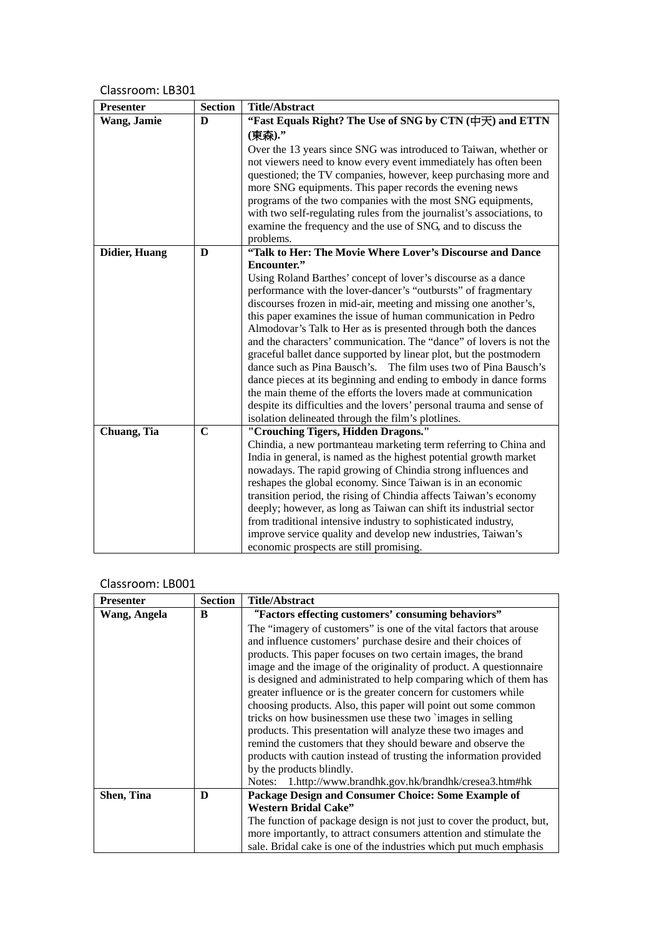| <b>Section</b> | <b>Title/Abstract</b>                                                                                                                |
|----------------|--------------------------------------------------------------------------------------------------------------------------------------|
| $\bf{D}$       | "Fast Equals Right? The Use of SNG by CTN (中天) and ETTN                                                                              |
|                | (東森)."                                                                                                                               |
|                | Over the 13 years since SNG was introduced to Taiwan, whether or                                                                     |
|                | not viewers need to know every event immediately has often been                                                                      |
|                | questioned; the TV companies, however, keep purchasing more and                                                                      |
|                | more SNG equipments. This paper records the evening news                                                                             |
|                | programs of the two companies with the most SNG equipments,                                                                          |
|                | with two self-regulating rules from the journalist's associations, to                                                                |
|                | examine the frequency and the use of SNG, and to discuss the                                                                         |
|                | problems.                                                                                                                            |
|                | "Talk to Her: The Movie Where Lover's Discourse and Dance<br>Encounter."                                                             |
|                | Using Roland Barthes' concept of lover's discourse as a dance                                                                        |
|                | performance with the lover-dancer's "outbursts" of fragmentary                                                                       |
|                | discourses frozen in mid-air, meeting and missing one another's,                                                                     |
|                | this paper examines the issue of human communication in Pedro                                                                        |
|                | Almodovar's Talk to Her as is presented through both the dances                                                                      |
|                | and the characters' communication. The "dance" of lovers is not the                                                                  |
|                | graceful ballet dance supported by linear plot, but the postmodern                                                                   |
|                | dance such as Pina Bausch's.<br>The film uses two of Pina Bausch's                                                                   |
|                | dance pieces at its beginning and ending to embody in dance forms                                                                    |
|                | the main theme of the efforts the lovers made at communication                                                                       |
|                | despite its difficulties and the lovers' personal trauma and sense of                                                                |
|                | isolation delineated through the film's plotlines.                                                                                   |
|                | "Crouching Tigers, Hidden Dragons."                                                                                                  |
|                | Chindia, a new portmanteau marketing term referring to China and                                                                     |
|                | India in general, is named as the highest potential growth market                                                                    |
|                | nowadays. The rapid growing of Chindia strong influences and                                                                         |
|                | reshapes the global economy. Since Taiwan is in an economic                                                                          |
|                | transition period, the rising of Chindia affects Taiwan's economy                                                                    |
|                | deeply; however, as long as Taiwan can shift its industrial sector<br>from traditional intensive industry to sophisticated industry, |
|                | improve service quality and develop new industries, Taiwan's                                                                         |
|                | economic prospects are still promising.                                                                                              |
|                | D<br>$\mathbf C$                                                                                                                     |

| <b>Presenter</b> | <b>Section</b> | <b>Title/Abstract</b>                                                 |
|------------------|----------------|-----------------------------------------------------------------------|
| Wang, Angela     | B              | "Factors effecting customers' consuming behaviors"                    |
|                  |                | The "imagery of customers" is one of the vital factors that arouse    |
|                  |                | and influence customers' purchase desire and their choices of         |
|                  |                | products. This paper focuses on two certain images, the brand         |
|                  |                | image and the image of the originality of product. A questionnaire    |
|                  |                | is designed and administrated to help comparing which of them has     |
|                  |                | greater influence or is the greater concern for customers while       |
|                  |                | choosing products. Also, this paper will point out some common        |
|                  |                | tricks on how businessmen use these two 'images in selling            |
|                  |                | products. This presentation will analyze these two images and         |
|                  |                | remind the customers that they should beware and observe the          |
|                  |                | products with caution instead of trusting the information provided    |
|                  |                | by the products blindly.                                              |
|                  |                | Notes: 1.http://www.brandhk.gov.hk/brandhk/cresea3.htm#hk             |
| Shen, Tina       | D              | Package Design and Consumer Choice: Some Example of                   |
|                  |                | <b>Western Bridal Cake"</b>                                           |
|                  |                | The function of package design is not just to cover the product, but, |
|                  |                | more importantly, to attract consumers attention and stimulate the    |
|                  |                | sale. Bridal cake is one of the industries which put much emphasis    |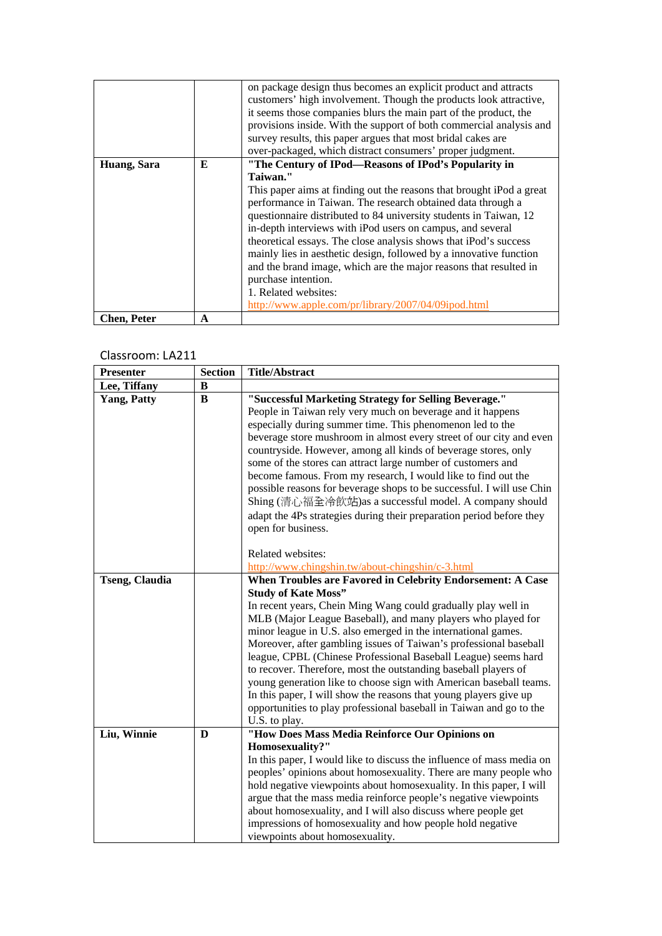|                    |   | on package design thus becomes an explicit product and attracts<br>customers' high involvement. Though the products look attractive,<br>it seems those companies blurs the main part of the product, the<br>provisions inside. With the support of both commercial analysis and<br>survey results, this paper argues that most bridal cakes are<br>over-packaged, which distract consumers' proper judgment. |
|--------------------|---|--------------------------------------------------------------------------------------------------------------------------------------------------------------------------------------------------------------------------------------------------------------------------------------------------------------------------------------------------------------------------------------------------------------|
| Huang, Sara        | E | "The Century of IPod—Reasons of IPod's Popularity in                                                                                                                                                                                                                                                                                                                                                         |
|                    |   | Taiwan."                                                                                                                                                                                                                                                                                                                                                                                                     |
|                    |   | This paper aims at finding out the reasons that brought iPod a great                                                                                                                                                                                                                                                                                                                                         |
|                    |   | performance in Taiwan. The research obtained data through a                                                                                                                                                                                                                                                                                                                                                  |
|                    |   | questionnaire distributed to 84 university students in Taiwan, 12                                                                                                                                                                                                                                                                                                                                            |
|                    |   | in-depth interviews with iPod users on campus, and several                                                                                                                                                                                                                                                                                                                                                   |
|                    |   | theoretical essays. The close analysis shows that iPod's success                                                                                                                                                                                                                                                                                                                                             |
|                    |   | mainly lies in aesthetic design, followed by a innovative function                                                                                                                                                                                                                                                                                                                                           |
|                    |   | and the brand image, which are the major reasons that resulted in                                                                                                                                                                                                                                                                                                                                            |
|                    |   | purchase intention.                                                                                                                                                                                                                                                                                                                                                                                          |
|                    |   | 1. Related websites:                                                                                                                                                                                                                                                                                                                                                                                         |
|                    |   | http://www.apple.com/pr/library/2007/04/09ipod.html                                                                                                                                                                                                                                                                                                                                                          |
| <b>Chen, Peter</b> | A |                                                                                                                                                                                                                                                                                                                                                                                                              |

| <b>Presenter</b>      | <b>Section</b> | <b>Title/Abstract</b>                                                 |
|-----------------------|----------------|-----------------------------------------------------------------------|
| Lee, Tiffany          | B              |                                                                       |
| <b>Yang, Patty</b>    | B              | "Successful Marketing Strategy for Selling Beverage."                 |
|                       |                | People in Taiwan rely very much on beverage and it happens            |
|                       |                | especially during summer time. This phenomenon led to the             |
|                       |                | beverage store mushroom in almost every street of our city and even   |
|                       |                | countryside. However, among all kinds of beverage stores, only        |
|                       |                | some of the stores can attract large number of customers and          |
|                       |                | become famous. From my research, I would like to find out the         |
|                       |                | possible reasons for beverage shops to be successful. I will use Chin |
|                       |                | Shing (清心福全冷飲站)as a successful model. A company should                |
|                       |                | adapt the 4Ps strategies during their preparation period before they  |
|                       |                | open for business.                                                    |
|                       |                | Related websites:                                                     |
|                       |                | http://www.chingshin.tw/about-chingshin/c-3.html                      |
| <b>Tseng, Claudia</b> |                | When Troubles are Favored in Celebrity Endorsement: A Case            |
|                       |                | <b>Study of Kate Moss"</b>                                            |
|                       |                | In recent years, Chein Ming Wang could gradually play well in         |
|                       |                | MLB (Major League Baseball), and many players who played for          |
|                       |                | minor league in U.S. also emerged in the international games.         |
|                       |                | Moreover, after gambling issues of Taiwan's professional baseball     |
|                       |                | league, CPBL (Chinese Professional Baseball League) seems hard        |
|                       |                | to recover. Therefore, most the outstanding baseball players of       |
|                       |                | young generation like to choose sign with American baseball teams.    |
|                       |                | In this paper, I will show the reasons that young players give up     |
|                       |                | opportunities to play professional baseball in Taiwan and go to the   |
| Liu, Winnie           | D              | U.S. to play.<br>"How Does Mass Media Reinforce Our Opinions on       |
|                       |                | Homosexuality?"                                                       |
|                       |                | In this paper, I would like to discuss the influence of mass media on |
|                       |                | peoples' opinions about homosexuality. There are many people who      |
|                       |                | hold negative viewpoints about homosexuality. In this paper, I will   |
|                       |                | argue that the mass media reinforce people's negative viewpoints      |
|                       |                | about homosexuality, and I will also discuss where people get         |
|                       |                | impressions of homosexuality and how people hold negative             |
|                       |                | viewpoints about homosexuality.                                       |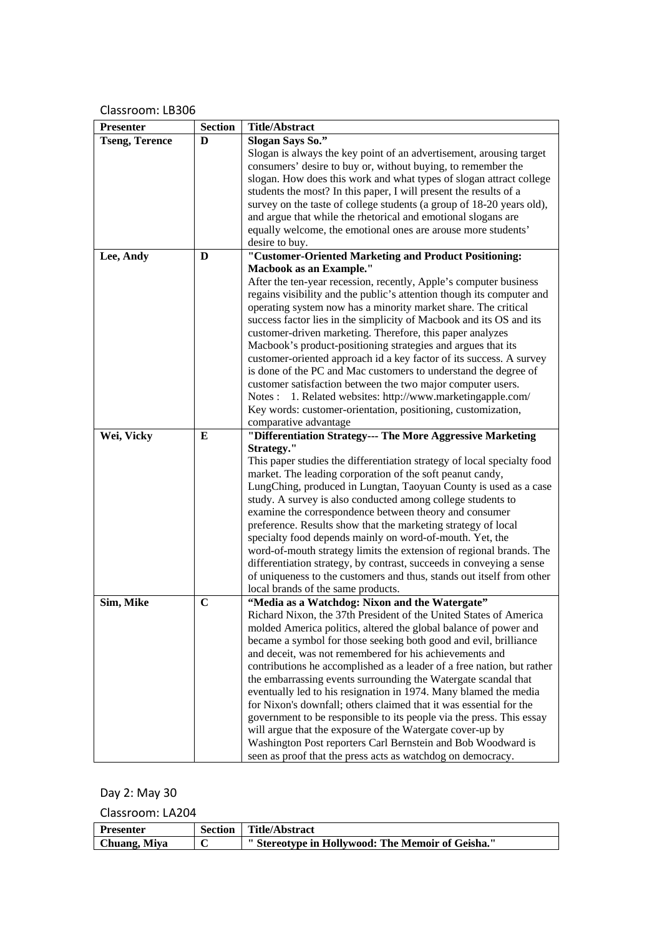| Presenter             | <b>Section</b> | <b>Title/Abstract</b>                                                                 |
|-----------------------|----------------|---------------------------------------------------------------------------------------|
| <b>Tseng, Terence</b> | D              | Slogan Says So."                                                                      |
|                       |                | Slogan is always the key point of an advertisement, arousing target                   |
|                       |                | consumers' desire to buy or, without buying, to remember the                          |
|                       |                | slogan. How does this work and what types of slogan attract college                   |
|                       |                | students the most? In this paper, I will present the results of a                     |
|                       |                | survey on the taste of college students (a group of 18-20 years old),                 |
|                       |                | and argue that while the rhetorical and emotional slogans are                         |
|                       |                | equally welcome, the emotional ones are arouse more students'                         |
|                       | D              | desire to buy.<br>"Customer-Oriented Marketing and Product Positioning:               |
| Lee, Andy             |                | <b>Macbook as an Example."</b>                                                        |
|                       |                | After the ten-year recession, recently, Apple's computer business                     |
|                       |                | regains visibility and the public's attention though its computer and                 |
|                       |                | operating system now has a minority market share. The critical                        |
|                       |                | success factor lies in the simplicity of Macbook and its OS and its                   |
|                       |                | customer-driven marketing. Therefore, this paper analyzes                             |
|                       |                | Macbook's product-positioning strategies and argues that its                          |
|                       |                | customer-oriented approach id a key factor of its success. A survey                   |
|                       |                | is done of the PC and Mac customers to understand the degree of                       |
|                       |                | customer satisfaction between the two major computer users.                           |
|                       |                | Notes: 1. Related websites: http://www.marketingapple.com/                            |
|                       |                | Key words: customer-orientation, positioning, customization,<br>comparative advantage |
| Wei, Vicky            | E              | "Differentiation Strategy--- The More Aggressive Marketing                            |
|                       |                | Strategy."                                                                            |
|                       |                | This paper studies the differentiation strategy of local specialty food               |
|                       |                | market. The leading corporation of the soft peanut candy,                             |
|                       |                | LungChing, produced in Lungtan, Taoyuan County is used as a case                      |
|                       |                | study. A survey is also conducted among college students to                           |
|                       |                | examine the correspondence between theory and consumer                                |
|                       |                | preference. Results show that the marketing strategy of local                         |
|                       |                | specialty food depends mainly on word-of-mouth. Yet, the                              |
|                       |                | word-of-mouth strategy limits the extension of regional brands. The                   |
|                       |                | differentiation strategy, by contrast, succeeds in conveying a sense                  |
|                       |                | of uniqueness to the customers and thus, stands out itself from other                 |
| Sim, Mike             | $\mathbf C$    | local brands of the same products.<br>"Media as a Watchdog: Nixon and the Watergate"  |
|                       |                | Richard Nixon, the 37th President of the United States of America                     |
|                       |                | molded America politics, altered the global balance of power and                      |
|                       |                | became a symbol for those seeking both good and evil, brilliance                      |
|                       |                | and deceit, was not remembered for his achievements and                               |
|                       |                | contributions he accomplished as a leader of a free nation, but rather                |
|                       |                | the embarrassing events surrounding the Watergate scandal that                        |
|                       |                | eventually led to his resignation in 1974. Many blamed the media                      |
|                       |                | for Nixon's downfall; others claimed that it was essential for the                    |
|                       |                | government to be responsible to its people via the press. This essay                  |
|                       |                | will argue that the exposure of the Watergate cover-up by                             |
|                       |                | Washington Post reporters Carl Bernstein and Bob Woodward is                          |
|                       |                | seen as proof that the press acts as watchdog on democracy.                           |

Day 2: May 30

| <b>Presenter</b> | <b>Section</b> | Title/Abstract                                   |
|------------------|----------------|--------------------------------------------------|
| Chuang, Miya     |                | "Stereotype in Hollywood: The Memoir of Geisha." |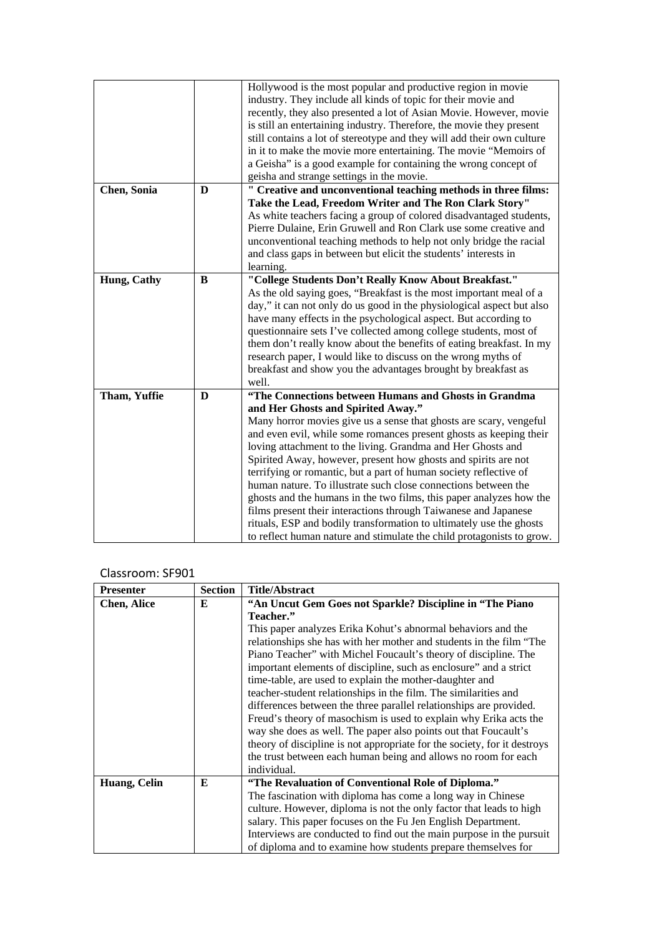|              |   | Hollywood is the most popular and productive region in movie           |
|--------------|---|------------------------------------------------------------------------|
|              |   | industry. They include all kinds of topic for their movie and          |
|              |   | recently, they also presented a lot of Asian Movie. However, movie     |
|              |   | is still an entertaining industry. Therefore, the movie they present   |
|              |   | still contains a lot of stereotype and they will add their own culture |
|              |   | in it to make the movie more entertaining. The movie "Memoirs of       |
|              |   | a Geisha" is a good example for containing the wrong concept of        |
|              |   | geisha and strange settings in the movie.                              |
| Chen, Sonia  | D | " Creative and unconventional teaching methods in three films:         |
|              |   | Take the Lead, Freedom Writer and The Ron Clark Story"                 |
|              |   | As white teachers facing a group of colored disadvantaged students,    |
|              |   | Pierre Dulaine, Erin Gruwell and Ron Clark use some creative and       |
|              |   | unconventional teaching methods to help not only bridge the racial     |
|              |   | and class gaps in between but elicit the students' interests in        |
|              |   | learning.                                                              |
| Hung, Cathy  | B | "College Students Don't Really Know About Breakfast."                  |
|              |   | As the old saying goes, "Breakfast is the most important meal of a     |
|              |   | day," it can not only do us good in the physiological aspect but also  |
|              |   | have many effects in the psychological aspect. But according to        |
|              |   | questionnaire sets I've collected among college students, most of      |
|              |   | them don't really know about the benefits of eating breakfast. In my   |
|              |   | research paper, I would like to discuss on the wrong myths of          |
|              |   | breakfast and show you the advantages brought by breakfast as          |
|              |   | well.                                                                  |
| Tham, Yuffie | D | "The Connections between Humans and Ghosts in Grandma                  |
|              |   | and Her Ghosts and Spirited Away."                                     |
|              |   | Many horror movies give us a sense that ghosts are scary, vengeful     |
|              |   | and even evil, while some romances present ghosts as keeping their     |
|              |   | loving attachment to the living. Grandma and Her Ghosts and            |
|              |   | Spirited Away, however, present how ghosts and spirits are not         |
|              |   | terrifying or romantic, but a part of human society reflective of      |
|              |   | human nature. To illustrate such close connections between the         |
|              |   | ghosts and the humans in the two films, this paper analyzes how the    |
|              |   | films present their interactions through Taiwanese and Japanese        |
|              |   | rituals, ESP and bodily transformation to ultimately use the ghosts    |
|              |   | to reflect human nature and stimulate the child protagonists to grow.  |

## Classroom: SF901

| <b>Presenter</b>   | <b>Section</b> | <b>Title/Abstract</b>                                                    |
|--------------------|----------------|--------------------------------------------------------------------------|
| <b>Chen, Alice</b> | E              | "An Uncut Gem Goes not Sparkle? Discipline in "The Piano                 |
|                    |                | Teacher."                                                                |
|                    |                | This paper analyzes Erika Kohut's abnormal behaviors and the             |
|                    |                | relationships she has with her mother and students in the film "The      |
|                    |                | Piano Teacher" with Michel Foucault's theory of discipline. The          |
|                    |                | important elements of discipline, such as enclosure" and a strict        |
|                    |                | time-table, are used to explain the mother-daughter and                  |
|                    |                | teacher-student relationships in the film. The similarities and          |
|                    |                | differences between the three parallel relationships are provided.       |
|                    |                | Freud's theory of masochism is used to explain why Erika acts the        |
|                    |                | way she does as well. The paper also points out that Foucault's          |
|                    |                | theory of discipline is not appropriate for the society, for it destroys |
|                    |                | the trust between each human being and allows no room for each           |
|                    |                | individual.                                                              |
| Huang, Celin       | E              | "The Revaluation of Conventional Role of Diploma."                       |
|                    |                | The fascination with diploma has come a long way in Chinese              |
|                    |                | culture. However, diploma is not the only factor that leads to high      |
|                    |                | salary. This paper focuses on the Fu Jen English Department.             |
|                    |                | Interviews are conducted to find out the main purpose in the pursuit     |
|                    |                | of diploma and to examine how students prepare themselves for            |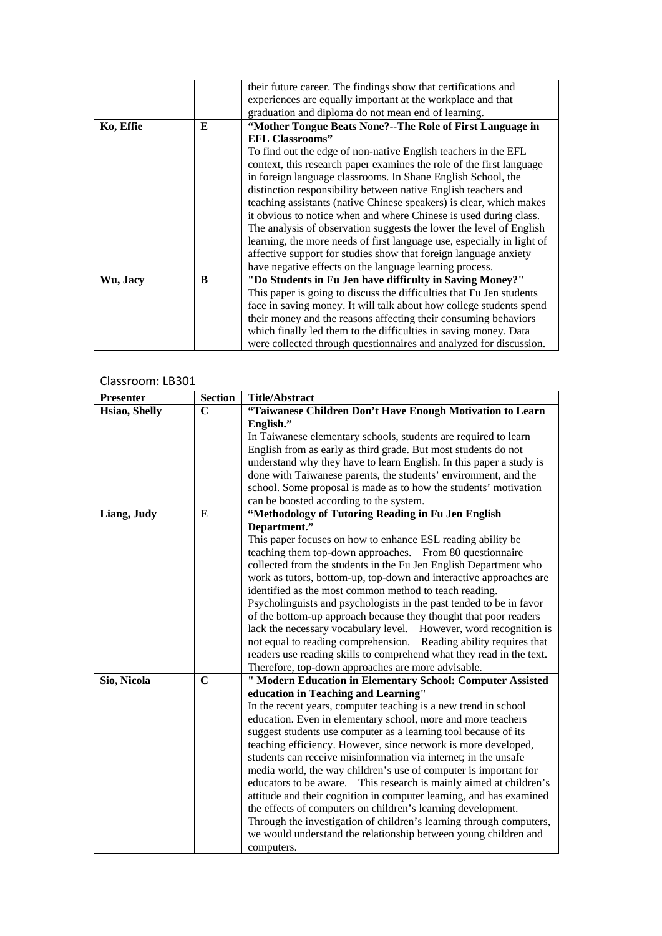|           |   | their future career. The findings show that certifications and         |
|-----------|---|------------------------------------------------------------------------|
|           |   | experiences are equally important at the workplace and that            |
|           |   | graduation and diploma do not mean end of learning.                    |
| Ko, Effie | E | "Mother Tongue Beats None?--The Role of First Language in              |
|           |   | <b>EFL Classrooms"</b>                                                 |
|           |   | To find out the edge of non-native English teachers in the EFL         |
|           |   | context, this research paper examines the role of the first language   |
|           |   | in foreign language classrooms. In Shane English School, the           |
|           |   | distinction responsibility between native English teachers and         |
|           |   | teaching assistants (native Chinese speakers) is clear, which makes    |
|           |   | it obvious to notice when and where Chinese is used during class.      |
|           |   | The analysis of observation suggests the lower the level of English    |
|           |   | learning, the more needs of first language use, especially in light of |
|           |   | affective support for studies show that foreign language anxiety       |
|           |   | have negative effects on the language learning process.                |
| Wu, Jacy  | B | "Do Students in Fu Jen have difficulty in Saving Money?"               |
|           |   | This paper is going to discuss the difficulties that Fu Jen students   |
|           |   | face in saving money. It will talk about how college students spend    |
|           |   | their money and the reasons affecting their consuming behaviors        |
|           |   | which finally led them to the difficulties in saving money. Data       |
|           |   | were collected through questionnaires and analyzed for discussion.     |

| <b>Presenter</b> | <b>Section</b> | <b>Title/Abstract</b>                                                |
|------------------|----------------|----------------------------------------------------------------------|
| Hsiao, Shelly    | $\mathbf C$    | "Taiwanese Children Don't Have Enough Motivation to Learn            |
|                  |                | English."                                                            |
|                  |                | In Taiwanese elementary schools, students are required to learn      |
|                  |                | English from as early as third grade. But most students do not       |
|                  |                | understand why they have to learn English. In this paper a study is  |
|                  |                | done with Taiwanese parents, the students' environment, and the      |
|                  |                | school. Some proposal is made as to how the students' motivation     |
|                  |                | can be boosted according to the system.                              |
| Liang, Judy      | E              | "Methodology of Tutoring Reading in Fu Jen English                   |
|                  |                | Department."                                                         |
|                  |                | This paper focuses on how to enhance ESL reading ability be          |
|                  |                | teaching them top-down approaches. From 80 questionnaire             |
|                  |                | collected from the students in the Fu Jen English Department who     |
|                  |                | work as tutors, bottom-up, top-down and interactive approaches are   |
|                  |                | identified as the most common method to teach reading.               |
|                  |                | Psycholinguists and psychologists in the past tended to be in favor  |
|                  |                | of the bottom-up approach because they thought that poor readers     |
|                  |                | lack the necessary vocabulary level. However, word recognition is    |
|                  |                | not equal to reading comprehension. Reading ability requires that    |
|                  |                | readers use reading skills to comprehend what they read in the text. |
|                  |                | Therefore, top-down approaches are more advisable.                   |
| Sio, Nicola      | $\mathbf C$    | " Modern Education in Elementary School: Computer Assisted           |
|                  |                | education in Teaching and Learning"                                  |
|                  |                | In the recent years, computer teaching is a new trend in school      |
|                  |                | education. Even in elementary school, more and more teachers         |
|                  |                | suggest students use computer as a learning tool because of its      |
|                  |                | teaching efficiency. However, since network is more developed,       |
|                  |                | students can receive misinformation via internet; in the unsafe      |
|                  |                | media world, the way children's use of computer is important for     |
|                  |                | educators to be aware. This research is mainly aimed at children's   |
|                  |                | attitude and their cognition in computer learning, and has examined  |
|                  |                | the effects of computers on children's learning development.         |
|                  |                | Through the investigation of children's learning through computers,  |
|                  |                | we would understand the relationship between young children and      |
|                  |                | computers.                                                           |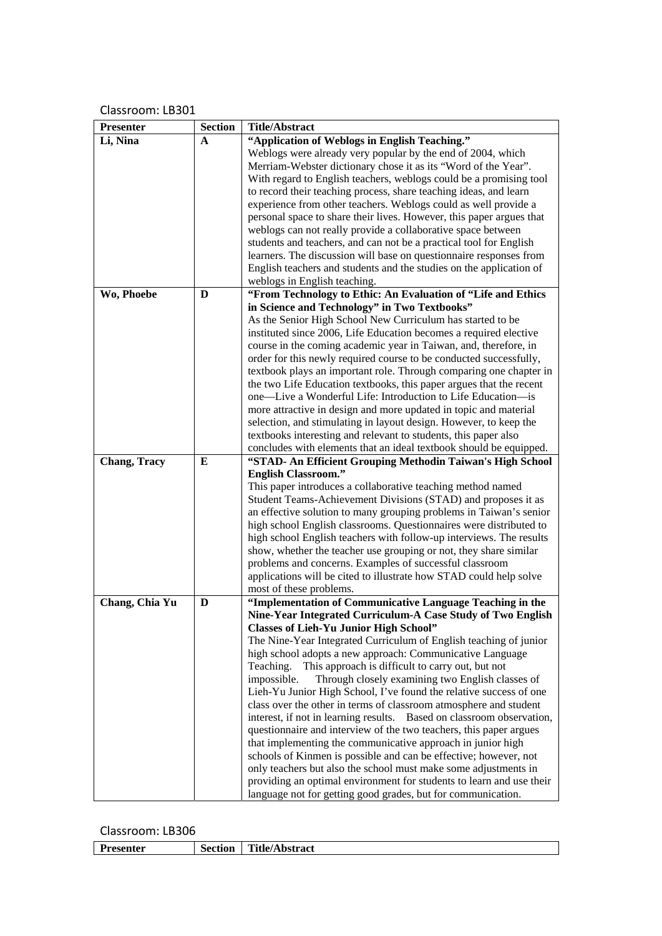| <b>Presenter</b>    | <b>Section</b> | <b>Title/Abstract</b>                                                                                                                |
|---------------------|----------------|--------------------------------------------------------------------------------------------------------------------------------------|
| Li, Nina            | A              | "Application of Weblogs in English Teaching."                                                                                        |
|                     |                | Weblogs were already very popular by the end of 2004, which                                                                          |
|                     |                | Merriam-Webster dictionary chose it as its "Word of the Year".                                                                       |
|                     |                | With regard to English teachers, weblogs could be a promising tool                                                                   |
|                     |                | to record their teaching process, share teaching ideas, and learn                                                                    |
|                     |                | experience from other teachers. Weblogs could as well provide a                                                                      |
|                     |                | personal space to share their lives. However, this paper argues that                                                                 |
|                     |                | weblogs can not really provide a collaborative space between                                                                         |
|                     |                | students and teachers, and can not be a practical tool for English                                                                   |
|                     |                | learners. The discussion will base on questionnaire responses from                                                                   |
|                     |                | English teachers and students and the studies on the application of                                                                  |
|                     |                | weblogs in English teaching.                                                                                                         |
| Wo, Phoebe          | D              | "From Technology to Ethic: An Evaluation of "Life and Ethics                                                                         |
|                     |                | in Science and Technology" in Two Textbooks"                                                                                         |
|                     |                | As the Senior High School New Curriculum has started to be                                                                           |
|                     |                | instituted since 2006, Life Education becomes a required elective                                                                    |
|                     |                | course in the coming academic year in Taiwan, and, therefore, in                                                                     |
|                     |                | order for this newly required course to be conducted successfully,                                                                   |
|                     |                | textbook plays an important role. Through comparing one chapter in                                                                   |
|                     |                | the two Life Education textbooks, this paper argues that the recent                                                                  |
|                     |                | one—Live a Wonderful Life: Introduction to Life Education—is                                                                         |
|                     |                | more attractive in design and more updated in topic and material                                                                     |
|                     |                | selection, and stimulating in layout design. However, to keep the<br>textbooks interesting and relevant to students, this paper also |
|                     |                | concludes with elements that an ideal textbook should be equipped.                                                                   |
| <b>Chang, Tracy</b> | E              | "STAD- An Efficient Grouping Methodin Taiwan's High School                                                                           |
|                     |                | <b>English Classroom."</b>                                                                                                           |
|                     |                | This paper introduces a collaborative teaching method named                                                                          |
|                     |                | Student Teams-Achievement Divisions (STAD) and proposes it as                                                                        |
|                     |                | an effective solution to many grouping problems in Taiwan's senior                                                                   |
|                     |                | high school English classrooms. Questionnaires were distributed to                                                                   |
|                     |                | high school English teachers with follow-up interviews. The results                                                                  |
|                     |                | show, whether the teacher use grouping or not, they share similar                                                                    |
|                     |                | problems and concerns. Examples of successful classroom                                                                              |
|                     |                | applications will be cited to illustrate how STAD could help solve                                                                   |
|                     |                | most of these problems.                                                                                                              |
| Chang, Chia Yu      | D              | "Implementation of Communicative Language Teaching in the                                                                            |
|                     |                | Nine-Year Integrated Curriculum-A Case Study of Two English                                                                          |
|                     |                | <b>Classes of Lieh-Yu Junior High School"</b>                                                                                        |
|                     |                | The Nine-Year Integrated Curriculum of English teaching of junior                                                                    |
|                     |                | high school adopts a new approach: Communicative Language                                                                            |
|                     |                | Teaching.<br>This approach is difficult to carry out, but not                                                                        |
|                     |                | impossible.<br>Through closely examining two English classes of                                                                      |
|                     |                | Lieh-Yu Junior High School, I've found the relative success of one                                                                   |
|                     |                | class over the other in terms of classroom atmosphere and student                                                                    |
|                     |                | interest, if not in learning results. Based on classroom observation,                                                                |
|                     |                | questionnaire and interview of the two teachers, this paper argues<br>that implementing the communicative approach in junior high    |
|                     |                | schools of Kinmen is possible and can be effective; however, not                                                                     |
|                     |                | only teachers but also the school must make some adjustments in                                                                      |
|                     |                | providing an optimal environment for students to learn and use their                                                                 |
|                     |                | language not for getting good grades, but for communication.                                                                         |

| D.<br>esenter | section | <br>f itle/Abstract |
|---------------|---------|---------------------|
|               |         |                     |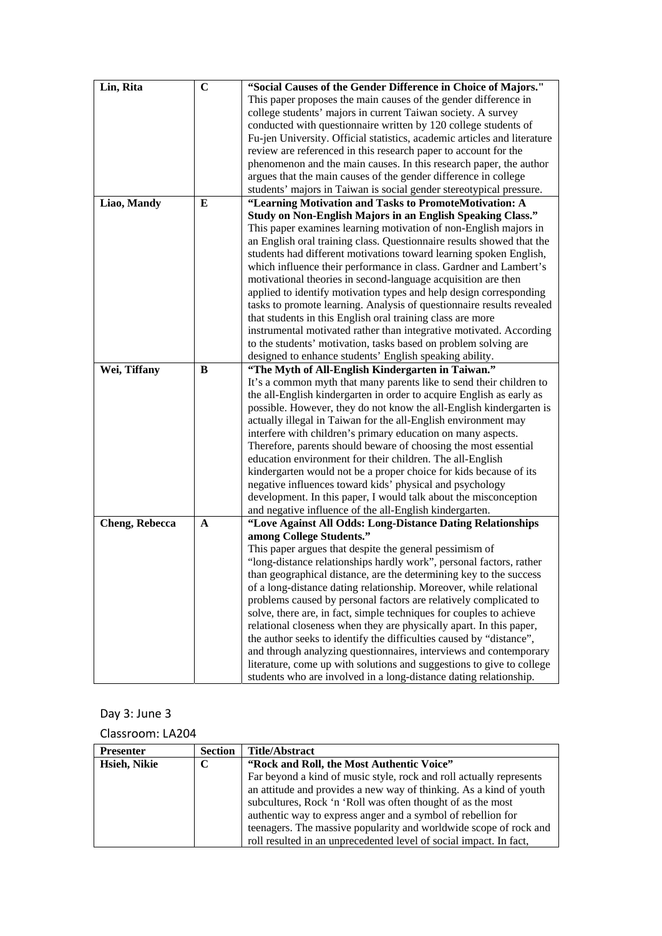| Lin, Rita             | $\mathbf C$ | "Social Causes of the Gender Difference in Choice of Majors."            |
|-----------------------|-------------|--------------------------------------------------------------------------|
|                       |             | This paper proposes the main causes of the gender difference in          |
|                       |             | college students' majors in current Taiwan society. A survey             |
|                       |             | conducted with questionnaire written by 120 college students of          |
|                       |             | Fu-jen University. Official statistics, academic articles and literature |
|                       |             | review are referenced in this research paper to account for the          |
|                       |             | phenomenon and the main causes. In this research paper, the author       |
|                       |             | argues that the main causes of the gender difference in college          |
|                       |             | students' majors in Taiwan is social gender stereotypical pressure.      |
| Liao, Mandy           | E           | "Learning Motivation and Tasks to PromoteMotivation: A                   |
|                       |             | Study on Non-English Majors in an English Speaking Class."               |
|                       |             | This paper examines learning motivation of non-English majors in         |
|                       |             | an English oral training class. Questionnaire results showed that the    |
|                       |             |                                                                          |
|                       |             | students had different motivations toward learning spoken English,       |
|                       |             | which influence their performance in class. Gardner and Lambert's        |
|                       |             | motivational theories in second-language acquisition are then            |
|                       |             | applied to identify motivation types and help design corresponding       |
|                       |             | tasks to promote learning. Analysis of questionnaire results revealed    |
|                       |             | that students in this English oral training class are more               |
|                       |             | instrumental motivated rather than integrative motivated. According      |
|                       |             | to the students' motivation, tasks based on problem solving are          |
|                       |             | designed to enhance students' English speaking ability.                  |
| Wei, Tiffany          | B           | "The Myth of All-English Kindergarten in Taiwan."                        |
|                       |             | It's a common myth that many parents like to send their children to      |
|                       |             | the all-English kindergarten in order to acquire English as early as     |
|                       |             | possible. However, they do not know the all-English kindergarten is      |
|                       |             | actually illegal in Taiwan for the all-English environment may           |
|                       |             | interfere with children's primary education on many aspects.             |
|                       |             | Therefore, parents should beware of choosing the most essential          |
|                       |             | education environment for their children. The all-English                |
|                       |             | kindergarten would not be a proper choice for kids because of its        |
|                       |             | negative influences toward kids' physical and psychology                 |
|                       |             | development. In this paper, I would talk about the misconception         |
|                       |             | and negative influence of the all-English kindergarten.                  |
| <b>Cheng, Rebecca</b> | A           | "Love Against All Odds: Long-Distance Dating Relationships               |
|                       |             | among College Students."                                                 |
|                       |             | This paper argues that despite the general pessimism of                  |
|                       |             | "long-distance relationships hardly work", personal factors, rather      |
|                       |             | than geographical distance, are the determining key to the success       |
|                       |             |                                                                          |
|                       |             | of a long-distance dating relationship. Moreover, while relational       |
|                       |             | problems caused by personal factors are relatively complicated to        |
|                       |             | solve, there are, in fact, simple techniques for couples to achieve      |
|                       |             | relational closeness when they are physically apart. In this paper,      |
|                       |             | the author seeks to identify the difficulties caused by "distance",      |
|                       |             | and through analyzing questionnaires, interviews and contemporary        |
|                       |             | literature, come up with solutions and suggestions to give to college    |
|                       |             | students who are involved in a long-distance dating relationship.        |

## Day 3: June 3

| <b>Presenter</b> | <b>Section</b> | <b>Title/Abstract</b>                                               |
|------------------|----------------|---------------------------------------------------------------------|
| Hsieh, Nikie     | C              | "Rock and Roll, the Most Authentic Voice"                           |
|                  |                | Far beyond a kind of music style, rock and roll actually represents |
|                  |                | an attitude and provides a new way of thinking. As a kind of youth  |
|                  |                | subcultures, Rock 'n 'Roll was often thought of as the most         |
|                  |                | authentic way to express anger and a symbol of rebellion for        |
|                  |                | teenagers. The massive popularity and worldwide scope of rock and   |
|                  |                | roll resulted in an unprecedented level of social impact. In fact,  |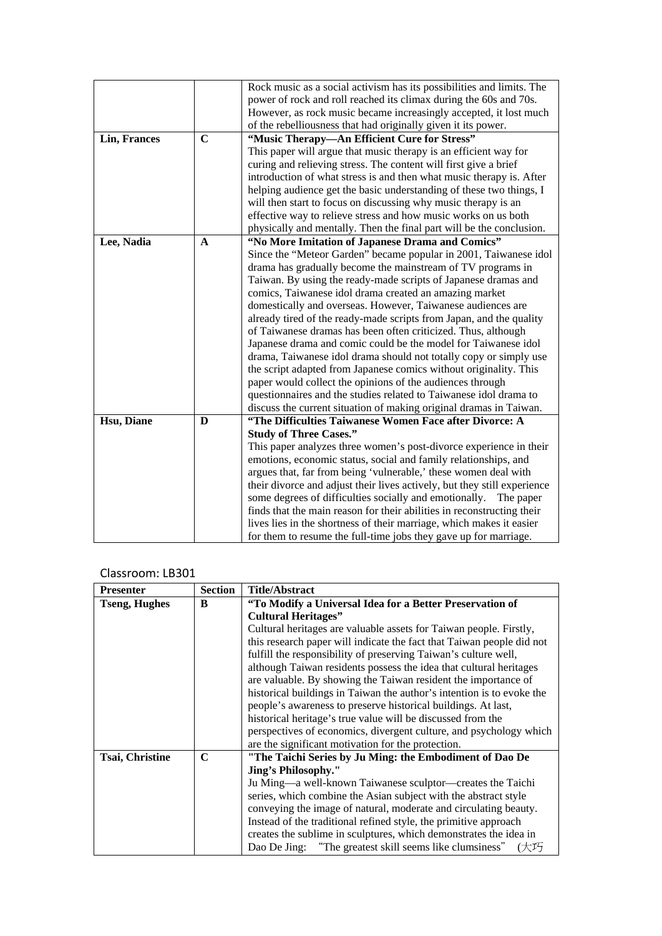|              |             | Rock music as a social activism has its possibilities and limits. The    |
|--------------|-------------|--------------------------------------------------------------------------|
|              |             | power of rock and roll reached its climax during the 60s and 70s.        |
|              |             | However, as rock music became increasingly accepted, it lost much        |
|              |             | of the rebelliousness that had originally given it its power.            |
| Lin, Frances | $\mathbf C$ | "Music Therapy-An Efficient Cure for Stress"                             |
|              |             | This paper will argue that music therapy is an efficient way for         |
|              |             | curing and relieving stress. The content will first give a brief         |
|              |             | introduction of what stress is and then what music therapy is. After     |
|              |             | helping audience get the basic understanding of these two things, I      |
|              |             | will then start to focus on discussing why music therapy is an           |
|              |             | effective way to relieve stress and how music works on us both           |
|              |             | physically and mentally. Then the final part will be the conclusion.     |
| Lee, Nadia   | A           | "No More Imitation of Japanese Drama and Comics"                         |
|              |             | Since the "Meteor Garden" became popular in 2001, Taiwanese idol         |
|              |             | drama has gradually become the mainstream of TV programs in              |
|              |             | Taiwan. By using the ready-made scripts of Japanese dramas and           |
|              |             | comics, Taiwanese idol drama created an amazing market                   |
|              |             | domestically and overseas. However, Taiwanese audiences are              |
|              |             | already tired of the ready-made scripts from Japan, and the quality      |
|              |             | of Taiwanese dramas has been often criticized. Thus, although            |
|              |             | Japanese drama and comic could be the model for Taiwanese idol           |
|              |             | drama, Taiwanese idol drama should not totally copy or simply use        |
|              |             | the script adapted from Japanese comics without originality. This        |
|              |             | paper would collect the opinions of the audiences through                |
|              |             | questionnaires and the studies related to Taiwanese idol drama to        |
|              |             | discuss the current situation of making original dramas in Taiwan.       |
| Hsu, Diane   | D           | "The Difficulties Taiwanese Women Face after Divorce: A                  |
|              |             | <b>Study of Three Cases."</b>                                            |
|              |             | This paper analyzes three women's post-divorce experience in their       |
|              |             | emotions, economic status, social and family relationships, and          |
|              |             | argues that, far from being 'vulnerable,' these women deal with          |
|              |             | their divorce and adjust their lives actively, but they still experience |
|              |             | some degrees of difficulties socially and emotionally. The paper         |
|              |             | finds that the main reason for their abilities in reconstructing their   |
|              |             | lives lies in the shortness of their marriage, which makes it easier     |
|              |             | for them to resume the full-time jobs they gave up for marriage.         |

| <b>Presenter</b>       | Section | <b>Title/Abstract</b>                                                                |
|------------------------|---------|--------------------------------------------------------------------------------------|
| <b>Tseng, Hughes</b>   | B       | "To Modify a Universal Idea for a Better Preservation of                             |
|                        |         | <b>Cultural Heritages"</b>                                                           |
|                        |         | Cultural heritages are valuable assets for Taiwan people. Firstly,                   |
|                        |         | this research paper will indicate the fact that Taiwan people did not                |
|                        |         | fulfill the responsibility of preserving Taiwan's culture well,                      |
|                        |         | although Taiwan residents possess the idea that cultural heritages                   |
|                        |         | are valuable. By showing the Taiwan resident the importance of                       |
|                        |         | historical buildings in Taiwan the author's intention is to evoke the                |
|                        |         | people's awareness to preserve historical buildings. At last,                        |
|                        |         | historical heritage's true value will be discussed from the                          |
|                        |         | perspectives of economics, divergent culture, and psychology which                   |
|                        |         | are the significant motivation for the protection.                                   |
| <b>Tsai, Christine</b> | C       | "The Taichi Series by Ju Ming: the Embodiment of Dao De                              |
|                        |         | <b>Jing's Philosophy."</b>                                                           |
|                        |         | Ju Ming—a well-known Taiwanese sculptor—creates the Taichi                           |
|                        |         | series, which combine the Asian subject with the abstract style                      |
|                        |         | conveying the image of natural, moderate and circulating beauty.                     |
|                        |         | Instead of the traditional refined style, the primitive approach                     |
|                        |         | creates the sublime in sculptures, which demonstrates the idea in                    |
|                        |         | "The greatest skill seems like clumsiness" $(\nleftrightarrow \Box)$<br>Dao De Jing: |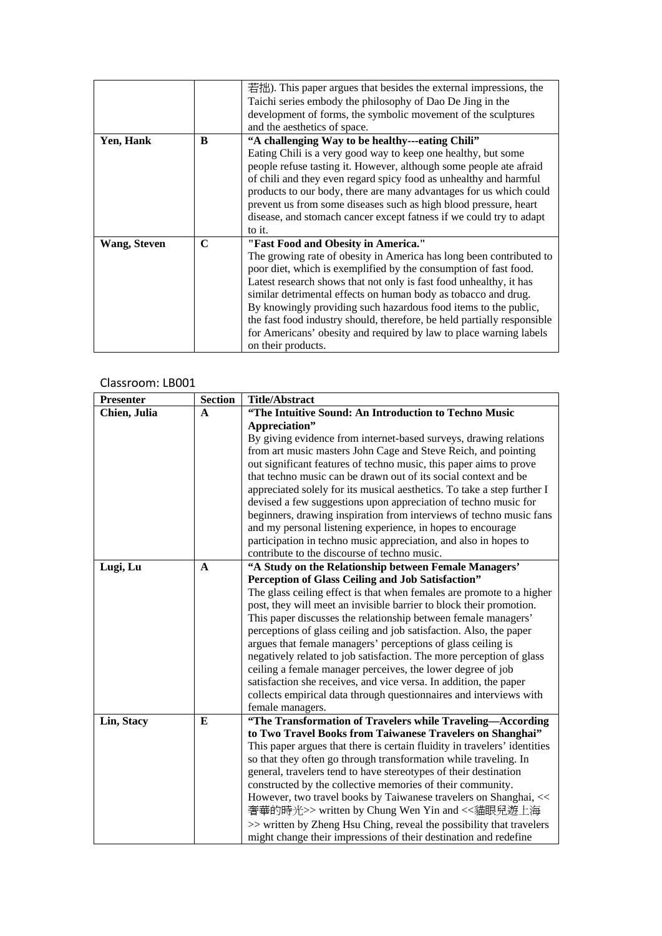|              |   | 若拙). This paper argues that besides the external impressions, the       |
|--------------|---|-------------------------------------------------------------------------|
|              |   | Taichi series embody the philosophy of Dao De Jing in the               |
|              |   | development of forms, the symbolic movement of the sculptures           |
|              |   | and the aesthetics of space.                                            |
| Yen, Hank    | B | "A challenging Way to be healthy---eating Chili"                        |
|              |   | Eating Chili is a very good way to keep one healthy, but some           |
|              |   | people refuse tasting it. However, although some people ate afraid      |
|              |   | of chili and they even regard spicy food as unhealthy and harmful       |
|              |   | products to our body, there are many advantages for us which could      |
|              |   | prevent us from some diseases such as high blood pressure, heart        |
|              |   | disease, and stomach cancer except fatness if we could try to adapt     |
|              |   | to it.                                                                  |
| Wang, Steven | C | "Fast Food and Obesity in America."                                     |
|              |   | The growing rate of obesity in America has long been contributed to     |
|              |   | poor diet, which is exemplified by the consumption of fast food.        |
|              |   | Latest research shows that not only is fast food unhealthy, it has      |
|              |   | similar detrimental effects on human body as tobacco and drug.          |
|              |   | By knowingly providing such hazardous food items to the public,         |
|              |   | the fast food industry should, therefore, be held partially responsible |
|              |   | for Americans' obesity and required by law to place warning labels      |
|              |   | on their products.                                                      |

| <b>Presenter</b> | <b>Section</b> | <b>Title/Abstract</b>                                                     |
|------------------|----------------|---------------------------------------------------------------------------|
| Chien, Julia     | A              | "The Intuitive Sound: An Introduction to Techno Music                     |
|                  |                | Appreciation"                                                             |
|                  |                | By giving evidence from internet-based surveys, drawing relations         |
|                  |                | from art music masters John Cage and Steve Reich, and pointing            |
|                  |                | out significant features of techno music, this paper aims to prove        |
|                  |                | that techno music can be drawn out of its social context and be           |
|                  |                | appreciated solely for its musical aesthetics. To take a step further I   |
|                  |                | devised a few suggestions upon appreciation of techno music for           |
|                  |                | beginners, drawing inspiration from interviews of techno music fans       |
|                  |                | and my personal listening experience, in hopes to encourage               |
|                  |                | participation in techno music appreciation, and also in hopes to          |
|                  |                | contribute to the discourse of techno music.                              |
| Lugi, Lu         | A              | "A Study on the Relationship between Female Managers'                     |
|                  |                | Perception of Glass Ceiling and Job Satisfaction"                         |
|                  |                | The glass ceiling effect is that when females are promote to a higher     |
|                  |                | post, they will meet an invisible barrier to block their promotion.       |
|                  |                | This paper discusses the relationship between female managers'            |
|                  |                | perceptions of glass ceiling and job satisfaction. Also, the paper        |
|                  |                | argues that female managers' perceptions of glass ceiling is              |
|                  |                | negatively related to job satisfaction. The more perception of glass      |
|                  |                | ceiling a female manager perceives, the lower degree of job               |
|                  |                | satisfaction she receives, and vice versa. In addition, the paper         |
|                  |                | collects empirical data through questionnaires and interviews with        |
|                  |                | female managers.                                                          |
| Lin, Stacy       | E              | "The Transformation of Travelers while Traveling-According                |
|                  |                | to Two Travel Books from Taiwanese Travelers on Shanghai"                 |
|                  |                | This paper argues that there is certain fluidity in travelers' identities |
|                  |                | so that they often go through transformation while traveling. In          |
|                  |                | general, travelers tend to have stereotypes of their destination          |
|                  |                | constructed by the collective memories of their community.                |
|                  |                | However, two travel books by Taiwanese travelers on Shanghai, <<          |
|                  |                | 奢華的時光>> written by Chung Wen Yin and << 貓眼兒遊上海                            |
|                  |                | >> written by Zheng Hsu Ching, reveal the possibility that travelers      |
|                  |                | might change their impressions of their destination and redefine          |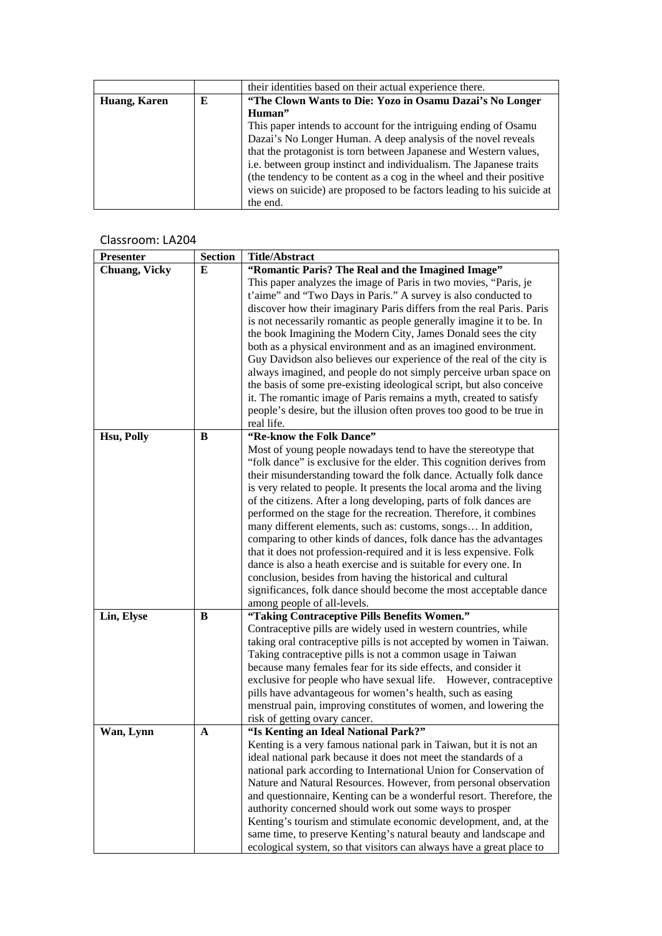|              |   | their identities based on their actual experience there.               |
|--------------|---|------------------------------------------------------------------------|
| Huang, Karen | Е | "The Clown Wants to Die: Yozo in Osamu Dazai's No Longer               |
|              |   | Human"                                                                 |
|              |   | This paper intends to account for the intriguing ending of Osamu       |
|              |   | Dazai's No Longer Human. A deep analysis of the novel reveals          |
|              |   | that the protagonist is torn between Japanese and Western values,      |
|              |   | i.e. between group instinct and individualism. The Japanese traits     |
|              |   | (the tendency to be content as a cog in the wheel and their positive   |
|              |   | views on suicide) are proposed to be factors leading to his suicide at |
|              |   | the end.                                                               |

| Presenter            | <b>Section</b> | <b>Title/Abstract</b>                                                                                                                    |
|----------------------|----------------|------------------------------------------------------------------------------------------------------------------------------------------|
| <b>Chuang, Vicky</b> | E              | "Romantic Paris? The Real and the Imagined Image"                                                                                        |
|                      |                | This paper analyzes the image of Paris in two movies, "Paris, je                                                                         |
|                      |                | t'aime" and "Two Days in Paris." A survey is also conducted to                                                                           |
|                      |                | discover how their imaginary Paris differs from the real Paris. Paris                                                                    |
|                      |                | is not necessarily romantic as people generally imagine it to be. In                                                                     |
|                      |                | the book Imagining the Modern City, James Donald sees the city                                                                           |
|                      |                | both as a physical environment and as an imagined environment.                                                                           |
|                      |                | Guy Davidson also believes our experience of the real of the city is                                                                     |
|                      |                | always imagined, and people do not simply perceive urban space on                                                                        |
|                      |                | the basis of some pre-existing ideological script, but also conceive                                                                     |
|                      |                | it. The romantic image of Paris remains a myth, created to satisfy                                                                       |
|                      |                | people's desire, but the illusion often proves too good to be true in                                                                    |
|                      |                | real life.                                                                                                                               |
| Hsu, Polly           | B              | "Re-know the Folk Dance"                                                                                                                 |
|                      |                | Most of young people nowadays tend to have the stereotype that<br>"folk dance" is exclusive for the elder. This cognition derives from   |
|                      |                | their misunderstanding toward the folk dance. Actually folk dance                                                                        |
|                      |                | is very related to people. It presents the local aroma and the living                                                                    |
|                      |                | of the citizens. After a long developing, parts of folk dances are                                                                       |
|                      |                | performed on the stage for the recreation. Therefore, it combines                                                                        |
|                      |                | many different elements, such as: customs, songs In addition,                                                                            |
|                      |                | comparing to other kinds of dances, folk dance has the advantages                                                                        |
|                      |                | that it does not profession-required and it is less expensive. Folk                                                                      |
|                      |                | dance is also a heath exercise and is suitable for every one. In                                                                         |
|                      |                | conclusion, besides from having the historical and cultural                                                                              |
|                      |                | significances, folk dance should become the most acceptable dance                                                                        |
|                      |                | among people of all-levels.                                                                                                              |
| Lin, Elyse           | B              | "Taking Contraceptive Pills Benefits Women."                                                                                             |
|                      |                | Contraceptive pills are widely used in western countries, while                                                                          |
|                      |                | taking oral contraceptive pills is not accepted by women in Taiwan.                                                                      |
|                      |                | Taking contraceptive pills is not a common usage in Taiwan                                                                               |
|                      |                | because many females fear for its side effects, and consider it                                                                          |
|                      |                | exclusive for people who have sexual life. However, contraceptive                                                                        |
|                      |                | pills have advantageous for women's health, such as easing                                                                               |
|                      |                | menstrual pain, improving constitutes of women, and lowering the                                                                         |
|                      |                | risk of getting ovary cancer.                                                                                                            |
| Wan, Lynn            | A              | "Is Kenting an Ideal National Park?"                                                                                                     |
|                      |                | Kenting is a very famous national park in Taiwan, but it is not an                                                                       |
|                      |                | ideal national park because it does not meet the standards of a                                                                          |
|                      |                | national park according to International Union for Conservation of                                                                       |
|                      |                | Nature and Natural Resources. However, from personal observation<br>and questionnaire, Kenting can be a wonderful resort. Therefore, the |
|                      |                | authority concerned should work out some ways to prosper                                                                                 |
|                      |                |                                                                                                                                          |
|                      |                | Kenting's tourism and stimulate economic development, and, at the<br>same time, to preserve Kenting's natural beauty and landscape and   |
|                      |                | ecological system, so that visitors can always have a great place to                                                                     |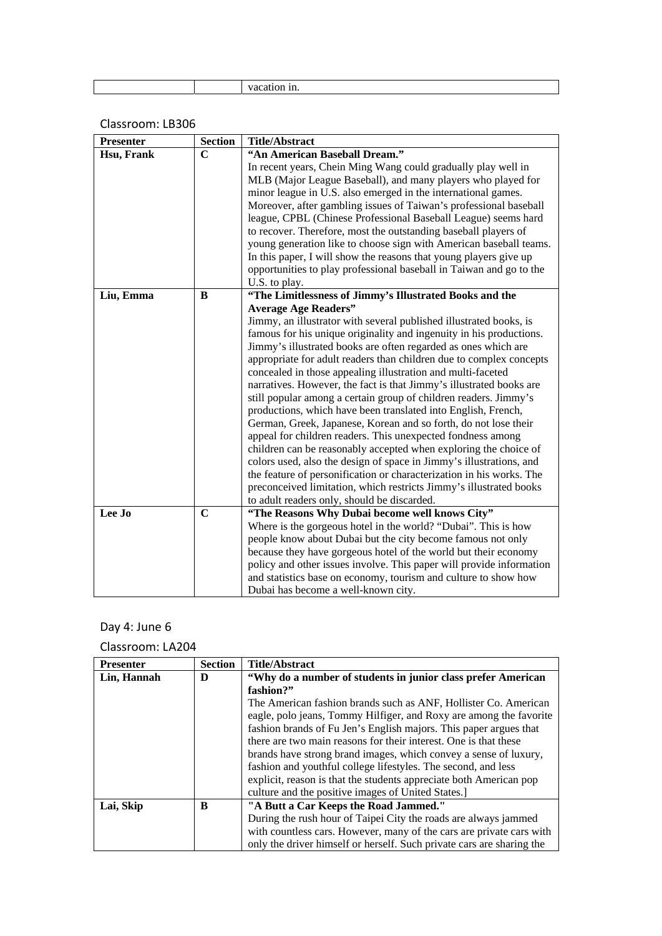| <b>Presenter</b> | <b>Section</b> | <b>Title/Abstract</b>                                                |
|------------------|----------------|----------------------------------------------------------------------|
| Hsu, Frank       | $\mathbf C$    | "An American Baseball Dream."                                        |
|                  |                | In recent years, Chein Ming Wang could gradually play well in        |
|                  |                | MLB (Major League Baseball), and many players who played for         |
|                  |                | minor league in U.S. also emerged in the international games.        |
|                  |                | Moreover, after gambling issues of Taiwan's professional baseball    |
|                  |                | league, CPBL (Chinese Professional Baseball League) seems hard       |
|                  |                | to recover. Therefore, most the outstanding baseball players of      |
|                  |                | young generation like to choose sign with American baseball teams.   |
|                  |                | In this paper, I will show the reasons that young players give up    |
|                  |                | opportunities to play professional baseball in Taiwan and go to the  |
|                  |                | U.S. to play.                                                        |
| Liu, Emma        | B              | "The Limitlessness of Jimmy's Illustrated Books and the              |
|                  |                | <b>Average Age Readers"</b>                                          |
|                  |                | Jimmy, an illustrator with several published illustrated books, is   |
|                  |                | famous for his unique originality and ingenuity in his productions.  |
|                  |                | Jimmy's illustrated books are often regarded as ones which are       |
|                  |                | appropriate for adult readers than children due to complex concepts  |
|                  |                | concealed in those appealing illustration and multi-faceted          |
|                  |                | narratives. However, the fact is that Jimmy's illustrated books are  |
|                  |                | still popular among a certain group of children readers. Jimmy's     |
|                  |                | productions, which have been translated into English, French,        |
|                  |                | German, Greek, Japanese, Korean and so forth, do not lose their      |
|                  |                | appeal for children readers. This unexpected fondness among          |
|                  |                | children can be reasonably accepted when exploring the choice of     |
|                  |                | colors used, also the design of space in Jimmy's illustrations, and  |
|                  |                | the feature of personification or characterization in his works. The |
|                  |                | preconceived limitation, which restricts Jimmy's illustrated books   |
|                  |                | to adult readers only, should be discarded.                          |
| Lee Jo           | $\mathbf C$    | "The Reasons Why Dubai become well knows City"                       |
|                  |                | Where is the gorgeous hotel in the world? "Dubai". This is how       |
|                  |                | people know about Dubai but the city become famous not only          |
|                  |                | because they have gorgeous hotel of the world but their economy      |
|                  |                | policy and other issues involve. This paper will provide information |
|                  |                | and statistics base on economy, tourism and culture to show how      |
|                  |                | Dubai has become a well-known city.                                  |

## Day 4: June 6

| <b>Presenter</b> | <b>Section</b> | <b>Title/Abstract</b>                                                 |
|------------------|----------------|-----------------------------------------------------------------------|
| Lin, Hannah      | D              | "Why do a number of students in junior class prefer American          |
|                  |                | fashion?"                                                             |
|                  |                | The American fashion brands such as ANF, Hollister Co. American       |
|                  |                | eagle, polo jeans, Tommy Hilfiger, and Roxy are among the favorite    |
|                  |                | fashion brands of Fu Jen's English majors. This paper argues that     |
|                  |                | there are two main reasons for their interest. One is that these      |
|                  |                | brands have strong brand images, which convey a sense of luxury,      |
|                  |                | fashion and youthful college lifestyles. The second, and less         |
|                  |                | explicit, reason is that the students appreciate both American pop    |
|                  |                | culture and the positive images of United States.]                    |
| Lai, Skip        | B              | "A Butt a Car Keeps the Road Jammed."                                 |
|                  |                | During the rush hour of Taipei City the roads are always jammed       |
|                  |                | with countless cars. However, many of the cars are private cars with  |
|                  |                | only the driver himself or herself. Such private cars are sharing the |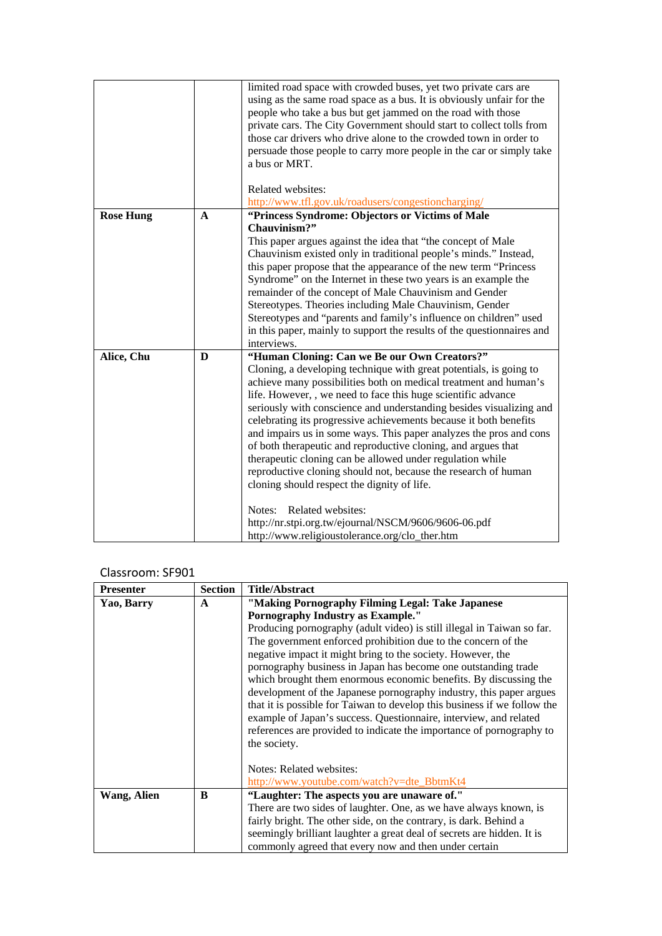|                  |             | limited road space with crowded buses, yet two private cars are<br>using as the same road space as a bus. It is obviously unfair for the |
|------------------|-------------|------------------------------------------------------------------------------------------------------------------------------------------|
|                  |             | people who take a bus but get jammed on the road with those                                                                              |
|                  |             | private cars. The City Government should start to collect tolls from                                                                     |
|                  |             | those car drivers who drive alone to the crowded town in order to                                                                        |
|                  |             | persuade those people to carry more people in the car or simply take                                                                     |
|                  |             | a bus or MRT.                                                                                                                            |
|                  |             | Related websites:                                                                                                                        |
|                  |             | http://www.tfl.gov.uk/roadusers/congestioncharging/                                                                                      |
| <b>Rose Hung</b> | $\mathbf A$ | "Princess Syndrome: Objectors or Victims of Male                                                                                         |
|                  |             | Chauvinism?"                                                                                                                             |
|                  |             | This paper argues against the idea that "the concept of Male                                                                             |
|                  |             | Chauvinism existed only in traditional people's minds." Instead,                                                                         |
|                  |             | this paper propose that the appearance of the new term "Princess                                                                         |
|                  |             | Syndrome" on the Internet in these two years is an example the                                                                           |
|                  |             | remainder of the concept of Male Chauvinism and Gender                                                                                   |
|                  |             | Stereotypes. Theories including Male Chauvinism, Gender                                                                                  |
|                  |             | Stereotypes and "parents and family's influence on children" used                                                                        |
|                  |             | in this paper, mainly to support the results of the questionnaires and<br>interviews.                                                    |
| Alice, Chu       | D           | "Human Cloning: Can we Be our Own Creators?"                                                                                             |
|                  |             | Cloning, a developing technique with great potentials, is going to                                                                       |
|                  |             | achieve many possibilities both on medical treatment and human's                                                                         |
|                  |             | life. However, , we need to face this huge scientific advance                                                                            |
|                  |             | seriously with conscience and understanding besides visualizing and                                                                      |
|                  |             | celebrating its progressive achievements because it both benefits                                                                        |
|                  |             | and impairs us in some ways. This paper analyzes the pros and cons                                                                       |
|                  |             | of both therapeutic and reproductive cloning, and argues that                                                                            |
|                  |             | therapeutic cloning can be allowed under regulation while                                                                                |
|                  |             | reproductive cloning should not, because the research of human                                                                           |
|                  |             | cloning should respect the dignity of life.                                                                                              |
|                  |             | Related websites:<br>Notes:                                                                                                              |
|                  |             | http://nr.stpi.org.tw/ejournal/NSCM/9606/9606-06.pdf                                                                                     |
|                  |             | http://www.religioustolerance.org/clo_ther.htm                                                                                           |

#### Classroom: SF901

| <b>Presenter</b> | <b>Section</b> | Title/Abstract                                                           |
|------------------|----------------|--------------------------------------------------------------------------|
| Yao, Barry       | A              | "Making Pornography Filming Legal: Take Japanese                         |
|                  |                | <b>Pornography Industry as Example."</b>                                 |
|                  |                | Producing pornography (adult video) is still illegal in Taiwan so far.   |
|                  |                | The government enforced prohibition due to the concern of the            |
|                  |                | negative impact it might bring to the society. However, the              |
|                  |                | pornography business in Japan has become one outstanding trade           |
|                  |                | which brought them enormous economic benefits. By discussing the         |
|                  |                | development of the Japanese pornography industry, this paper argues      |
|                  |                | that it is possible for Taiwan to develop this business if we follow the |
|                  |                | example of Japan's success. Questionnaire, interview, and related        |
|                  |                | references are provided to indicate the importance of pornography to     |
|                  |                | the society.                                                             |
|                  |                |                                                                          |
|                  |                | Notes: Related websites:                                                 |
|                  |                | http://www.youtube.com/watch?v=dte_BbtmKt4                               |
| Wang, Alien      | B              | "Laughter: The aspects you are unaware of."                              |
|                  |                | There are two sides of laughter. One, as we have always known, is        |
|                  |                | fairly bright. The other side, on the contrary, is dark. Behind a        |
|                  |                | seemingly brilliant laughter a great deal of secrets are hidden. It is   |
|                  |                | commonly agreed that every now and then under certain                    |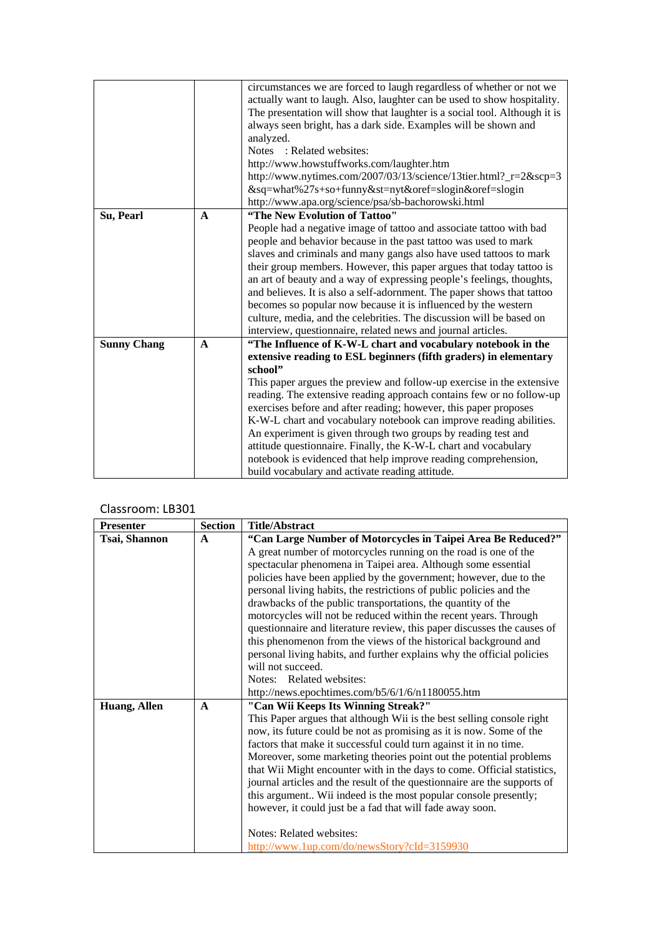|                    |              | circumstances we are forced to laugh regardless of whether or not we      |
|--------------------|--------------|---------------------------------------------------------------------------|
|                    |              | actually want to laugh. Also, laughter can be used to show hospitality.   |
|                    |              | The presentation will show that laughter is a social tool. Although it is |
|                    |              | always seen bright, has a dark side. Examples will be shown and           |
|                    |              | analyzed.                                                                 |
|                    |              | Notes: Related websites:                                                  |
|                    |              | http://www.howstuffworks.com/laughter.htm                                 |
|                    |              | http://www.nytimes.com/2007/03/13/science/13tier.html?_r=2&scp=3          |
|                    |              | &sq=what%27s+so+funny&st=nyt&oref=slogin&oref=slogin                      |
|                    |              | http://www.apa.org/science/psa/sb-bachorowski.html                        |
| Su, Pearl          | $\mathbf{A}$ | "The New Evolution of Tattoo"                                             |
|                    |              | People had a negative image of tattoo and associate tattoo with bad       |
|                    |              | people and behavior because in the past tattoo was used to mark           |
|                    |              | slaves and criminals and many gangs also have used tattoos to mark        |
|                    |              | their group members. However, this paper argues that today tattoo is      |
|                    |              | an art of beauty and a way of expressing people's feelings, thoughts,     |
|                    |              | and believes. It is also a self-adornment. The paper shows that tattoo    |
|                    |              | becomes so popular now because it is influenced by the western            |
|                    |              | culture, media, and the celebrities. The discussion will be based on      |
|                    |              | interview, questionnaire, related news and journal articles.              |
| <b>Sunny Chang</b> | $\mathbf{A}$ | "The Influence of K-W-L chart and vocabulary notebook in the              |
|                    |              | extensive reading to ESL beginners (fifth graders) in elementary          |
|                    |              | school"                                                                   |
|                    |              | This paper argues the preview and follow-up exercise in the extensive     |
|                    |              | reading. The extensive reading approach contains few or no follow-up      |
|                    |              | exercises before and after reading; however, this paper proposes          |
|                    |              | K-W-L chart and vocabulary notebook can improve reading abilities.        |
|                    |              | An experiment is given through two groups by reading test and             |
|                    |              | attitude questionnaire. Finally, the K-W-L chart and vocabulary           |
|                    |              | notebook is evidenced that help improve reading comprehension,            |
|                    |              | build vocabulary and activate reading attitude.                           |

| <b>Presenter</b> | <b>Section</b> | <b>Title/Abstract</b>                                                    |
|------------------|----------------|--------------------------------------------------------------------------|
| Tsai, Shannon    | $\mathbf{A}$   | "Can Large Number of Motorcycles in Taipei Area Be Reduced?"             |
|                  |                | A great number of motorcycles running on the road is one of the          |
|                  |                | spectacular phenomena in Taipei area. Although some essential            |
|                  |                | policies have been applied by the government; however, due to the        |
|                  |                | personal living habits, the restrictions of public policies and the      |
|                  |                | drawbacks of the public transportations, the quantity of the             |
|                  |                | motorcycles will not be reduced within the recent years. Through         |
|                  |                | questionnaire and literature review, this paper discusses the causes of  |
|                  |                | this phenomenon from the views of the historical background and          |
|                  |                | personal living habits, and further explains why the official policies   |
|                  |                | will not succeed.                                                        |
|                  |                | Notes: Related websites:                                                 |
|                  |                | http://news.epochtimes.com/b5/6/1/6/n1180055.htm                         |
| Huang, Allen     | $\mathbf{A}$   | "Can Wii Keeps Its Winning Streak?"                                      |
|                  |                | This Paper argues that although Wii is the best selling console right    |
|                  |                | now, its future could be not as promising as it is now. Some of the      |
|                  |                | factors that make it successful could turn against it in no time.        |
|                  |                | Moreover, some marketing theories point out the potential problems       |
|                  |                | that Wii Might encounter with in the days to come. Official statistics,  |
|                  |                | journal articles and the result of the questionnaire are the supports of |
|                  |                | this argument Wii indeed is the most popular console presently;          |
|                  |                | however, it could just be a fad that will fade away soon.                |
|                  |                | Notes: Related websites:                                                 |
|                  |                | http://www.1up.com/do/newsStory?cId=3159930                              |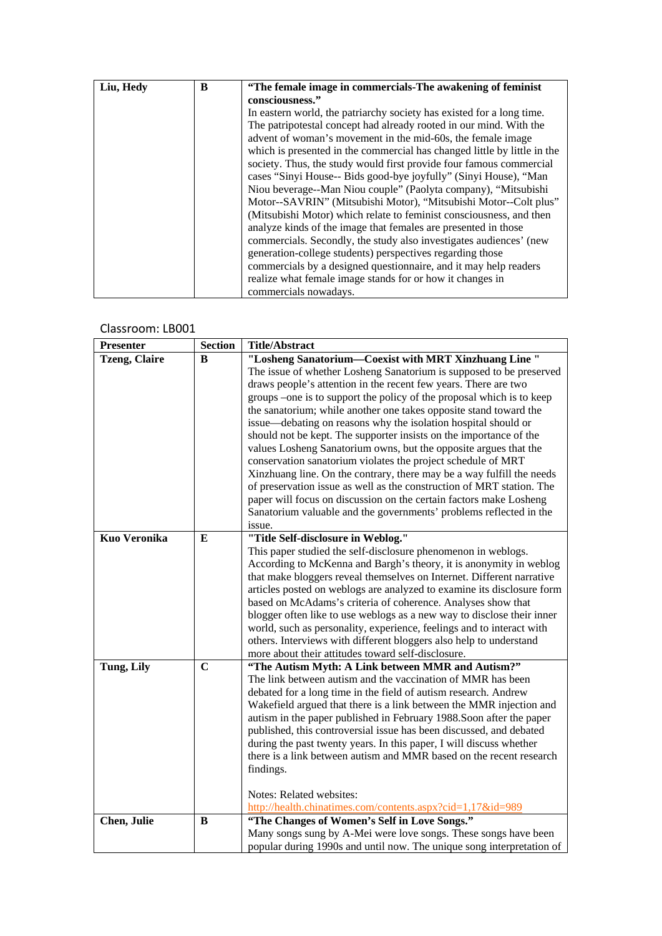| Liu, Hedy | B | "The female image in commercials-The awakening of feminist               |
|-----------|---|--------------------------------------------------------------------------|
|           |   | consciousness."                                                          |
|           |   | In eastern world, the patriarchy society has existed for a long time.    |
|           |   | The patripotestal concept had already rooted in our mind. With the       |
|           |   | advent of woman's movement in the mid-60s, the female image              |
|           |   | which is presented in the commercial has changed little by little in the |
|           |   | society. Thus, the study would first provide four famous commercial      |
|           |   | cases "Sinyi House-- Bids good-bye joyfully" (Sinyi House), "Man         |
|           |   | Niou beverage--Man Niou couple" (Paolyta company), "Mitsubishi           |
|           |   | Motor--SAVRIN" (Mitsubishi Motor), "Mitsubishi Motor--Colt plus"         |
|           |   | (Mitsubishi Motor) which relate to feminist consciousness, and then      |
|           |   | analyze kinds of the image that females are presented in those           |
|           |   | commercials. Secondly, the study also investigates audiences' (new       |
|           |   | generation-college students) perspectives regarding those                |
|           |   | commercials by a designed questionnaire, and it may help readers         |
|           |   | realize what female image stands for or how it changes in                |
|           |   | commercials nowadays.                                                    |

| <b>Presenter</b>     | <b>Section</b> | <b>Title/Abstract</b>                                                                                      |
|----------------------|----------------|------------------------------------------------------------------------------------------------------------|
| <b>Tzeng, Claire</b> | B              | "Losheng Sanatorium-Coexist with MRT Xinzhuang Line"                                                       |
|                      |                | The issue of whether Losheng Sanatorium is supposed to be preserved                                        |
|                      |                | draws people's attention in the recent few years. There are two                                            |
|                      |                | groups -one is to support the policy of the proposal which is to keep                                      |
|                      |                | the sanatorium; while another one takes opposite stand toward the                                          |
|                      |                | issue-debating on reasons why the isolation hospital should or                                             |
|                      |                | should not be kept. The supporter insists on the importance of the                                         |
|                      |                | values Losheng Sanatorium owns, but the opposite argues that the                                           |
|                      |                | conservation sanatorium violates the project schedule of MRT                                               |
|                      |                | Xinzhuang line. On the contrary, there may be a way fulfill the needs                                      |
|                      |                | of preservation issue as well as the construction of MRT station. The                                      |
|                      |                | paper will focus on discussion on the certain factors make Losheng                                         |
|                      |                | Sanatorium valuable and the governments' problems reflected in the                                         |
|                      |                | issue.                                                                                                     |
| <b>Kuo Veronika</b>  | E              | "Title Self-disclosure in Weblog."                                                                         |
|                      |                | This paper studied the self-disclosure phenomenon in weblogs.                                              |
|                      |                | According to McKenna and Bargh's theory, it is anonymity in weblog                                         |
|                      |                | that make bloggers reveal themselves on Internet. Different narrative                                      |
|                      |                | articles posted on weblogs are analyzed to examine its disclosure form                                     |
|                      |                | based on McAdams's criteria of coherence. Analyses show that                                               |
|                      |                | blogger often like to use weblogs as a new way to disclose their inner                                     |
|                      |                | world, such as personality, experience, feelings and to interact with                                      |
|                      |                | others. Interviews with different bloggers also help to understand                                         |
|                      |                | more about their attitudes toward self-disclosure.                                                         |
| Tung, Lily           | $\mathbf C$    | "The Autism Myth: A Link between MMR and Autism?"                                                          |
|                      |                | The link between autism and the vaccination of MMR has been                                                |
|                      |                | debated for a long time in the field of autism research. Andrew                                            |
|                      |                | Wakefield argued that there is a link between the MMR injection and                                        |
|                      |                | autism in the paper published in February 1988. Soon after the paper                                       |
|                      |                | published, this controversial issue has been discussed, and debated                                        |
|                      |                | during the past twenty years. In this paper, I will discuss whether                                        |
|                      |                | there is a link between autism and MMR based on the recent research                                        |
|                      |                | findings.                                                                                                  |
|                      |                |                                                                                                            |
|                      |                | Notes: Related websites:                                                                                   |
| Chen, Julie          | B              | http://health.chinatimes.com/contents.aspx?cid=1,17&id=989<br>"The Changes of Women's Self in Love Songs." |
|                      |                | Many songs sung by A-Mei were love songs. These songs have been                                            |
|                      |                | popular during 1990s and until now. The unique song interpretation of                                      |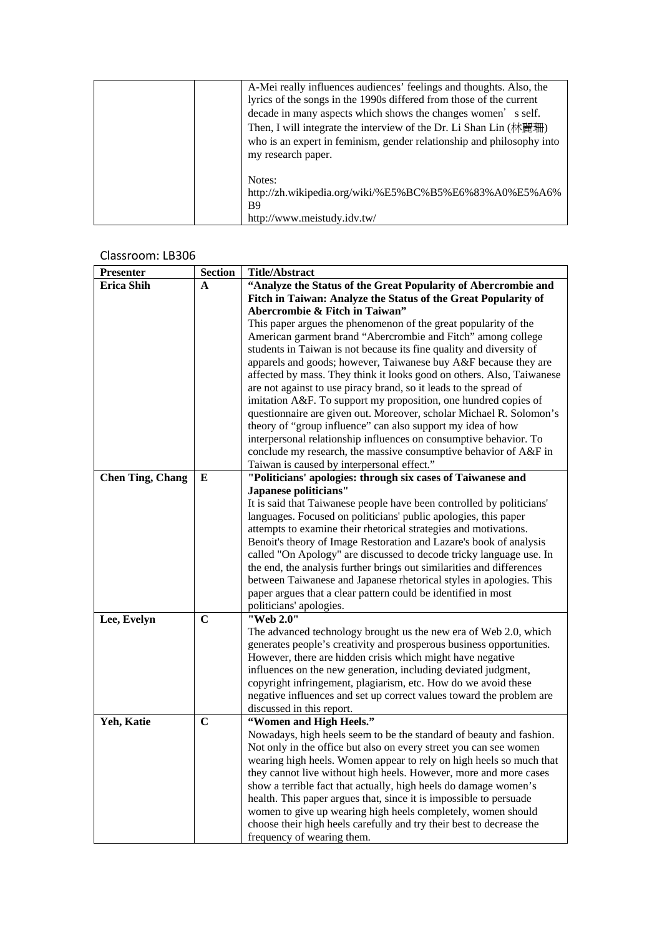| A-Mei really influences audiences' feelings and thoughts. Also, the   |
|-----------------------------------------------------------------------|
| lyrics of the songs in the 1990s differed from those of the current   |
| decade in many aspects which shows the changes women's self.          |
| Then, I will integrate the interview of the Dr. Li Shan Lin (林麗珊)     |
| who is an expert in feminism, gender relationship and philosophy into |
| my research paper.                                                    |
|                                                                       |
| Notes:                                                                |
| http://zh.wikipedia.org/wiki/%E5%BC%B5%E6%83%A0%E5%A6%                |
| B9                                                                    |
| http://www.meistudy.idv.tw/                                           |

| <b>Presenter</b>        | <b>Section</b> | <b>Title/Abstract</b>                                                                                                                  |
|-------------------------|----------------|----------------------------------------------------------------------------------------------------------------------------------------|
| <b>Erica Shih</b>       | A              | "Analyze the Status of the Great Popularity of Abercrombie and                                                                         |
|                         |                | Fitch in Taiwan: Analyze the Status of the Great Popularity of                                                                         |
|                         |                | Abercrombie & Fitch in Taiwan"                                                                                                         |
|                         |                | This paper argues the phenomenon of the great popularity of the                                                                        |
|                         |                | American garment brand "Abercrombie and Fitch" among college                                                                           |
|                         |                | students in Taiwan is not because its fine quality and diversity of                                                                    |
|                         |                | apparels and goods; however, Taiwanese buy A&F because they are                                                                        |
|                         |                | affected by mass. They think it looks good on others. Also, Taiwanese                                                                  |
|                         |                | are not against to use piracy brand, so it leads to the spread of                                                                      |
|                         |                | imitation A&F. To support my proposition, one hundred copies of<br>questionnaire are given out. Moreover, scholar Michael R. Solomon's |
|                         |                | theory of "group influence" can also support my idea of how                                                                            |
|                         |                | interpersonal relationship influences on consumptive behavior. To                                                                      |
|                         |                | conclude my research, the massive consumptive behavior of A&F in                                                                       |
|                         |                | Taiwan is caused by interpersonal effect."                                                                                             |
| <b>Chen Ting, Chang</b> | E              | "Politicians' apologies: through six cases of Taiwanese and                                                                            |
|                         |                | Japanese politicians"                                                                                                                  |
|                         |                | It is said that Taiwanese people have been controlled by politicians'                                                                  |
|                         |                | languages. Focused on politicians' public apologies, this paper                                                                        |
|                         |                | attempts to examine their rhetorical strategies and motivations.                                                                       |
|                         |                | Benoit's theory of Image Restoration and Lazare's book of analysis                                                                     |
|                         |                | called "On Apology" are discussed to decode tricky language use. In                                                                    |
|                         |                | the end, the analysis further brings out similarities and differences                                                                  |
|                         |                | between Taiwanese and Japanese rhetorical styles in apologies. This                                                                    |
|                         |                | paper argues that a clear pattern could be identified in most                                                                          |
|                         | $\mathbf C$    | politicians' apologies.<br>"Web 2.0"                                                                                                   |
| Lee, Evelyn             |                | The advanced technology brought us the new era of Web 2.0, which                                                                       |
|                         |                | generates people's creativity and prosperous business opportunities.                                                                   |
|                         |                | However, there are hidden crisis which might have negative                                                                             |
|                         |                | influences on the new generation, including deviated judgment,                                                                         |
|                         |                | copyright infringement, plagiarism, etc. How do we avoid these                                                                         |
|                         |                | negative influences and set up correct values toward the problem are                                                                   |
|                         |                | discussed in this report.                                                                                                              |
| Yeh, Katie              | $\mathbf C$    | "Women and High Heels."                                                                                                                |
|                         |                | Nowadays, high heels seem to be the standard of beauty and fashion.                                                                    |
|                         |                | Not only in the office but also on every street you can see women                                                                      |
|                         |                | wearing high heels. Women appear to rely on high heels so much that                                                                    |
|                         |                | they cannot live without high heels. However, more and more cases                                                                      |
|                         |                | show a terrible fact that actually, high heels do damage women's                                                                       |
|                         |                | health. This paper argues that, since it is impossible to persuade                                                                     |
|                         |                | women to give up wearing high heels completely, women should                                                                           |
|                         |                | choose their high heels carefully and try their best to decrease the                                                                   |
|                         |                | frequency of wearing them.                                                                                                             |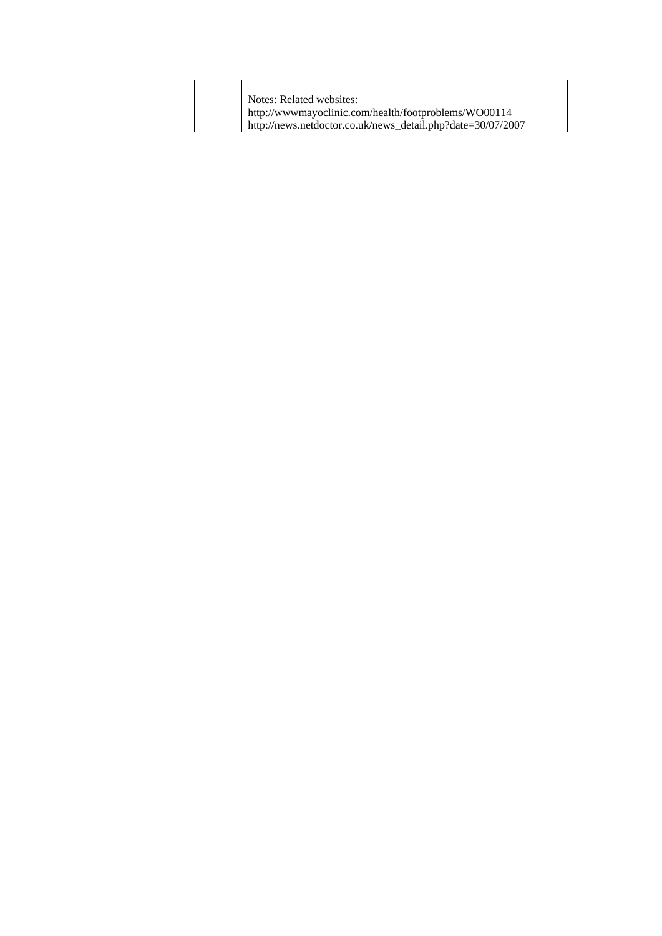|  | Notes: Related websites:                                    |
|--|-------------------------------------------------------------|
|  | http://www.mayoclinic.com/health/footproblems/WO00114       |
|  | http://news.netdoctor.co.uk/news_detail.php?date=30/07/2007 |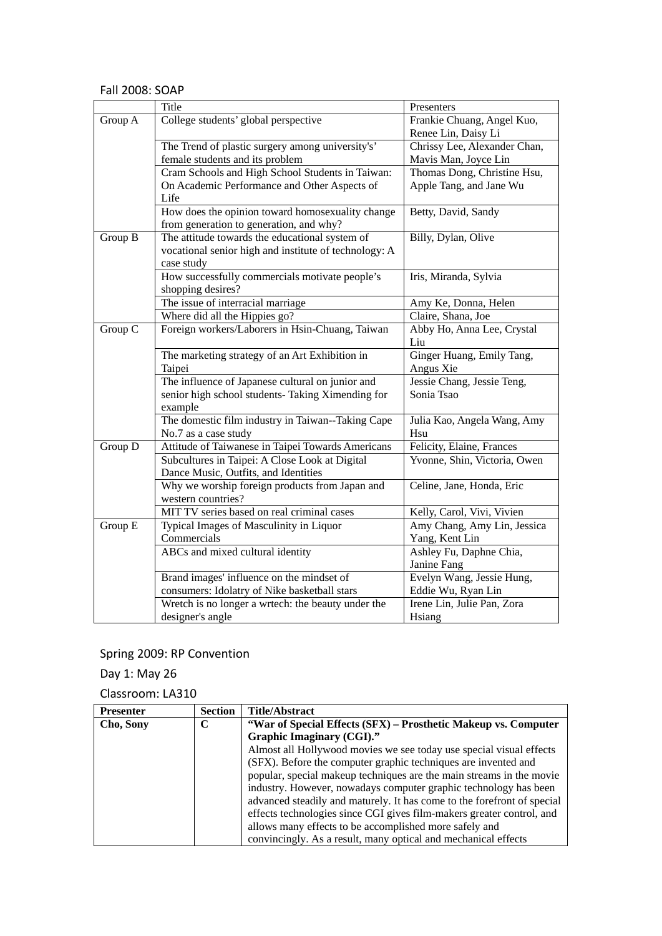#### Fall 2008: SOAP

|         | Title                                                 | Presenters                   |
|---------|-------------------------------------------------------|------------------------------|
| Group A | College students' global perspective                  | Frankie Chuang, Angel Kuo,   |
|         |                                                       | Renee Lin, Daisy Li          |
|         | The Trend of plastic surgery among university's'      | Chrissy Lee, Alexander Chan, |
|         | female students and its problem                       | Mavis Man, Joyce Lin         |
|         | Cram Schools and High School Students in Taiwan:      | Thomas Dong, Christine Hsu,  |
|         | On Academic Performance and Other Aspects of          | Apple Tang, and Jane Wu      |
|         | Life                                                  |                              |
|         | How does the opinion toward homosexuality change      | Betty, David, Sandy          |
|         | from generation to generation, and why?               |                              |
| Group B | The attitude towards the educational system of        | Billy, Dylan, Olive          |
|         | vocational senior high and institute of technology: A |                              |
|         | case study                                            |                              |
|         | How successfully commercials motivate people's        | Iris, Miranda, Sylvia        |
|         | shopping desires?                                     |                              |
|         | The issue of interracial marriage                     | Amy Ke, Donna, Helen         |
|         | Where did all the Hippies go?                         | Claire, Shana, Joe           |
| Group C | Foreign workers/Laborers in Hsin-Chuang, Taiwan       | Abby Ho, Anna Lee, Crystal   |
|         |                                                       | Liu                          |
|         | The marketing strategy of an Art Exhibition in        | Ginger Huang, Emily Tang,    |
|         | Taipei                                                | Angus Xie                    |
|         | The influence of Japanese cultural on junior and      | Jessie Chang, Jessie Teng,   |
|         | senior high school students- Taking Ximending for     | Sonia Tsao                   |
|         | example                                               |                              |
|         | The domestic film industry in Taiwan--Taking Cape     | Julia Kao, Angela Wang, Amy  |
|         | No.7 as a case study                                  | Hsu                          |
| Group D | Attitude of Taiwanese in Taipei Towards Americans     | Felicity, Elaine, Frances    |
|         | Subcultures in Taipei: A Close Look at Digital        | Yvonne, Shin, Victoria, Owen |
|         | Dance Music, Outfits, and Identities                  |                              |
|         | Why we worship foreign products from Japan and        | Celine, Jane, Honda, Eric    |
|         | western countries?                                    |                              |
|         | MIT TV series based on real criminal cases            | Kelly, Carol, Vivi, Vivien   |
| Group E | Typical Images of Masculinity in Liquor               | Amy Chang, Amy Lin, Jessica  |
|         | Commercials                                           | Yang, Kent Lin               |
|         | ABCs and mixed cultural identity                      | Ashley Fu, Daphne Chia,      |
|         |                                                       | Janine Fang                  |
|         | Brand images' influence on the mindset of             | Evelyn Wang, Jessie Hung,    |
|         | consumers: Idolatry of Nike basketball stars          | Eddie Wu, Ryan Lin           |
|         | Wretch is no longer a wrtech: the beauty under the    | Irene Lin, Julie Pan, Zora   |
|         | designer's angle                                      | Hsiang                       |

# Spring 2009: RP Convention

Day 1: May 26

| <b>Presenter</b> | <b>Section</b> | <b>Title/Abstract</b>                                                   |
|------------------|----------------|-------------------------------------------------------------------------|
| Cho, Sony        | C              | "War of Special Effects (SFX) – Prosthetic Makeup vs. Computer          |
|                  |                | Graphic Imaginary (CGI)."                                               |
|                  |                | Almost all Hollywood movies we see today use special visual effects     |
|                  |                | (SFX). Before the computer graphic techniques are invented and          |
|                  |                | popular, special makeup techniques are the main streams in the movie    |
|                  |                | industry. However, nowadays computer graphic technology has been        |
|                  |                | advanced steadily and maturely. It has come to the forefront of special |
|                  |                | effects technologies since CGI gives film-makers greater control, and   |
|                  |                | allows many effects to be accomplished more safely and                  |
|                  |                | convincingly. As a result, many optical and mechanical effects          |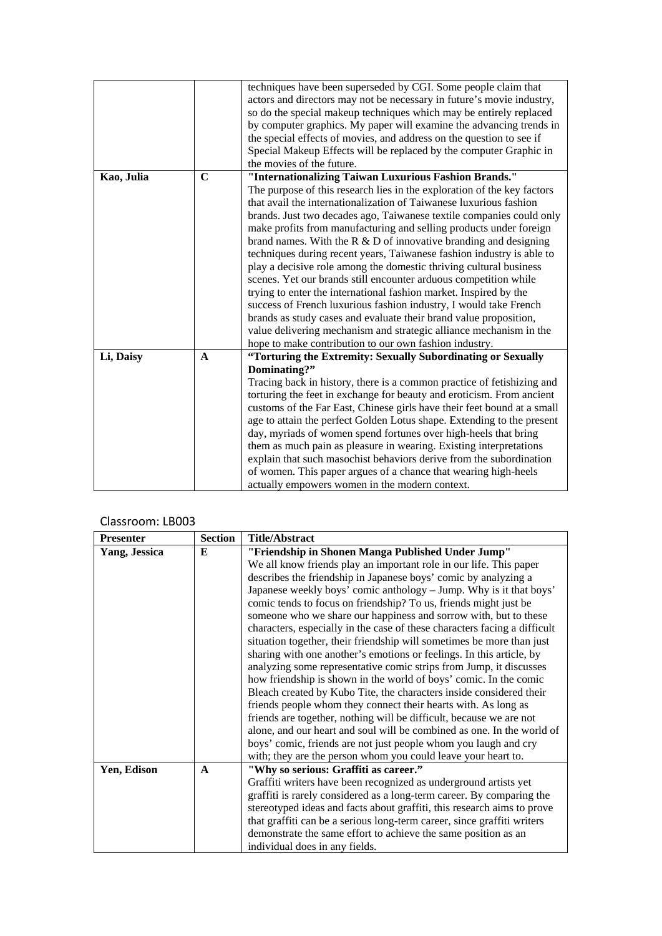|            |             | techniques have been superseded by CGI. Some people claim that          |
|------------|-------------|-------------------------------------------------------------------------|
|            |             | actors and directors may not be necessary in future's movie industry,   |
|            |             | so do the special makeup techniques which may be entirely replaced      |
|            |             | by computer graphics. My paper will examine the advancing trends in     |
|            |             | the special effects of movies, and address on the question to see if    |
|            |             | Special Makeup Effects will be replaced by the computer Graphic in      |
|            |             | the movies of the future.                                               |
| Kao, Julia | $\mathbf C$ | "Internationalizing Taiwan Luxurious Fashion Brands."                   |
|            |             | The purpose of this research lies in the exploration of the key factors |
|            |             | that avail the internationalization of Taiwanese luxurious fashion      |
|            |             | brands. Just two decades ago, Taiwanese textile companies could only    |
|            |             | make profits from manufacturing and selling products under foreign      |
|            |             | brand names. With the $R \& D$ of innovative branding and designing     |
|            |             | techniques during recent years, Taiwanese fashion industry is able to   |
|            |             | play a decisive role among the domestic thriving cultural business      |
|            |             | scenes. Yet our brands still encounter arduous competition while        |
|            |             | trying to enter the international fashion market. Inspired by the       |
|            |             | success of French luxurious fashion industry, I would take French       |
|            |             | brands as study cases and evaluate their brand value proposition,       |
|            |             | value delivering mechanism and strategic alliance mechanism in the      |
|            |             | hope to make contribution to our own fashion industry.                  |
| Li, Daisy  | $\mathbf A$ | "Torturing the Extremity: Sexually Subordinating or Sexually            |
|            |             | Dominating?"                                                            |
|            |             | Tracing back in history, there is a common practice of fetishizing and  |
|            |             | torturing the feet in exchange for beauty and eroticism. From ancient   |
|            |             | customs of the Far East, Chinese girls have their feet bound at a small |
|            |             | age to attain the perfect Golden Lotus shape. Extending to the present  |
|            |             | day, myriads of women spend fortunes over high-heels that bring         |
|            |             | them as much pain as pleasure in wearing. Existing interpretations      |
|            |             | explain that such masochist behaviors derive from the subordination     |
|            |             | of women. This paper argues of a chance that wearing high-heels         |
|            |             | actually empowers women in the modern context.                          |
|            |             |                                                                         |

| <b>Presenter</b>     | <b>Section</b> | <b>Title/Abstract</b>                                                     |
|----------------------|----------------|---------------------------------------------------------------------------|
| <b>Yang, Jessica</b> | E              | "Friendship in Shonen Manga Published Under Jump"                         |
|                      |                | We all know friends play an important role in our life. This paper        |
|                      |                | describes the friendship in Japanese boys' comic by analyzing a           |
|                      |                | Japanese weekly boys' comic anthology - Jump. Why is it that boys'        |
|                      |                | comic tends to focus on friendship? To us, friends might just be          |
|                      |                | someone who we share our happiness and sorrow with, but to these          |
|                      |                | characters, especially in the case of these characters facing a difficult |
|                      |                | situation together, their friendship will sometimes be more than just     |
|                      |                | sharing with one another's emotions or feelings. In this article, by      |
|                      |                | analyzing some representative comic strips from Jump, it discusses        |
|                      |                | how friendship is shown in the world of boys' comic. In the comic         |
|                      |                | Bleach created by Kubo Tite, the characters inside considered their       |
|                      |                | friends people whom they connect their hearts with. As long as            |
|                      |                | friends are together, nothing will be difficult, because we are not       |
|                      |                | alone, and our heart and soul will be combined as one. In the world of    |
|                      |                | boys' comic, friends are not just people whom you laugh and cry           |
|                      |                | with; they are the person whom you could leave your heart to.             |
| Yen, Edison          | $\mathbf{A}$   | "Why so serious: Graffiti as career."                                     |
|                      |                | Graffiti writers have been recognized as underground artists yet          |
|                      |                | graffiti is rarely considered as a long-term career. By comparing the     |
|                      |                | stereotyped ideas and facts about graffiti, this research aims to prove   |
|                      |                | that graffiti can be a serious long-term career, since graffiti writers   |
|                      |                | demonstrate the same effort to achieve the same position as an            |
|                      |                | individual does in any fields.                                            |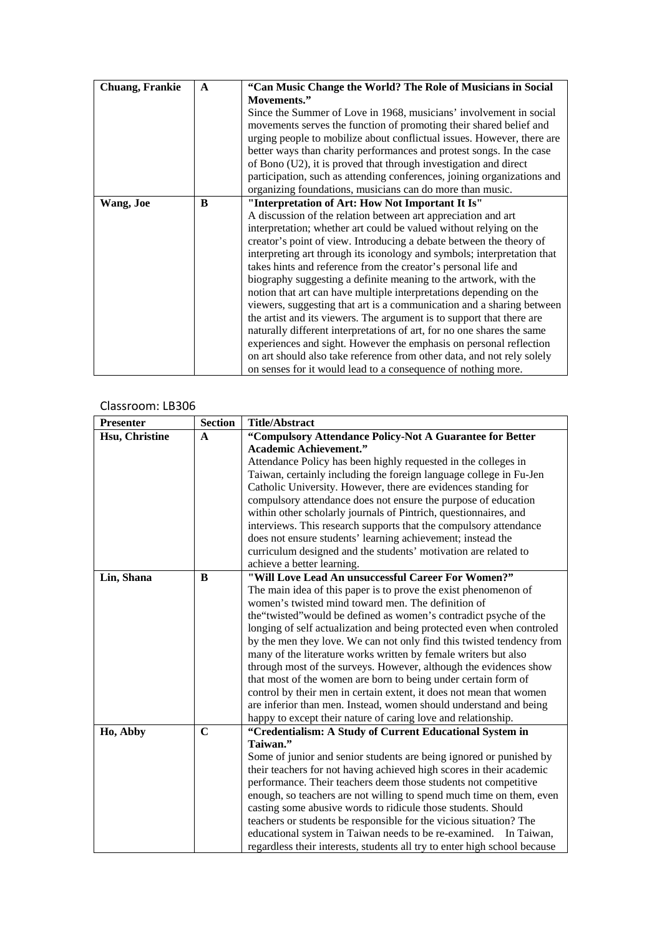| <b>Chuang, Frankie</b> | $\mathbf{A}$ | "Can Music Change the World? The Role of Musicians in Social            |
|------------------------|--------------|-------------------------------------------------------------------------|
|                        |              | Movements."                                                             |
|                        |              | Since the Summer of Love in 1968, musicians' involvement in social      |
|                        |              | movements serves the function of promoting their shared belief and      |
|                        |              | urging people to mobilize about conflictual issues. However, there are  |
|                        |              | better ways than charity performances and protest songs. In the case    |
|                        |              | of Bono (U2), it is proved that through investigation and direct        |
|                        |              | participation, such as attending conferences, joining organizations and |
|                        |              | organizing foundations, musicians can do more than music.               |
| Wang, Joe              | B            | "Interpretation of Art: How Not Important It Is"                        |
|                        |              | A discussion of the relation between art appreciation and art           |
|                        |              | interpretation; whether art could be valued without relying on the      |
|                        |              | creator's point of view. Introducing a debate between the theory of     |
|                        |              | interpreting art through its iconology and symbols; interpretation that |
|                        |              | takes hints and reference from the creator's personal life and          |
|                        |              | biography suggesting a definite meaning to the artwork, with the        |
|                        |              | notion that art can have multiple interpretations depending on the      |
|                        |              | viewers, suggesting that art is a communication and a sharing between   |
|                        |              | the artist and its viewers. The argument is to support that there are   |
|                        |              | naturally different interpretations of art, for no one shares the same  |
|                        |              | experiences and sight. However the emphasis on personal reflection      |
|                        |              | on art should also take reference from other data, and not rely solely  |
|                        |              | on senses for it would lead to a consequence of nothing more.           |

| <b>Presenter</b> | <b>Section</b> | <b>Title/Abstract</b>                                                     |
|------------------|----------------|---------------------------------------------------------------------------|
| Hsu, Christine   | $\mathbf{A}$   | "Compulsory Attendance Policy-Not A Guarantee for Better                  |
|                  |                | <b>Academic Achievement."</b>                                             |
|                  |                | Attendance Policy has been highly requested in the colleges in            |
|                  |                | Taiwan, certainly including the foreign language college in Fu-Jen        |
|                  |                | Catholic University. However, there are evidences standing for            |
|                  |                | compulsory attendance does not ensure the purpose of education            |
|                  |                | within other scholarly journals of Pintrich, questionnaires, and          |
|                  |                | interviews. This research supports that the compulsory attendance         |
|                  |                | does not ensure students' learning achievement; instead the               |
|                  |                | curriculum designed and the students' motivation are related to           |
|                  |                | achieve a better learning.                                                |
| Lin, Shana       | B              | "Will Love Lead An unsuccessful Career For Women?"                        |
|                  |                | The main idea of this paper is to prove the exist phenomenon of           |
|                  |                | women's twisted mind toward men. The definition of                        |
|                  |                | the "twisted" would be defined as women's contradict psyche of the        |
|                  |                | longing of self actualization and being protected even when controled     |
|                  |                | by the men they love. We can not only find this twisted tendency from     |
|                  |                | many of the literature works written by female writers but also           |
|                  |                | through most of the surveys. However, although the evidences show         |
|                  |                | that most of the women are born to being under certain form of            |
|                  |                | control by their men in certain extent, it does not mean that women       |
|                  |                | are inferior than men. Instead, women should understand and being         |
|                  |                | happy to except their nature of caring love and relationship.             |
| Ho, Abby         | $\mathbf C$    | "Credentialism: A Study of Current Educational System in                  |
|                  |                | Taiwan."                                                                  |
|                  |                | Some of junior and senior students are being ignored or punished by       |
|                  |                | their teachers for not having achieved high scores in their academic      |
|                  |                | performance. Their teachers deem those students not competitive           |
|                  |                | enough, so teachers are not willing to spend much time on them, even      |
|                  |                | casting some abusive words to ridicule those students. Should             |
|                  |                | teachers or students be responsible for the vicious situation? The        |
|                  |                | educational system in Taiwan needs to be re-examined. In Taiwan,          |
|                  |                | regardless their interests, students all try to enter high school because |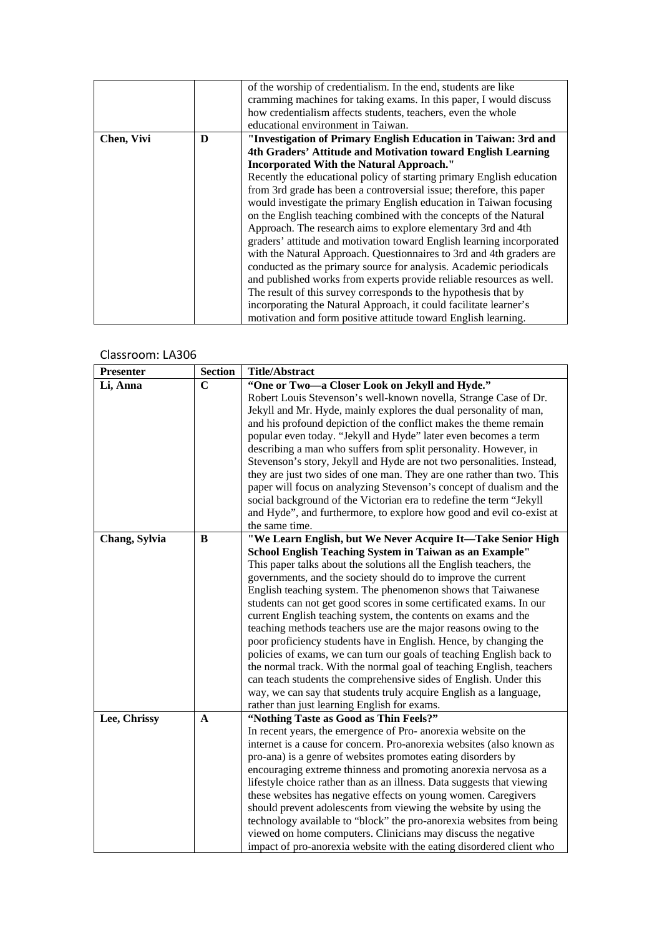|            |   | of the worship of credentialism. In the end, students are like        |
|------------|---|-----------------------------------------------------------------------|
|            |   | cramming machines for taking exams. In this paper, I would discuss    |
|            |   | how credentialism affects students, teachers, even the whole          |
|            |   | educational environment in Taiwan.                                    |
| Chen, Vivi | D | "Investigation of Primary English Education in Taiwan: 3rd and        |
|            |   | 4th Graders' Attitude and Motivation toward English Learning          |
|            |   | <b>Incorporated With the Natural Approach."</b>                       |
|            |   | Recently the educational policy of starting primary English education |
|            |   | from 3rd grade has been a controversial issue; therefore, this paper  |
|            |   | would investigate the primary English education in Taiwan focusing    |
|            |   | on the English teaching combined with the concepts of the Natural     |
|            |   | Approach. The research aims to explore elementary 3rd and 4th         |
|            |   | graders' attitude and motivation toward English learning incorporated |
|            |   | with the Natural Approach. Questionnaires to 3rd and 4th graders are  |
|            |   | conducted as the primary source for analysis. Academic periodicals    |
|            |   | and published works from experts provide reliable resources as well.  |
|            |   | The result of this survey corresponds to the hypothesis that by       |
|            |   | incorporating the Natural Approach, it could facilitate learner's     |
|            |   | motivation and form positive attitude toward English learning.        |

| Presenter     | <b>Section</b> | <b>Title/Abstract</b>                                                  |
|---------------|----------------|------------------------------------------------------------------------|
| Li, Anna      | $\mathbf C$    | "One or Two-a Closer Look on Jekyll and Hyde."                         |
|               |                | Robert Louis Stevenson's well-known novella, Strange Case of Dr.       |
|               |                | Jekyll and Mr. Hyde, mainly explores the dual personality of man,      |
|               |                | and his profound depiction of the conflict makes the theme remain      |
|               |                | popular even today. "Jekyll and Hyde" later even becomes a term        |
|               |                | describing a man who suffers from split personality. However, in       |
|               |                | Stevenson's story, Jekyll and Hyde are not two personalities. Instead, |
|               |                | they are just two sides of one man. They are one rather than two. This |
|               |                | paper will focus on analyzing Stevenson's concept of dualism and the   |
|               |                | social background of the Victorian era to redefine the term "Jekyll    |
|               |                | and Hyde", and furthermore, to explore how good and evil co-exist at   |
|               |                | the same time.                                                         |
| Chang, Sylvia | B              | "We Learn English, but We Never Acquire It-Take Senior High            |
|               |                | School English Teaching System in Taiwan as an Example"                |
|               |                | This paper talks about the solutions all the English teachers, the     |
|               |                | governments, and the society should do to improve the current          |
|               |                | English teaching system. The phenomenon shows that Taiwanese           |
|               |                | students can not get good scores in some certificated exams. In our    |
|               |                | current English teaching system, the contents on exams and the         |
|               |                | teaching methods teachers use are the major reasons owing to the       |
|               |                | poor proficiency students have in English. Hence, by changing the      |
|               |                | policies of exams, we can turn our goals of teaching English back to   |
|               |                | the normal track. With the normal goal of teaching English, teachers   |
|               |                | can teach students the comprehensive sides of English. Under this      |
|               |                | way, we can say that students truly acquire English as a language,     |
|               |                | rather than just learning English for exams.                           |
| Lee, Chrissy  | $\mathbf{A}$   | "Nothing Taste as Good as Thin Feels?"                                 |
|               |                | In recent years, the emergence of Pro- anorexia website on the         |
|               |                | internet is a cause for concern. Pro-anorexia websites (also known as  |
|               |                | pro-ana) is a genre of websites promotes eating disorders by           |
|               |                | encouraging extreme thinness and promoting anorexia nervosa as a       |
|               |                | lifestyle choice rather than as an illness. Data suggests that viewing |
|               |                | these websites has negative effects on young women. Caregivers         |
|               |                | should prevent adolescents from viewing the website by using the       |
|               |                | technology available to "block" the pro-anorexia websites from being   |
|               |                | viewed on home computers. Clinicians may discuss the negative          |
|               |                | impact of pro-anorexia website with the eating disordered client who   |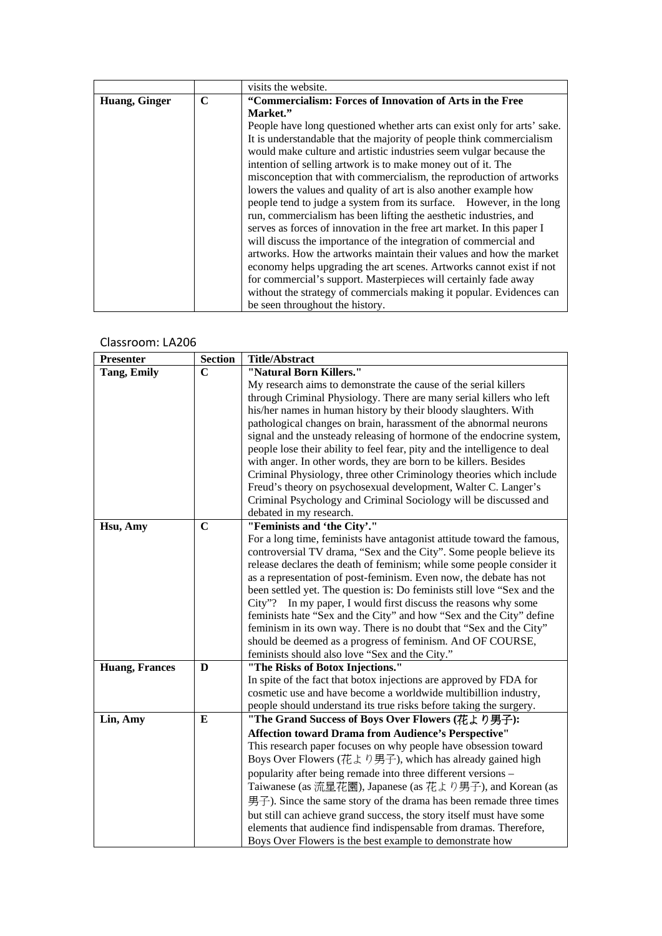|               |             | visits the website.                                                     |
|---------------|-------------|-------------------------------------------------------------------------|
| Huang, Ginger | $\mathbf C$ | "Commercialism: Forces of Innovation of Arts in the Free                |
|               |             | Market."                                                                |
|               |             | People have long questioned whether arts can exist only for arts' sake. |
|               |             | It is understandable that the majority of people think commercialism    |
|               |             | would make culture and artistic industries seem vulgar because the      |
|               |             | intention of selling artwork is to make money out of it. The            |
|               |             | misconception that with commercialism, the reproduction of artworks     |
|               |             | lowers the values and quality of art is also another example how        |
|               |             | people tend to judge a system from its surface. However, in the long    |
|               |             | run, commercialism has been lifting the aesthetic industries, and       |
|               |             | serves as forces of innovation in the free art market. In this paper I  |
|               |             | will discuss the importance of the integration of commercial and        |
|               |             | artworks. How the artworks maintain their values and how the market     |
|               |             | economy helps upgrading the art scenes. Artworks cannot exist if not    |
|               |             | for commercial's support. Masterpieces will certainly fade away         |
|               |             | without the strategy of commercials making it popular. Evidences can    |
|               |             | be seen throughout the history.                                         |

| <b>Presenter</b>      | <b>Section</b> | <b>Title/Abstract</b>                                                     |
|-----------------------|----------------|---------------------------------------------------------------------------|
| <b>Tang, Emily</b>    | $\mathbf C$    | "Natural Born Killers."                                                   |
|                       |                | My research aims to demonstrate the cause of the serial killers           |
|                       |                | through Criminal Physiology. There are many serial killers who left       |
|                       |                | his/her names in human history by their bloody slaughters. With           |
|                       |                | pathological changes on brain, harassment of the abnormal neurons         |
|                       |                | signal and the unsteady releasing of hormone of the endocrine system,     |
|                       |                | people lose their ability to feel fear, pity and the intelligence to deal |
|                       |                | with anger. In other words, they are born to be killers. Besides          |
|                       |                | Criminal Physiology, three other Criminology theories which include       |
|                       |                | Freud's theory on psychosexual development, Walter C. Langer's            |
|                       |                | Criminal Psychology and Criminal Sociology will be discussed and          |
|                       |                | debated in my research.                                                   |
| Hsu, Amy              | $\mathbf C$    | "Feminists and 'the City'."                                               |
|                       |                | For a long time, feminists have antagonist attitude toward the famous,    |
|                       |                | controversial TV drama, "Sex and the City". Some people believe its       |
|                       |                | release declares the death of feminism; while some people consider it     |
|                       |                | as a representation of post-feminism. Even now, the debate has not        |
|                       |                | been settled yet. The question is: Do feminists still love "Sex and the   |
|                       |                | City"? In my paper, I would first discuss the reasons why some            |
|                       |                | feminists hate "Sex and the City" and how "Sex and the City" define       |
|                       |                | feminism in its own way. There is no doubt that "Sex and the City"        |
|                       |                | should be deemed as a progress of feminism. And OF COURSE,                |
|                       |                | feminists should also love "Sex and the City."                            |
| <b>Huang, Frances</b> | D              | "The Risks of Botox Injections."                                          |
|                       |                | In spite of the fact that botox injections are approved by FDA for        |
|                       |                | cosmetic use and have become a worldwide multibillion industry,           |
|                       |                | people should understand its true risks before taking the surgery.        |
| Lin, Amy              | E              | "The Grand Success of Boys Over Flowers (花より男子):                          |
|                       |                | Affection toward Drama from Audience's Perspective"                       |
|                       |                | This research paper focuses on why people have obsession toward           |
|                       |                | Boys Over Flowers (花より男子), which has already gained high                  |
|                       |                | popularity after being remade into three different versions -             |
|                       |                | Taiwanese (as 流星花園), Japanese (as 花より男子), and Korean (as                  |
|                       |                | 男子). Since the same story of the drama has been remade three times        |
|                       |                | but still can achieve grand success, the story itself must have some      |
|                       |                | elements that audience find indispensable from dramas. Therefore,         |
|                       |                | Boys Over Flowers is the best example to demonstrate how                  |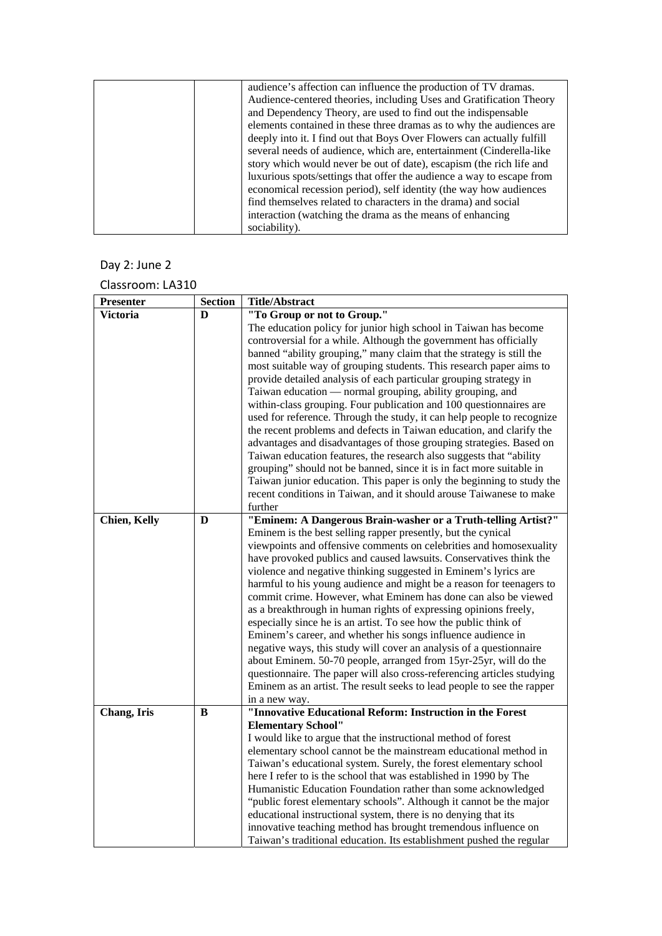| audience's affection can influence the production of TV dramas.        |
|------------------------------------------------------------------------|
| Audience-centered theories, including Uses and Gratification Theory    |
| and Dependency Theory, are used to find out the indispensable          |
| elements contained in these three dramas as to why the audiences are   |
| deeply into it. I find out that Boys Over Flowers can actually fulfill |
| several needs of audience, which are, entertainment (Cinderella-like   |
| story which would never be out of date), escapism (the rich life and   |
| luxurious spots/settings that offer the audience a way to escape from  |
| economical recession period), self identity (the way how audiences     |
| find themselves related to characters in the drama) and social         |
| interaction (watching the drama as the means of enhancing              |
| sociability).                                                          |

# Day 2: June 2

| <b>Presenter</b> | <b>Section</b> | <b>Title/Abstract</b>                                                  |
|------------------|----------------|------------------------------------------------------------------------|
| <b>Victoria</b>  | D              | "To Group or not to Group."                                            |
|                  |                | The education policy for junior high school in Taiwan has become       |
|                  |                | controversial for a while. Although the government has officially      |
|                  |                | banned "ability grouping," many claim that the strategy is still the   |
|                  |                | most suitable way of grouping students. This research paper aims to    |
|                  |                | provide detailed analysis of each particular grouping strategy in      |
|                  |                | Taiwan education — normal grouping, ability grouping, and              |
|                  |                | within-class grouping. Four publication and 100 questionnaires are     |
|                  |                | used for reference. Through the study, it can help people to recognize |
|                  |                | the recent problems and defects in Taiwan education, and clarify the   |
|                  |                | advantages and disadvantages of those grouping strategies. Based on    |
|                  |                | Taiwan education features, the research also suggests that "ability"   |
|                  |                | grouping" should not be banned, since it is in fact more suitable in   |
|                  |                | Taiwan junior education. This paper is only the beginning to study the |
|                  |                | recent conditions in Taiwan, and it should arouse Taiwanese to make    |
|                  |                | further                                                                |
| Chien, Kelly     | D              | "Eminem: A Dangerous Brain-washer or a Truth-telling Artist?"          |
|                  |                | Eminem is the best selling rapper presently, but the cynical           |
|                  |                | viewpoints and offensive comments on celebrities and homosexuality     |
|                  |                | have provoked publics and caused lawsuits. Conservatives think the     |
|                  |                | violence and negative thinking suggested in Eminem's lyrics are        |
|                  |                | harmful to his young audience and might be a reason for teenagers to   |
|                  |                | commit crime. However, what Eminem has done can also be viewed         |
|                  |                | as a breakthrough in human rights of expressing opinions freely,       |
|                  |                | especially since he is an artist. To see how the public think of       |
|                  |                |                                                                        |
|                  |                | Eminem's career, and whether his songs influence audience in           |
|                  |                | negative ways, this study will cover an analysis of a questionnaire    |
|                  |                | about Eminem. 50-70 people, arranged from 15yr-25yr, will do the       |
|                  |                | questionnaire. The paper will also cross-referencing articles studying |
|                  |                | Eminem as an artist. The result seeks to lead people to see the rapper |
|                  |                | in a new way.                                                          |
| Chang, Iris      | B              | "Innovative Educational Reform: Instruction in the Forest              |
|                  |                | <b>Elementary School"</b>                                              |
|                  |                | I would like to argue that the instructional method of forest          |
|                  |                | elementary school cannot be the mainstream educational method in       |
|                  |                | Taiwan's educational system. Surely, the forest elementary school      |
|                  |                | here I refer to is the school that was established in 1990 by The      |
|                  |                | Humanistic Education Foundation rather than some acknowledged          |
|                  |                | "public forest elementary schools". Although it cannot be the major    |
|                  |                | educational instructional system, there is no denying that its         |
|                  |                | innovative teaching method has brought tremendous influence on         |
|                  |                | Taiwan's traditional education. Its establishment pushed the regular   |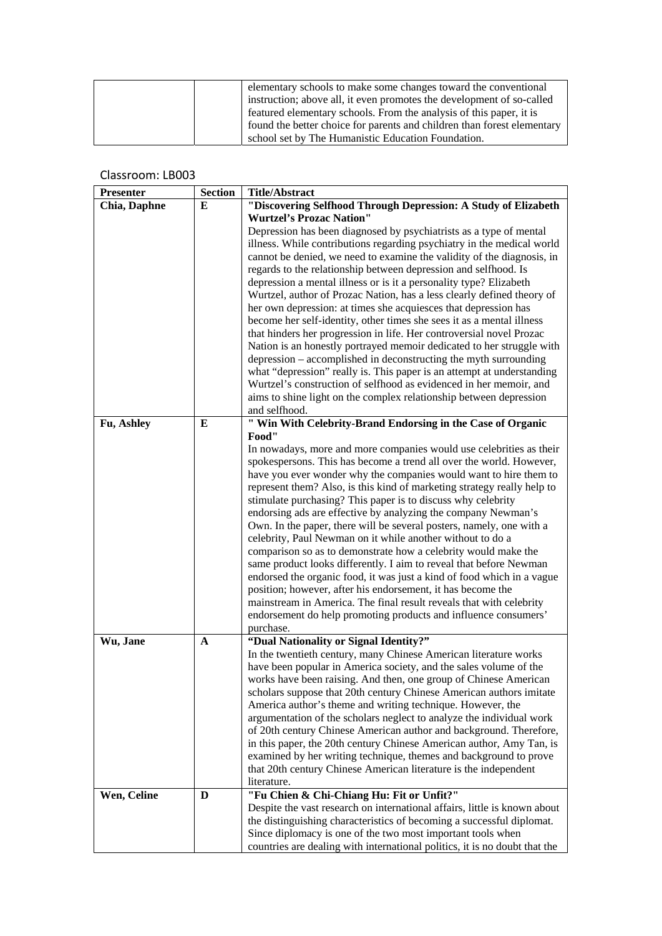| elementary schools to make some changes toward the conventional         |
|-------------------------------------------------------------------------|
| instruction; above all, it even promotes the development of so-called   |
| featured elementary schools. From the analysis of this paper, it is     |
| found the better choice for parents and children than forest elementary |
| school set by The Humanistic Education Foundation.                      |

| <b>Presenter</b> | <b>Section</b> | <b>Title/Abstract</b>                                                               |
|------------------|----------------|-------------------------------------------------------------------------------------|
| Chia, Daphne     | E              | "Discovering Selfhood Through Depression: A Study of Elizabeth                      |
|                  |                | <b>Wurtzel's Prozac Nation"</b>                                                     |
|                  |                | Depression has been diagnosed by psychiatrists as a type of mental                  |
|                  |                | illness. While contributions regarding psychiatry in the medical world              |
|                  |                | cannot be denied, we need to examine the validity of the diagnosis, in              |
|                  |                | regards to the relationship between depression and selfhood. Is                     |
|                  |                | depression a mental illness or is it a personality type? Elizabeth                  |
|                  |                | Wurtzel, author of Prozac Nation, has a less clearly defined theory of              |
|                  |                | her own depression: at times she acquiesces that depression has                     |
|                  |                | become her self-identity, other times she sees it as a mental illness               |
|                  |                | that hinders her progression in life. Her controversial novel Prozac                |
|                  |                | Nation is an honestly portrayed memoir dedicated to her struggle with               |
|                  |                | depression – accomplished in deconstructing the myth surrounding                    |
|                  |                | what "depression" really is. This paper is an attempt at understanding              |
|                  |                | Wurtzel's construction of selfhood as evidenced in her memoir, and                  |
|                  |                | aims to shine light on the complex relationship between depression<br>and selfhood. |
| Fu, Ashley       | E              | " Win With Celebrity-Brand Endorsing in the Case of Organic                         |
|                  |                | Food"                                                                               |
|                  |                | In nowadays, more and more companies would use celebrities as their                 |
|                  |                | spokespersons. This has become a trend all over the world. However,                 |
|                  |                | have you ever wonder why the companies would want to hire them to                   |
|                  |                | represent them? Also, is this kind of marketing strategy really help to             |
|                  |                | stimulate purchasing? This paper is to discuss why celebrity                        |
|                  |                | endorsing ads are effective by analyzing the company Newman's                       |
|                  |                | Own. In the paper, there will be several posters, namely, one with a                |
|                  |                | celebrity, Paul Newman on it while another without to do a                          |
|                  |                | comparison so as to demonstrate how a celebrity would make the                      |
|                  |                | same product looks differently. I aim to reveal that before Newman                  |
|                  |                | endorsed the organic food, it was just a kind of food which in a vague              |
|                  |                | position; however, after his endorsement, it has become the                         |
|                  |                | mainstream in America. The final result reveals that with celebrity                 |
|                  |                | endorsement do help promoting products and influence consumers'                     |
|                  |                | purchase.<br>"Dual Nationality or Signal Identity?"                                 |
| Wu, Jane         | A              | In the twentieth century, many Chinese American literature works                    |
|                  |                | have been popular in America society, and the sales volume of the                   |
|                  |                | works have been raising. And then, one group of Chinese American                    |
|                  |                | scholars suppose that 20th century Chinese American authors imitate                 |
|                  |                | America author's theme and writing technique. However, the                          |
|                  |                | argumentation of the scholars neglect to analyze the individual work                |
|                  |                | of 20th century Chinese American author and background. Therefore,                  |
|                  |                | in this paper, the 20th century Chinese American author, Amy Tan, is                |
|                  |                | examined by her writing technique, themes and background to prove                   |
|                  |                | that 20th century Chinese American literature is the independent                    |
|                  |                | literature.                                                                         |
| Wen, Celine      | D              | "Fu Chien & Chi-Chiang Hu: Fit or Unfit?"                                           |
|                  |                | Despite the vast research on international affairs, little is known about           |
|                  |                | the distinguishing characteristics of becoming a successful diplomat.               |
|                  |                | Since diplomacy is one of the two most important tools when                         |
|                  |                | countries are dealing with international politics, it is no doubt that the          |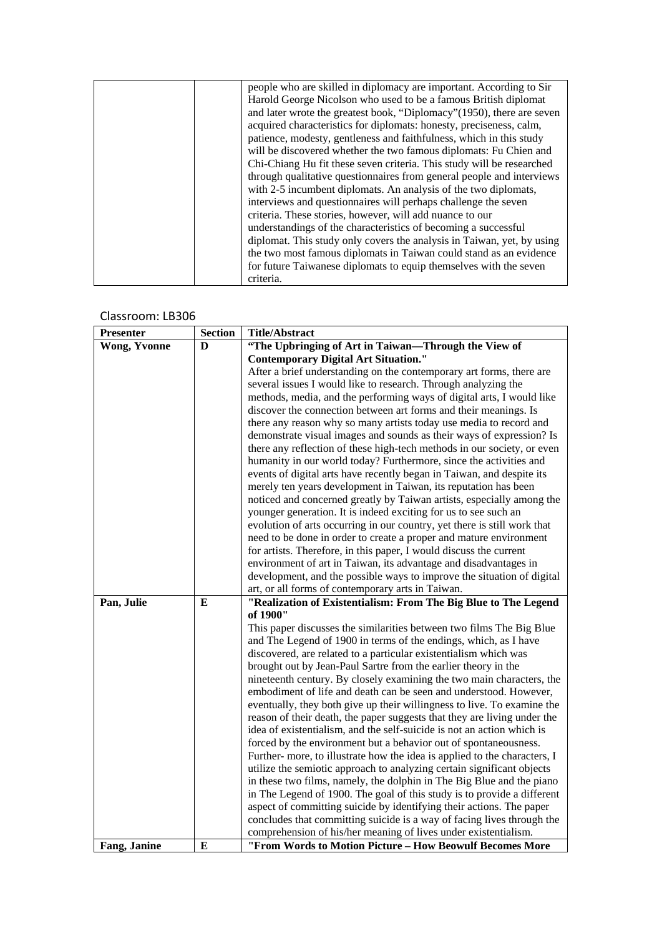| people who are skilled in diplomacy are important. According to Sir    |
|------------------------------------------------------------------------|
| Harold George Nicolson who used to be a famous British diplomat        |
| and later wrote the greatest book, "Diplomacy" (1950), there are seven |
| acquired characteristics for diplomats: honesty, preciseness, calm,    |
| patience, modesty, gentleness and faithfulness, which in this study    |
| will be discovered whether the two famous diplomats: Fu Chien and      |
| Chi-Chiang Hu fit these seven criteria. This study will be researched  |
| through qualitative questionnaires from general people and interviews  |
| with 2-5 incumbent diplomats. An analysis of the two diplomats,        |
| interviews and questionnaires will perhaps challenge the seven         |
| criteria. These stories, however, will add nuance to our               |
| understandings of the characteristics of becoming a successful         |
| diplomat. This study only covers the analysis in Taiwan, yet, by using |
| the two most famous diplomats in Taiwan could stand as an evidence     |
| for future Taiwanese diplomats to equip themselves with the seven      |
| criteria.                                                              |

| <b>Presenter</b>    | <b>Section</b> | <b>Title/Abstract</b>                                                                                                                   |
|---------------------|----------------|-----------------------------------------------------------------------------------------------------------------------------------------|
| <b>Wong, Yvonne</b> | D              | "The Upbringing of Art in Taiwan-Through the View of                                                                                    |
|                     |                | <b>Contemporary Digital Art Situation."</b>                                                                                             |
|                     |                | After a brief understanding on the contemporary art forms, there are                                                                    |
|                     |                | several issues I would like to research. Through analyzing the                                                                          |
|                     |                | methods, media, and the performing ways of digital arts, I would like                                                                   |
|                     |                | discover the connection between art forms and their meanings. Is                                                                        |
|                     |                | there any reason why so many artists today use media to record and                                                                      |
|                     |                | demonstrate visual images and sounds as their ways of expression? Is                                                                    |
|                     |                | there any reflection of these high-tech methods in our society, or even                                                                 |
|                     |                | humanity in our world today? Furthermore, since the activities and                                                                      |
|                     |                | events of digital arts have recently began in Taiwan, and despite its                                                                   |
|                     |                | merely ten years development in Taiwan, its reputation has been                                                                         |
|                     |                | noticed and concerned greatly by Taiwan artists, especially among the                                                                   |
|                     |                | younger generation. It is indeed exciting for us to see such an                                                                         |
|                     |                | evolution of arts occurring in our country, yet there is still work that                                                                |
|                     |                | need to be done in order to create a proper and mature environment                                                                      |
|                     |                | for artists. Therefore, in this paper, I would discuss the current                                                                      |
|                     |                | environment of art in Taiwan, its advantage and disadvantages in                                                                        |
|                     |                | development, and the possible ways to improve the situation of digital                                                                  |
|                     |                | art, or all forms of contemporary arts in Taiwan.                                                                                       |
| Pan, Julie          | E              | "Realization of Existentialism: From The Big Blue to The Legend                                                                         |
|                     |                | of 1900"                                                                                                                                |
|                     |                | This paper discusses the similarities between two films The Big Blue                                                                    |
|                     |                | and The Legend of 1900 in terms of the endings, which, as I have                                                                        |
|                     |                | discovered, are related to a particular existentialism which was                                                                        |
|                     |                | brought out by Jean-Paul Sartre from the earlier theory in the<br>nineteenth century. By closely examining the two main characters, the |
|                     |                | embodiment of life and death can be seen and understood. However,                                                                       |
|                     |                | eventually, they both give up their willingness to live. To examine the                                                                 |
|                     |                | reason of their death, the paper suggests that they are living under the                                                                |
|                     |                | idea of existentialism, and the self-suicide is not an action which is                                                                  |
|                     |                | forced by the environment but a behavior out of spontaneousness.                                                                        |
|                     |                | Further- more, to illustrate how the idea is applied to the characters, I                                                               |
|                     |                | utilize the semiotic approach to analyzing certain significant objects                                                                  |
|                     |                | in these two films, namely, the dolphin in The Big Blue and the piano                                                                   |
|                     |                | in The Legend of 1900. The goal of this study is to provide a different                                                                 |
|                     |                | aspect of committing suicide by identifying their actions. The paper                                                                    |
|                     |                | concludes that committing suicide is a way of facing lives through the                                                                  |
|                     |                | comprehension of his/her meaning of lives under existentialism.                                                                         |
| Fang, Janine        | E              | "From Words to Motion Picture - How Beowulf Becomes More                                                                                |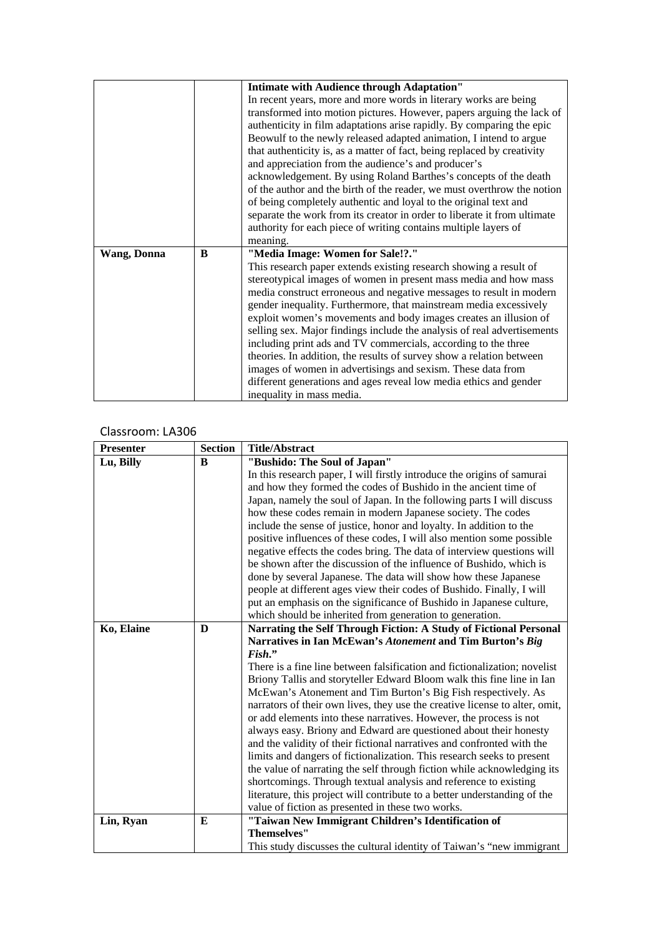|             |   | <b>Intimate with Audience through Adaptation"</b>                        |
|-------------|---|--------------------------------------------------------------------------|
|             |   | In recent years, more and more words in literary works are being         |
|             |   | transformed into motion pictures. However, papers arguing the lack of    |
|             |   | authenticity in film adaptations arise rapidly. By comparing the epic    |
|             |   | Beowulf to the newly released adapted animation, I intend to argue       |
|             |   | that authenticity is, as a matter of fact, being replaced by creativity  |
|             |   | and appreciation from the audience's and producer's                      |
|             |   | acknowledgement. By using Roland Barthes's concepts of the death         |
|             |   | of the author and the birth of the reader, we must overthrow the notion  |
|             |   | of being completely authentic and loyal to the original text and         |
|             |   | separate the work from its creator in order to liberate it from ultimate |
|             |   | authority for each piece of writing contains multiple layers of          |
|             |   | meaning.                                                                 |
| Wang, Donna | B | "Media Image: Women for Sale!?."                                         |
|             |   | This research paper extends existing research showing a result of        |
|             |   | stereotypical images of women in present mass media and how mass         |
|             |   | media construct erroneous and negative messages to result in modern      |
|             |   | gender inequality. Furthermore, that mainstream media excessively        |
|             |   | exploit women's movements and body images creates an illusion of         |
|             |   | selling sex. Major findings include the analysis of real advertisements  |
|             |   | including print ads and TV commercials, according to the three           |
|             |   | theories. In addition, the results of survey show a relation between     |
|             |   | images of women in advertisings and sexism. These data from              |
|             |   | different generations and ages reveal low media ethics and gender        |
|             |   | inequality in mass media.                                                |

| <b>Presenter</b> | <b>Section</b> | <b>Title/Abstract</b>                                                       |
|------------------|----------------|-----------------------------------------------------------------------------|
| Lu, Billy        | B              | "Bushido: The Soul of Japan"                                                |
|                  |                | In this research paper, I will firstly introduce the origins of samurai     |
|                  |                | and how they formed the codes of Bushido in the ancient time of             |
|                  |                | Japan, namely the soul of Japan. In the following parts I will discuss      |
|                  |                | how these codes remain in modern Japanese society. The codes                |
|                  |                | include the sense of justice, honor and loyalty. In addition to the         |
|                  |                | positive influences of these codes, I will also mention some possible       |
|                  |                | negative effects the codes bring. The data of interview questions will      |
|                  |                | be shown after the discussion of the influence of Bushido, which is         |
|                  |                | done by several Japanese. The data will show how these Japanese             |
|                  |                | people at different ages view their codes of Bushido. Finally, I will       |
|                  |                | put an emphasis on the significance of Bushido in Japanese culture,         |
|                  |                | which should be inherited from generation to generation.                    |
| Ko, Elaine       | D              | Narrating the Self Through Fiction: A Study of Fictional Personal           |
|                  |                | Narratives in Ian McEwan's Atonement and Tim Burton's Big                   |
|                  |                | Fish."                                                                      |
|                  |                | There is a fine line between falsification and fictionalization; novelist   |
|                  |                | Briony Tallis and storyteller Edward Bloom walk this fine line in Ian       |
|                  |                | McEwan's Atonement and Tim Burton's Big Fish respectively. As               |
|                  |                | narrators of their own lives, they use the creative license to alter, omit, |
|                  |                | or add elements into these narratives. However, the process is not          |
|                  |                | always easy. Briony and Edward are questioned about their honesty           |
|                  |                | and the validity of their fictional narratives and confronted with the      |
|                  |                | limits and dangers of fictionalization. This research seeks to present      |
|                  |                | the value of narrating the self through fiction while acknowledging its     |
|                  |                | shortcomings. Through textual analysis and reference to existing            |
|                  |                | literature, this project will contribute to a better understanding of the   |
|                  |                | value of fiction as presented in these two works.                           |
| Lin, Ryan        | E              | "Taiwan New Immigrant Children's Identification of                          |
|                  |                | <b>Themselves"</b>                                                          |
|                  |                | This study discusses the cultural identity of Taiwan's "new immigrant       |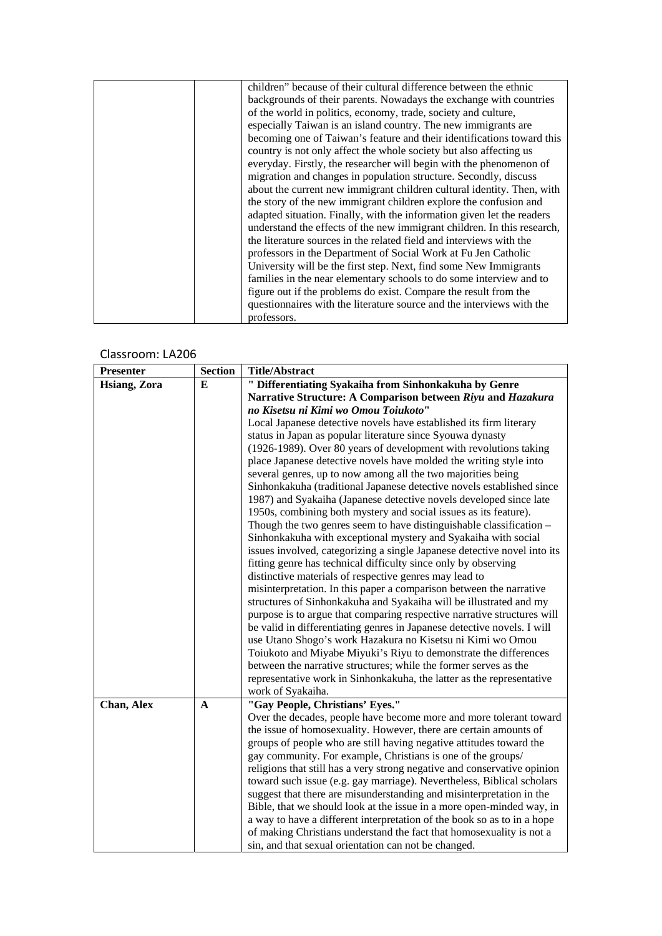| children" because of their cultural difference between the ethnic       |
|-------------------------------------------------------------------------|
| backgrounds of their parents. Nowadays the exchange with countries      |
| of the world in politics, economy, trade, society and culture,          |
| especially Taiwan is an island country. The new immigrants are          |
| becoming one of Taiwan's feature and their identifications toward this  |
| country is not only affect the whole society but also affecting us      |
| everyday. Firstly, the researcher will begin with the phenomenon of     |
| migration and changes in population structure. Secondly, discuss        |
| about the current new immigrant children cultural identity. Then, with  |
| the story of the new immigrant children explore the confusion and       |
| adapted situation. Finally, with the information given let the readers  |
| understand the effects of the new immigrant children. In this research, |
| the literature sources in the related field and interviews with the     |
| professors in the Department of Social Work at Fu Jen Catholic          |
| University will be the first step. Next, find some New Immigrants       |
| families in the near elementary schools to do some interview and to     |
| figure out if the problems do exist. Compare the result from the        |
| questionnaires with the literature source and the interviews with the   |
| professors.                                                             |

| <b>Presenter</b> | <b>Section</b> | <b>Title/Abstract</b>                                                    |
|------------------|----------------|--------------------------------------------------------------------------|
| Hsiang, Zora     | E              | " Differentiating Syakaiha from Sinhonkakuha by Genre                    |
|                  |                | Narrative Structure: A Comparison between Riyu and Hazakura              |
|                  |                | no Kisetsu ni Kimi wo Omou Toiukoto"                                     |
|                  |                | Local Japanese detective novels have established its firm literary       |
|                  |                | status in Japan as popular literature since Syouwa dynasty               |
|                  |                | (1926-1989). Over 80 years of development with revolutions taking        |
|                  |                | place Japanese detective novels have molded the writing style into       |
|                  |                | several genres, up to now among all the two majorities being             |
|                  |                | Sinhonkakuha (traditional Japanese detective novels established since    |
|                  |                | 1987) and Syakaiha (Japanese detective novels developed since late       |
|                  |                | 1950s, combining both mystery and social issues as its feature).         |
|                  |                | Though the two genres seem to have distinguishable classification -      |
|                  |                | Sinhonkakuha with exceptional mystery and Syakaiha with social           |
|                  |                | issues involved, categorizing a single Japanese detective novel into its |
|                  |                | fitting genre has technical difficulty since only by observing           |
|                  |                | distinctive materials of respective genres may lead to                   |
|                  |                | misinterpretation. In this paper a comparison between the narrative      |
|                  |                | structures of Sinhonkakuha and Syakaiha will be illustrated and my       |
|                  |                | purpose is to argue that comparing respective narrative structures will  |
|                  |                | be valid in differentiating genres in Japanese detective novels. I will  |
|                  |                | use Utano Shogo's work Hazakura no Kisetsu ni Kimi wo Omou               |
|                  |                | Toiukoto and Miyabe Miyuki's Riyu to demonstrate the differences         |
|                  |                | between the narrative structures; while the former serves as the         |
|                  |                | representative work in Sinhonkakuha, the latter as the representative    |
|                  |                | work of Syakaiha.                                                        |
| Chan, Alex       | A              | "Gay People, Christians' Eyes."                                          |
|                  |                | Over the decades, people have become more and more tolerant toward       |
|                  |                | the issue of homosexuality. However, there are certain amounts of        |
|                  |                | groups of people who are still having negative attitudes toward the      |
|                  |                | gay community. For example, Christians is one of the groups/             |
|                  |                | religions that still has a very strong negative and conservative opinion |
|                  |                | toward such issue (e.g. gay marriage). Nevertheless, Biblical scholars   |
|                  |                | suggest that there are misunderstanding and misinterpretation in the     |
|                  |                | Bible, that we should look at the issue in a more open-minded way, in    |
|                  |                | a way to have a different interpretation of the book so as to in a hope  |
|                  |                | of making Christians understand the fact that homosexuality is not a     |
|                  |                | sin, and that sexual orientation can not be changed.                     |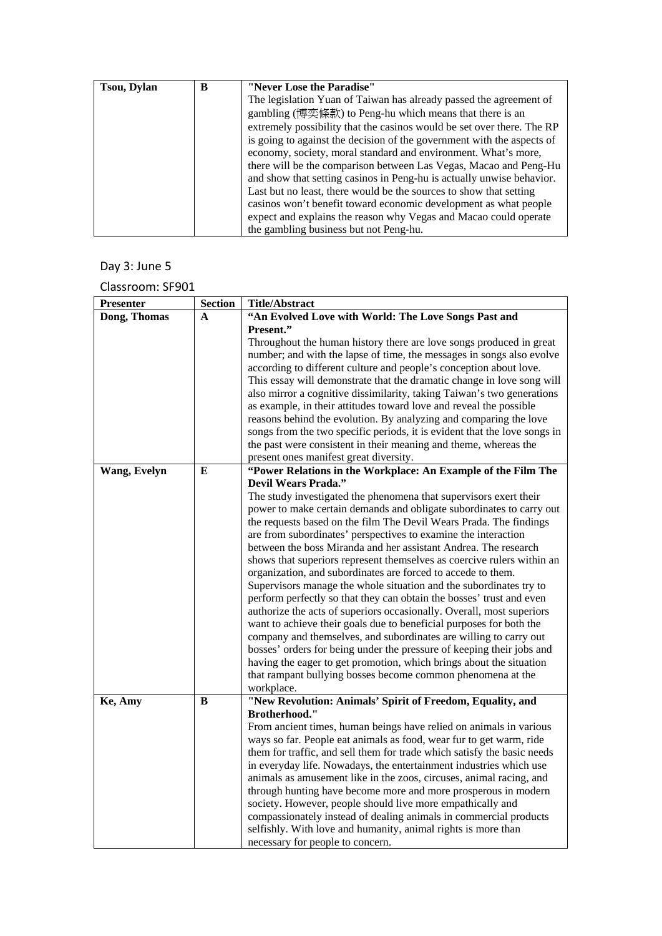| <b>Tsou, Dylan</b> | B | "Never Lose the Paradise"                                              |
|--------------------|---|------------------------------------------------------------------------|
|                    |   | The legislation Yuan of Taiwan has already passed the agreement of     |
|                    |   | gambling (博奕條款) to Peng-hu which means that there is an                |
|                    |   | extremely possibility that the casinos would be set over there. The RP |
|                    |   | is going to against the decision of the government with the aspects of |
|                    |   | economy, society, moral standard and environment. What's more,         |
|                    |   | there will be the comparison between Las Vegas, Macao and Peng-Hu      |
|                    |   | and show that setting casinos in Peng-hu is actually unwise behavior.  |
|                    |   | Last but no least, there would be the sources to show that setting     |
|                    |   | casinos won't benefit toward economic development as what people       |
|                    |   | expect and explains the reason why Vegas and Macao could operate       |
|                    |   | the gambling business but not Peng-hu.                                 |

# Day 3: June 5

Classroom: SF901

| <b>Presenter</b> | <b>Section</b> | <b>Title/Abstract</b>                                                     |
|------------------|----------------|---------------------------------------------------------------------------|
| Dong, Thomas     | $\mathbf{A}$   | "An Evolved Love with World: The Love Songs Past and                      |
|                  |                | Present."                                                                 |
|                  |                | Throughout the human history there are love songs produced in great       |
|                  |                | number; and with the lapse of time, the messages in songs also evolve     |
|                  |                | according to different culture and people's conception about love.        |
|                  |                | This essay will demonstrate that the dramatic change in love song will    |
|                  |                | also mirror a cognitive dissimilarity, taking Taiwan's two generations    |
|                  |                | as example, in their attitudes toward love and reveal the possible        |
|                  |                | reasons behind the evolution. By analyzing and comparing the love         |
|                  |                | songs from the two specific periods, it is evident that the love songs in |
|                  |                | the past were consistent in their meaning and theme, whereas the          |
|                  |                | present ones manifest great diversity.                                    |
| Wang, Evelyn     | E              | "Power Relations in the Workplace: An Example of the Film The             |
|                  |                | <b>Devil Wears Prada."</b>                                                |
|                  |                | The study investigated the phenomena that supervisors exert their         |
|                  |                | power to make certain demands and obligate subordinates to carry out      |
|                  |                | the requests based on the film The Devil Wears Prada. The findings        |
|                  |                | are from subordinates' perspectives to examine the interaction            |
|                  |                | between the boss Miranda and her assistant Andrea. The research           |
|                  |                | shows that superiors represent themselves as coercive rulers within an    |
|                  |                | organization, and subordinates are forced to accede to them.              |
|                  |                | Supervisors manage the whole situation and the subordinates try to        |
|                  |                | perform perfectly so that they can obtain the bosses' trust and even      |
|                  |                | authorize the acts of superiors occasionally. Overall, most superiors     |
|                  |                | want to achieve their goals due to beneficial purposes for both the       |
|                  |                | company and themselves, and subordinates are willing to carry out         |
|                  |                | bosses' orders for being under the pressure of keeping their jobs and     |
|                  |                | having the eager to get promotion, which brings about the situation       |
|                  |                | that rampant bullying bosses become common phenomena at the               |
|                  |                | workplace.                                                                |
| Ke, Amy          | B              | "New Revolution: Animals' Spirit of Freedom, Equality, and                |
|                  |                | Brotherhood."                                                             |
|                  |                | From ancient times, human beings have relied on animals in various        |
|                  |                | ways so far. People eat animals as food, wear fur to get warm, ride       |
|                  |                | them for traffic, and sell them for trade which satisfy the basic needs   |
|                  |                | in everyday life. Nowadays, the entertainment industries which use        |
|                  |                | animals as amusement like in the zoos, circuses, animal racing, and       |
|                  |                | through hunting have become more and more prosperous in modern            |
|                  |                | society. However, people should live more empathically and                |
|                  |                | compassionately instead of dealing animals in commercial products         |
|                  |                | selfishly. With love and humanity, animal rights is more than             |
|                  |                | necessary for people to concern.                                          |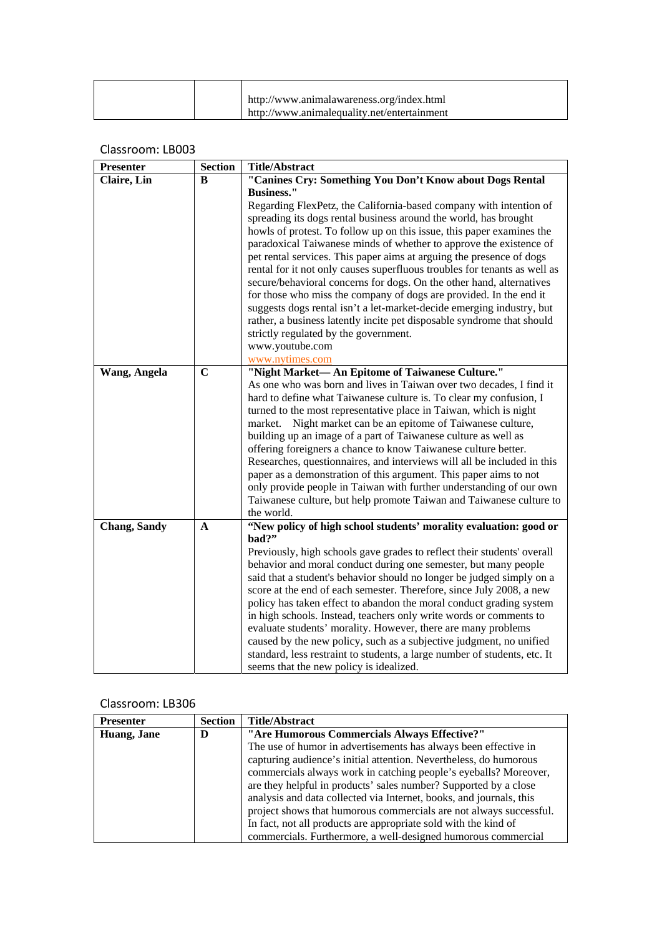|  | http://www.animalawareness.org/index.html   |
|--|---------------------------------------------|
|  | http://www.animalequality.net/entertainment |

| <b>Presenter</b>    | <b>Section</b> | <b>Title/Abstract</b>                                                                                                                      |
|---------------------|----------------|--------------------------------------------------------------------------------------------------------------------------------------------|
| Claire, Lin         | B              | "Canines Cry: Something You Don't Know about Dogs Rental                                                                                   |
|                     |                | <b>Business."</b>                                                                                                                          |
|                     |                | Regarding FlexPetz, the California-based company with intention of                                                                         |
|                     |                | spreading its dogs rental business around the world, has brought                                                                           |
|                     |                | howls of protest. To follow up on this issue, this paper examines the                                                                      |
|                     |                | paradoxical Taiwanese minds of whether to approve the existence of<br>pet rental services. This paper aims at arguing the presence of dogs |
|                     |                | rental for it not only causes superfluous troubles for tenants as well as                                                                  |
|                     |                | secure/behavioral concerns for dogs. On the other hand, alternatives                                                                       |
|                     |                | for those who miss the company of dogs are provided. In the end it                                                                         |
|                     |                | suggests dogs rental isn't a let-market-decide emerging industry, but                                                                      |
|                     |                | rather, a business latently incite pet disposable syndrome that should                                                                     |
|                     |                | strictly regulated by the government.                                                                                                      |
|                     |                | www.youtube.com                                                                                                                            |
|                     |                | www.nytimes.com                                                                                                                            |
| Wang, Angela        | $\mathbf C$    | "Night Market-An Epitome of Taiwanese Culture."                                                                                            |
|                     |                | As one who was born and lives in Taiwan over two decades, I find it                                                                        |
|                     |                | hard to define what Taiwanese culture is. To clear my confusion, I                                                                         |
|                     |                | turned to the most representative place in Taiwan, which is night                                                                          |
|                     |                | market. Night market can be an epitome of Taiwanese culture,                                                                               |
|                     |                | building up an image of a part of Taiwanese culture as well as                                                                             |
|                     |                | offering foreigners a chance to know Taiwanese culture better.                                                                             |
|                     |                | Researches, questionnaires, and interviews will all be included in this                                                                    |
|                     |                | paper as a demonstration of this argument. This paper aims to not                                                                          |
|                     |                | only provide people in Taiwan with further understanding of our own                                                                        |
|                     |                | Taiwanese culture, but help promote Taiwan and Taiwanese culture to                                                                        |
|                     |                | the world.                                                                                                                                 |
| <b>Chang, Sandy</b> | A              | "New policy of high school students' morality evaluation: good or                                                                          |
|                     |                | bad?"                                                                                                                                      |
|                     |                | Previously, high schools gave grades to reflect their students' overall                                                                    |
|                     |                | behavior and moral conduct during one semester, but many people<br>said that a student's behavior should no longer be judged simply on a   |
|                     |                | score at the end of each semester. Therefore, since July 2008, a new                                                                       |
|                     |                | policy has taken effect to abandon the moral conduct grading system                                                                        |
|                     |                | in high schools. Instead, teachers only write words or comments to                                                                         |
|                     |                | evaluate students' morality. However, there are many problems                                                                              |
|                     |                | caused by the new policy, such as a subjective judgment, no unified                                                                        |
|                     |                | standard, less restraint to students, a large number of students, etc. It                                                                  |
|                     |                | seems that the new policy is idealized.                                                                                                    |

| <b>Presenter</b> | <b>Section</b> | <b>Title/Abstract</b>                                               |
|------------------|----------------|---------------------------------------------------------------------|
| Huang, Jane      | D              | "Are Humorous Commercials Always Effective?"                        |
|                  |                | The use of humor in advertisements has always been effective in     |
|                  |                | capturing audience's initial attention. Nevertheless, do humorous   |
|                  |                | commercials always work in catching people's eyeballs? Moreover,    |
|                  |                | are they helpful in products' sales number? Supported by a close    |
|                  |                | analysis and data collected via Internet, books, and journals, this |
|                  |                | project shows that humorous commercials are not always successful.  |
|                  |                | In fact, not all products are appropriate sold with the kind of     |
|                  |                | commercials. Furthermore, a well-designed humorous commercial       |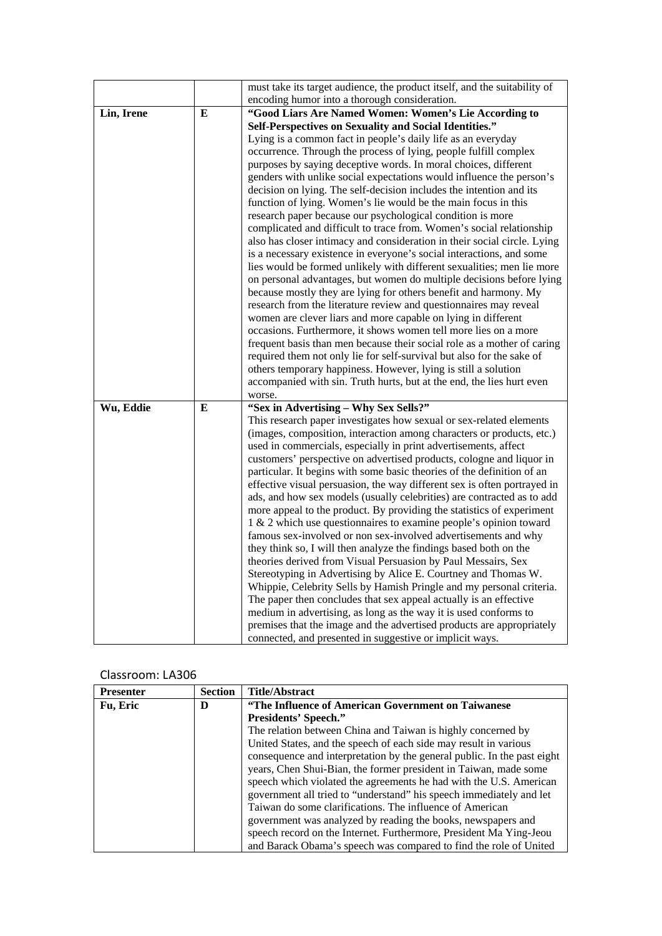|            |   | must take its target audience, the product itself, and the suitability of                                                                          |
|------------|---|----------------------------------------------------------------------------------------------------------------------------------------------------|
|            |   | encoding humor into a thorough consideration.                                                                                                      |
| Lin, Irene | E | "Good Liars Are Named Women: Women's Lie According to                                                                                              |
|            |   | Self-Perspectives on Sexuality and Social Identities."                                                                                             |
|            |   | Lying is a common fact in people's daily life as an everyday                                                                                       |
|            |   | occurrence. Through the process of lying, people fulfill complex                                                                                   |
|            |   | purposes by saying deceptive words. In moral choices, different                                                                                    |
|            |   | genders with unlike social expectations would influence the person's                                                                               |
|            |   | decision on lying. The self-decision includes the intention and its                                                                                |
|            |   | function of lying. Women's lie would be the main focus in this                                                                                     |
|            |   | research paper because our psychological condition is more                                                                                         |
|            |   | complicated and difficult to trace from. Women's social relationship                                                                               |
|            |   | also has closer intimacy and consideration in their social circle. Lying                                                                           |
|            |   | is a necessary existence in everyone's social interactions, and some                                                                               |
|            |   | lies would be formed unlikely with different sexualities; men lie more<br>on personal advantages, but women do multiple decisions before lying     |
|            |   | because mostly they are lying for others benefit and harmony. My                                                                                   |
|            |   | research from the literature review and questionnaires may reveal                                                                                  |
|            |   | women are clever liars and more capable on lying in different                                                                                      |
|            |   | occasions. Furthermore, it shows women tell more lies on a more                                                                                    |
|            |   | frequent basis than men because their social role as a mother of caring                                                                            |
|            |   | required them not only lie for self-survival but also for the sake of                                                                              |
|            |   | others temporary happiness. However, lying is still a solution                                                                                     |
|            |   | accompanied with sin. Truth hurts, but at the end, the lies hurt even                                                                              |
|            |   | worse.                                                                                                                                             |
| Wu, Eddie  | E | "Sex in Advertising - Why Sex Sells?"                                                                                                              |
|            |   | This research paper investigates how sexual or sex-related elements                                                                                |
|            |   | (images, composition, interaction among characters or products, etc.)                                                                              |
|            |   | used in commercials, especially in print advertisements, affect                                                                                    |
|            |   | customers' perspective on advertised products, cologne and liquor in                                                                               |
|            |   | particular. It begins with some basic theories of the definition of an                                                                             |
|            |   | effective visual persuasion, the way different sex is often portrayed in<br>ads, and how sex models (usually celebrities) are contracted as to add |
|            |   | more appeal to the product. By providing the statistics of experiment                                                                              |
|            |   | 1 & 2 which use questionnaires to examine people's opinion toward                                                                                  |
|            |   | famous sex-involved or non sex-involved advertisements and why                                                                                     |
|            |   | they think so, I will then analyze the findings based both on the                                                                                  |
|            |   | theories derived from Visual Persuasion by Paul Messairs, Sex                                                                                      |
|            |   | Stereotyping in Advertising by Alice E. Courtney and Thomas W.                                                                                     |
|            |   | Whippie, Celebrity Sells by Hamish Pringle and my personal criteria.                                                                               |
|            |   | The paper then concludes that sex appeal actually is an effective                                                                                  |
|            |   | medium in advertising, as long as the way it is used conforms to                                                                                   |
|            |   | premises that the image and the advertised products are appropriately                                                                              |
|            |   | connected, and presented in suggestive or implicit ways.                                                                                           |

| <b>Presenter</b> | <b>Section</b> | <b>Title/Abstract</b>                                                   |
|------------------|----------------|-------------------------------------------------------------------------|
| Fu, Eric         | D              | "The Influence of American Government on Taiwanese                      |
|                  |                | <b>Presidents' Speech."</b>                                             |
|                  |                | The relation between China and Taiwan is highly concerned by            |
|                  |                | United States, and the speech of each side may result in various        |
|                  |                | consequence and interpretation by the general public. In the past eight |
|                  |                | years, Chen Shui-Bian, the former president in Taiwan, made some        |
|                  |                | speech which violated the agreements he had with the U.S. American      |
|                  |                | government all tried to "understand" his speech immediately and let     |
|                  |                | Taiwan do some clarifications. The influence of American                |
|                  |                | government was analyzed by reading the books, newspapers and            |
|                  |                | speech record on the Internet. Furthermore, President Ma Ying-Jeou      |
|                  |                | and Barack Obama's speech was compared to find the role of United       |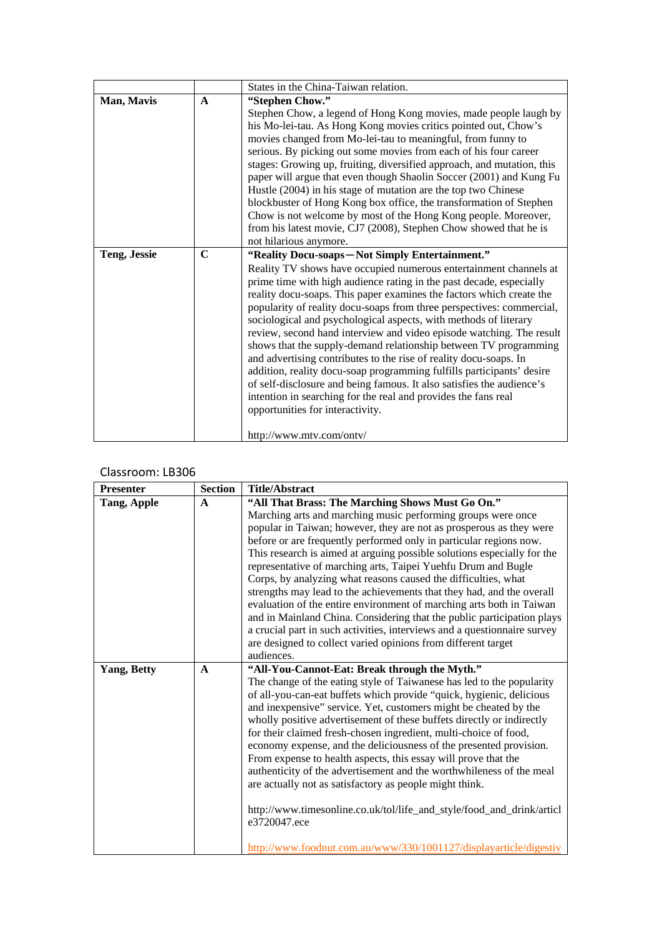|                     |              | States in the China-Taiwan relation.                                                                                                                                                                                                                                                                                                                                                                                                                                                                                                                                                                                                                                                                                                                                                                                                                                                                                 |
|---------------------|--------------|----------------------------------------------------------------------------------------------------------------------------------------------------------------------------------------------------------------------------------------------------------------------------------------------------------------------------------------------------------------------------------------------------------------------------------------------------------------------------------------------------------------------------------------------------------------------------------------------------------------------------------------------------------------------------------------------------------------------------------------------------------------------------------------------------------------------------------------------------------------------------------------------------------------------|
| Man, Mavis          | $\mathbf{A}$ | "Stephen Chow."<br>Stephen Chow, a legend of Hong Kong movies, made people laugh by<br>his Mo-lei-tau. As Hong Kong movies critics pointed out, Chow's<br>movies changed from Mo-lei-tau to meaningful, from funny to<br>serious. By picking out some movies from each of his four career<br>stages: Growing up, fruiting, diversified approach, and mutation, this<br>paper will argue that even though Shaolin Soccer (2001) and Kung Fu<br>Hustle (2004) in his stage of mutation are the top two Chinese<br>blockbuster of Hong Kong box office, the transformation of Stephen<br>Chow is not welcome by most of the Hong Kong people. Moreover,<br>from his latest movie, CJ7 (2008), Stephen Chow showed that he is<br>not hilarious anymore.                                                                                                                                                                  |
| <b>Teng, Jessie</b> | $\mathbf C$  | "Reality Docu-soaps-Not Simply Entertainment."<br>Reality TV shows have occupied numerous entertainment channels at<br>prime time with high audience rating in the past decade, especially<br>reality docu-soaps. This paper examines the factors which create the<br>popularity of reality docu-soaps from three perspectives: commercial,<br>sociological and psychological aspects, with methods of literary<br>review, second hand interview and video episode watching. The result<br>shows that the supply-demand relationship between TV programming<br>and advertising contributes to the rise of reality docu-soaps. In<br>addition, reality docu-soap programming fulfills participants' desire<br>of self-disclosure and being famous. It also satisfies the audience's<br>intention in searching for the real and provides the fans real<br>opportunities for interactivity.<br>http://www.mtv.com/ontv/ |

| <b>Presenter</b>   | <b>Section</b> | <b>Title/Abstract</b>                                                    |
|--------------------|----------------|--------------------------------------------------------------------------|
| Tang, Apple        | $\mathbf A$    | "All That Brass: The Marching Shows Must Go On."                         |
|                    |                | Marching arts and marching music performing groups were once             |
|                    |                | popular in Taiwan; however, they are not as prosperous as they were      |
|                    |                | before or are frequently performed only in particular regions now.       |
|                    |                | This research is aimed at arguing possible solutions especially for the  |
|                    |                | representative of marching arts, Taipei Yuehfu Drum and Bugle            |
|                    |                | Corps, by analyzing what reasons caused the difficulties, what           |
|                    |                | strengths may lead to the achievements that they had, and the overall    |
|                    |                | evaluation of the entire environment of marching arts both in Taiwan     |
|                    |                | and in Mainland China. Considering that the public participation plays   |
|                    |                | a crucial part in such activities, interviews and a questionnaire survey |
|                    |                | are designed to collect varied opinions from different target            |
|                    |                | audiences.                                                               |
| <b>Yang, Betty</b> | $\mathbf{A}$   | "All-You-Cannot-Eat: Break through the Myth."                            |
|                    |                | The change of the eating style of Taiwanese has led to the popularity    |
|                    |                | of all-you-can-eat buffets which provide "quick, hygienic, delicious     |
|                    |                | and inexpensive" service. Yet, customers might be cheated by the         |
|                    |                | wholly positive advertisement of these buffets directly or indirectly    |
|                    |                | for their claimed fresh-chosen ingredient, multi-choice of food,         |
|                    |                | economy expense, and the deliciousness of the presented provision.       |
|                    |                | From expense to health aspects, this essay will prove that the           |
|                    |                | authenticity of the advertisement and the worthwhileness of the meal     |
|                    |                | are actually not as satisfactory as people might think.                  |
|                    |                |                                                                          |
|                    |                | http://www.timesonline.co.uk/tol/life_and_style/food_and_drink/articl    |
|                    |                | e3720047.ece                                                             |
|                    |                | http://www.foodnut.com.au/www/330/1001127/displayarticle/digestiv        |
|                    |                |                                                                          |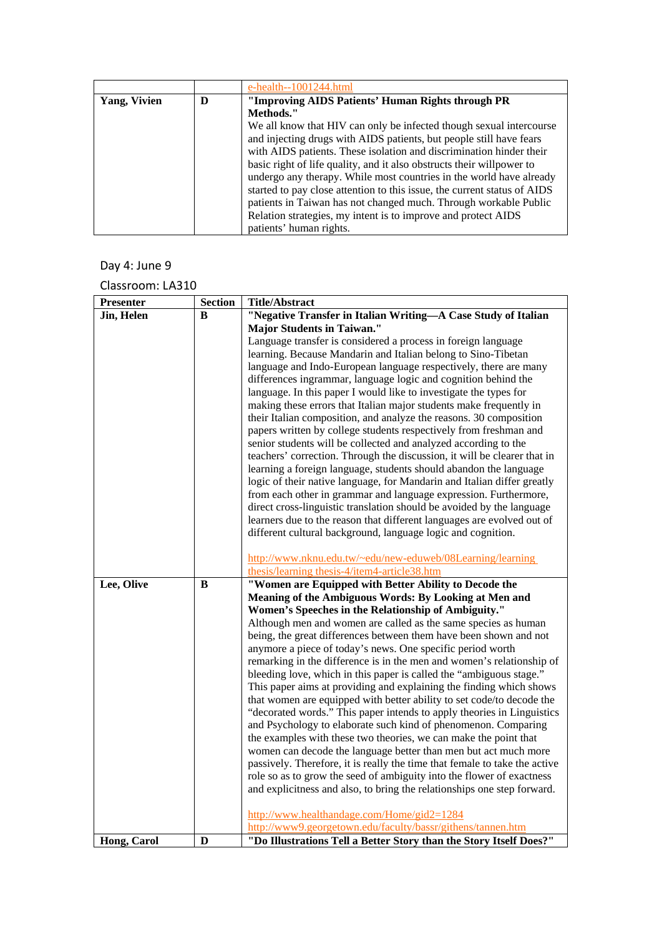|                     |   | $e$ -health--1001244.html                                                |
|---------------------|---|--------------------------------------------------------------------------|
| <b>Yang, Vivien</b> | D | "Improving AIDS Patients' Human Rights through PR                        |
|                     |   | Methods."                                                                |
|                     |   | We all know that HIV can only be infected though sexual intercourse      |
|                     |   | and injecting drugs with AIDS patients, but people still have fears      |
|                     |   | with AIDS patients. These isolation and discrimination hinder their      |
|                     |   | basic right of life quality, and it also obstructs their will power to   |
|                     |   | undergo any therapy. While most countries in the world have already      |
|                     |   | started to pay close attention to this issue, the current status of AIDS |
|                     |   | patients in Taiwan has not changed much. Through workable Public         |
|                     |   | Relation strategies, my intent is to improve and protect AIDS            |
|                     |   | patients' human rights.                                                  |

## Day 4: June 9

| Presenter   | <b>Section</b> | <b>Title/Abstract</b>                                                                                                                            |
|-------------|----------------|--------------------------------------------------------------------------------------------------------------------------------------------------|
| Jin, Helen  | B              | "Negative Transfer in Italian Writing-A Case Study of Italian                                                                                    |
|             |                | <b>Major Students in Taiwan."</b>                                                                                                                |
|             |                | Language transfer is considered a process in foreign language                                                                                    |
|             |                | learning. Because Mandarin and Italian belong to Sino-Tibetan                                                                                    |
|             |                | language and Indo-European language respectively, there are many                                                                                 |
|             |                | differences ingrammar, language logic and cognition behind the                                                                                   |
|             |                | language. In this paper I would like to investigate the types for                                                                                |
|             |                | making these errors that Italian major students make frequently in                                                                               |
|             |                | their Italian composition, and analyze the reasons. 30 composition                                                                               |
|             |                | papers written by college students respectively from freshman and                                                                                |
|             |                | senior students will be collected and analyzed according to the                                                                                  |
|             |                | teachers' correction. Through the discussion, it will be clearer that in                                                                         |
|             |                | learning a foreign language, students should abandon the language                                                                                |
|             |                | logic of their native language, for Mandarin and Italian differ greatly                                                                          |
|             |                | from each other in grammar and language expression. Furthermore,                                                                                 |
|             |                | direct cross-linguistic translation should be avoided by the language                                                                            |
|             |                | learners due to the reason that different languages are evolved out of                                                                           |
|             |                | different cultural background, language logic and cognition.                                                                                     |
|             |                | http://www.nknu.edu.tw/~edu/new-eduweb/08Learning/learning                                                                                       |
|             |                | thesis/learning thesis-4/item4-article38.htm                                                                                                     |
| Lee, Olive  | B              | "Women are Equipped with Better Ability to Decode the                                                                                            |
|             |                | Meaning of the Ambiguous Words: By Looking at Men and                                                                                            |
|             |                | Women's Speeches in the Relationship of Ambiguity."                                                                                              |
|             |                | Although men and women are called as the same species as human                                                                                   |
|             |                | being, the great differences between them have been shown and not                                                                                |
|             |                | anymore a piece of today's news. One specific period worth                                                                                       |
|             |                | remarking in the difference is in the men and women's relationship of                                                                            |
|             |                | bleeding love, which in this paper is called the "ambiguous stage."                                                                              |
|             |                | This paper aims at providing and explaining the finding which shows                                                                              |
|             |                | that women are equipped with better ability to set code/to decode the                                                                            |
|             |                | "decorated words." This paper intends to apply theories in Linguistics                                                                           |
|             |                | and Psychology to elaborate such kind of phenomenon. Comparing                                                                                   |
|             |                | the examples with these two theories, we can make the point that                                                                                 |
|             |                | women can decode the language better than men but act much more                                                                                  |
|             |                | passively. Therefore, it is really the time that female to take the active                                                                       |
|             |                | role so as to grow the seed of ambiguity into the flower of exactness<br>and explicitness and also, to bring the relationships one step forward. |
|             |                |                                                                                                                                                  |
|             |                | http://www.healthandage.com/Home/gid2=1284                                                                                                       |
|             |                | http://www9.georgetown.edu/faculty/bassr/githens/tannen.htm                                                                                      |
| Hong, Carol | D              | "Do Illustrations Tell a Better Story than the Story Itself Does?"                                                                               |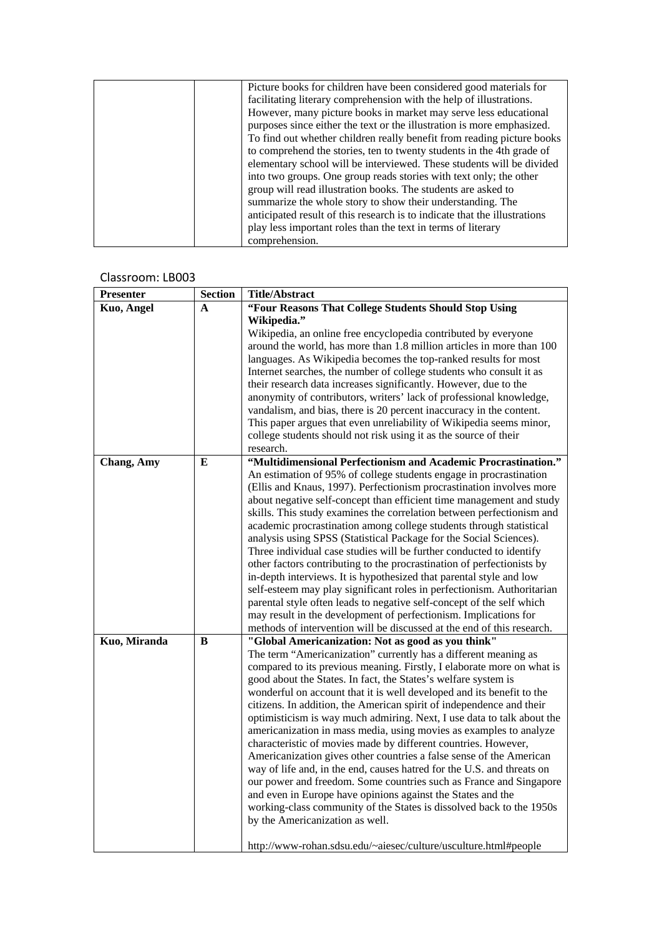| Picture books for children have been considered good materials for        |
|---------------------------------------------------------------------------|
| facilitating literary comprehension with the help of illustrations.       |
| However, many picture books in market may serve less educational          |
| purposes since either the text or the illustration is more emphasized.    |
| To find out whether children really benefit from reading picture books    |
| to comprehend the stories, ten to twenty students in the 4th grade of     |
| elementary school will be interviewed. These students will be divided     |
| into two groups. One group reads stories with text only; the other        |
| group will read illustration books. The students are asked to             |
| summarize the whole story to show their understanding. The                |
| anticipated result of this research is to indicate that the illustrations |
| play less important roles than the text in terms of literary              |
| comprehension.                                                            |

| <b>Presenter</b> | <b>Section</b> | <b>Title/Abstract</b>                                                  |
|------------------|----------------|------------------------------------------------------------------------|
| Kuo, Angel       | A              | "Four Reasons That College Students Should Stop Using                  |
|                  |                | Wikipedia."                                                            |
|                  |                | Wikipedia, an online free encyclopedia contributed by everyone         |
|                  |                | around the world, has more than 1.8 million articles in more than 100  |
|                  |                | languages. As Wikipedia becomes the top-ranked results for most        |
|                  |                | Internet searches, the number of college students who consult it as    |
|                  |                | their research data increases significantly. However, due to the       |
|                  |                |                                                                        |
|                  |                | anonymity of contributors, writers' lack of professional knowledge,    |
|                  |                | vandalism, and bias, there is 20 percent inaccuracy in the content.    |
|                  |                | This paper argues that even unreliability of Wikipedia seems minor,    |
|                  |                | college students should not risk using it as the source of their       |
|                  |                | research.                                                              |
| Chang, Amy       | E              | "Multidimensional Perfectionism and Academic Procrastination."         |
|                  |                | An estimation of 95% of college students engage in procrastination     |
|                  |                | (Ellis and Knaus, 1997). Perfectionism procrastination involves more   |
|                  |                | about negative self-concept than efficient time management and study   |
|                  |                | skills. This study examines the correlation between perfectionism and  |
|                  |                | academic procrastination among college students through statistical    |
|                  |                |                                                                        |
|                  |                | analysis using SPSS (Statistical Package for the Social Sciences).     |
|                  |                | Three individual case studies will be further conducted to identify    |
|                  |                | other factors contributing to the procrastination of perfectionists by |
|                  |                | in-depth interviews. It is hypothesized that parental style and low    |
|                  |                | self-esteem may play significant roles in perfectionism. Authoritarian |
|                  |                | parental style often leads to negative self-concept of the self which  |
|                  |                | may result in the development of perfectionism. Implications for       |
|                  |                | methods of intervention will be discussed at the end of this research. |
| Kuo, Miranda     | B              | "Global Americanization: Not as good as you think"                     |
|                  |                | The term "Americanization" currently has a different meaning as        |
|                  |                | compared to its previous meaning. Firstly, I elaborate more on what is |
|                  |                | good about the States. In fact, the States's welfare system is         |
|                  |                | wonderful on account that it is well developed and its benefit to the  |
|                  |                |                                                                        |
|                  |                | citizens. In addition, the American spirit of independence and their   |
|                  |                | optimisticism is way much admiring. Next, I use data to talk about the |
|                  |                | americanization in mass media, using movies as examples to analyze     |
|                  |                | characteristic of movies made by different countries. However,         |
|                  |                | Americanization gives other countries a false sense of the American    |
|                  |                | way of life and, in the end, causes hatred for the U.S. and threats on |
|                  |                | our power and freedom. Some countries such as France and Singapore     |
|                  |                | and even in Europe have opinions against the States and the            |
|                  |                | working-class community of the States is dissolved back to the 1950s   |
|                  |                | by the Americanization as well.                                        |
|                  |                |                                                                        |
|                  |                | http://www-rohan.sdsu.edu/~aiesec/culture/usculture.html#people        |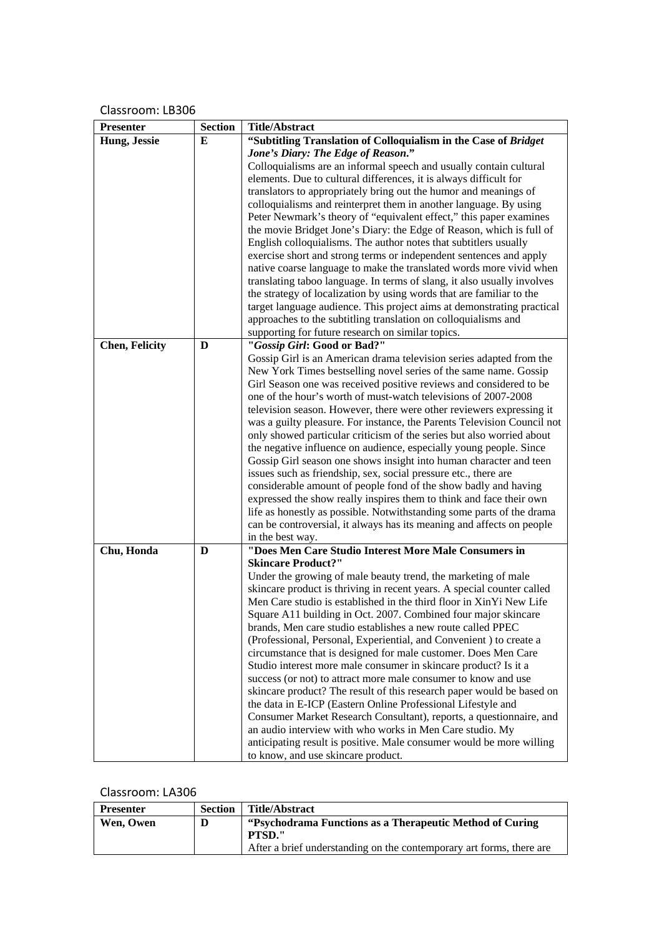| <b>Presenter</b>      | <b>Section</b> | <b>Title/Abstract</b>                                                                                                                  |
|-----------------------|----------------|----------------------------------------------------------------------------------------------------------------------------------------|
| Hung, Jessie          | E              | "Subtitling Translation of Colloquialism in the Case of Bridget                                                                        |
|                       |                | Jone's Diary: The Edge of Reason."                                                                                                     |
|                       |                | Colloquialisms are an informal speech and usually contain cultural                                                                     |
|                       |                | elements. Due to cultural differences, it is always difficult for                                                                      |
|                       |                | translators to appropriately bring out the humor and meanings of                                                                       |
|                       |                | colloquialisms and reinterpret them in another language. By using                                                                      |
|                       |                | Peter Newmark's theory of "equivalent effect," this paper examines                                                                     |
|                       |                | the movie Bridget Jone's Diary: the Edge of Reason, which is full of                                                                   |
|                       |                | English colloquialisms. The author notes that subtitlers usually                                                                       |
|                       |                | exercise short and strong terms or independent sentences and apply                                                                     |
|                       |                | native coarse language to make the translated words more vivid when                                                                    |
|                       |                | translating taboo language. In terms of slang, it also usually involves                                                                |
|                       |                | the strategy of localization by using words that are familiar to the                                                                   |
|                       |                | target language audience. This project aims at demonstrating practical                                                                 |
|                       |                | approaches to the subtitling translation on colloquialisms and                                                                         |
|                       |                | supporting for future research on similar topics.                                                                                      |
| <b>Chen, Felicity</b> | D              | "Gossip Girl: Good or Bad?"                                                                                                            |
|                       |                | Gossip Girl is an American drama television series adapted from the                                                                    |
|                       |                | New York Times bestselling novel series of the same name. Gossip                                                                       |
|                       |                | Girl Season one was received positive reviews and considered to be                                                                     |
|                       |                | one of the hour's worth of must-watch televisions of 2007-2008                                                                         |
|                       |                | television season. However, there were other reviewers expressing it                                                                   |
|                       |                | was a guilty pleasure. For instance, the Parents Television Council not                                                                |
|                       |                | only showed particular criticism of the series but also worried about                                                                  |
|                       |                | the negative influence on audience, especially young people. Since                                                                     |
|                       |                | Gossip Girl season one shows insight into human character and teen                                                                     |
|                       |                | issues such as friendship, sex, social pressure etc., there are                                                                        |
|                       |                | considerable amount of people fond of the show badly and having<br>expressed the show really inspires them to think and face their own |
|                       |                | life as honestly as possible. Notwithstanding some parts of the drama                                                                  |
|                       |                | can be controversial, it always has its meaning and affects on people                                                                  |
|                       |                | in the best way.                                                                                                                       |
| Chu, Honda            | D              | "Does Men Care Studio Interest More Male Consumers in                                                                                  |
|                       |                | <b>Skincare Product?"</b>                                                                                                              |
|                       |                | Under the growing of male beauty trend, the marketing of male                                                                          |
|                       |                | skincare product is thriving in recent years. A special counter called                                                                 |
|                       |                | Men Care studio is established in the third floor in XinYi New Life                                                                    |
|                       |                | Square A11 building in Oct. 2007. Combined four major skincare                                                                         |
|                       |                | brands, Men care studio establishes a new route called PPEC                                                                            |
|                       |                | (Professional, Personal, Experiential, and Convenient) to create a                                                                     |
|                       |                | circumstance that is designed for male customer. Does Men Care                                                                         |
|                       |                | Studio interest more male consumer in skincare product? Is it a                                                                        |
|                       |                | success (or not) to attract more male consumer to know and use                                                                         |
|                       |                | skincare product? The result of this research paper would be based on                                                                  |
|                       |                | the data in E-ICP (Eastern Online Professional Lifestyle and                                                                           |
|                       |                | Consumer Market Research Consultant), reports, a questionnaire, and                                                                    |
|                       |                | an audio interview with who works in Men Care studio. My                                                                               |
|                       |                | anticipating result is positive. Male consumer would be more willing                                                                   |
|                       |                | to know, and use skincare product.                                                                                                     |

| <b>Presenter</b> | <b>Section</b> | Title/Abstract                                                       |
|------------------|----------------|----------------------------------------------------------------------|
| Wen, Owen        | D              | "Psychodrama Functions as a Therapeutic Method of Curing"            |
|                  |                | <b>PTSD."</b>                                                        |
|                  |                | After a brief understanding on the contemporary art forms, there are |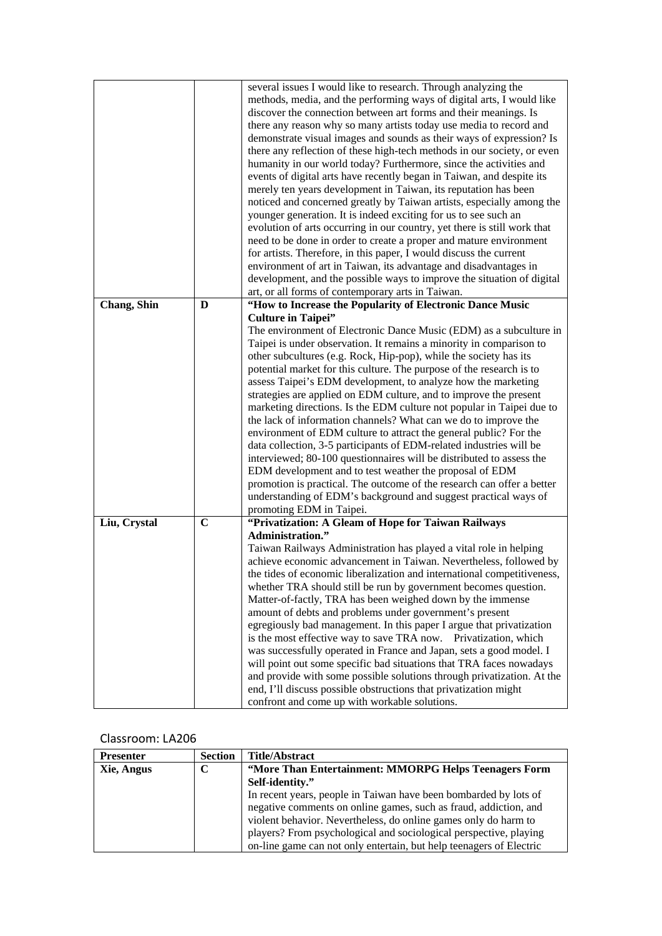|              |             | several issues I would like to research. Through analyzing the           |
|--------------|-------------|--------------------------------------------------------------------------|
|              |             | methods, media, and the performing ways of digital arts, I would like    |
|              |             | discover the connection between art forms and their meanings. Is         |
|              |             | there any reason why so many artists today use media to record and       |
|              |             | demonstrate visual images and sounds as their ways of expression? Is     |
|              |             | there any reflection of these high-tech methods in our society, or even  |
|              |             | humanity in our world today? Furthermore, since the activities and       |
|              |             | events of digital arts have recently began in Taiwan, and despite its    |
|              |             | merely ten years development in Taiwan, its reputation has been          |
|              |             | noticed and concerned greatly by Taiwan artists, especially among the    |
|              |             | younger generation. It is indeed exciting for us to see such an          |
|              |             | evolution of arts occurring in our country, yet there is still work that |
|              |             | need to be done in order to create a proper and mature environment       |
|              |             | for artists. Therefore, in this paper, I would discuss the current       |
|              |             |                                                                          |
|              |             | environment of art in Taiwan, its advantage and disadvantages in         |
|              |             | development, and the possible ways to improve the situation of digital   |
|              |             | art, or all forms of contemporary arts in Taiwan.                        |
| Chang, Shin  | D           | "How to Increase the Popularity of Electronic Dance Music                |
|              |             | <b>Culture in Taipei"</b>                                                |
|              |             | The environment of Electronic Dance Music (EDM) as a subculture in       |
|              |             | Taipei is under observation. It remains a minority in comparison to      |
|              |             | other subcultures (e.g. Rock, Hip-pop), while the society has its        |
|              |             | potential market for this culture. The purpose of the research is to     |
|              |             | assess Taipei's EDM development, to analyze how the marketing            |
|              |             | strategies are applied on EDM culture, and to improve the present        |
|              |             | marketing directions. Is the EDM culture not popular in Taipei due to    |
|              |             | the lack of information channels? What can we do to improve the          |
|              |             | environment of EDM culture to attract the general public? For the        |
|              |             | data collection, 3-5 participants of EDM-related industries will be      |
|              |             | interviewed; 80-100 questionnaires will be distributed to assess the     |
|              |             | EDM development and to test weather the proposal of EDM                  |
|              |             | promotion is practical. The outcome of the research can offer a better   |
|              |             | understanding of EDM's background and suggest practical ways of          |
|              |             | promoting EDM in Taipei.                                                 |
| Liu, Crystal | $\mathbf C$ | "Privatization: A Gleam of Hope for Taiwan Railways                      |
|              |             | <b>Administration."</b>                                                  |
|              |             | Taiwan Railways Administration has played a vital role in helping        |
|              |             | achieve economic advancement in Taiwan. Nevertheless, followed by        |
|              |             | the tides of economic liberalization and international competitiveness,  |
|              |             | whether TRA should still be run by government becomes question.          |
|              |             | Matter-of-factly, TRA has been weighed down by the immense               |
|              |             | amount of debts and problems under government's present                  |
|              |             | egregiously bad management. In this paper I argue that privatization     |
|              |             | is the most effective way to save TRA now. Privatization, which          |
|              |             | was successfully operated in France and Japan, sets a good model. I      |
|              |             | will point out some specific bad situations that TRA faces nowadays      |
|              |             | and provide with some possible solutions through privatization. At the   |
|              |             | end, I'll discuss possible obstructions that privatization might         |
|              |             | confront and come up with workable solutions.                            |

| <b>Presenter</b> | <b>Section</b> | <b>Title/Abstract</b>                                               |  |
|------------------|----------------|---------------------------------------------------------------------|--|
| Xie, Angus       | C              | "More Than Entertainment: MMORPG Helps Teenagers Form               |  |
|                  |                | Self-identity."                                                     |  |
|                  |                | In recent years, people in Taiwan have been bombarded by lots of    |  |
|                  |                | negative comments on online games, such as fraud, addiction, and    |  |
|                  |                | violent behavior. Nevertheless, do online games only do harm to     |  |
|                  |                | players? From psychological and sociological perspective, playing   |  |
|                  |                | on-line game can not only entertain, but help teenagers of Electric |  |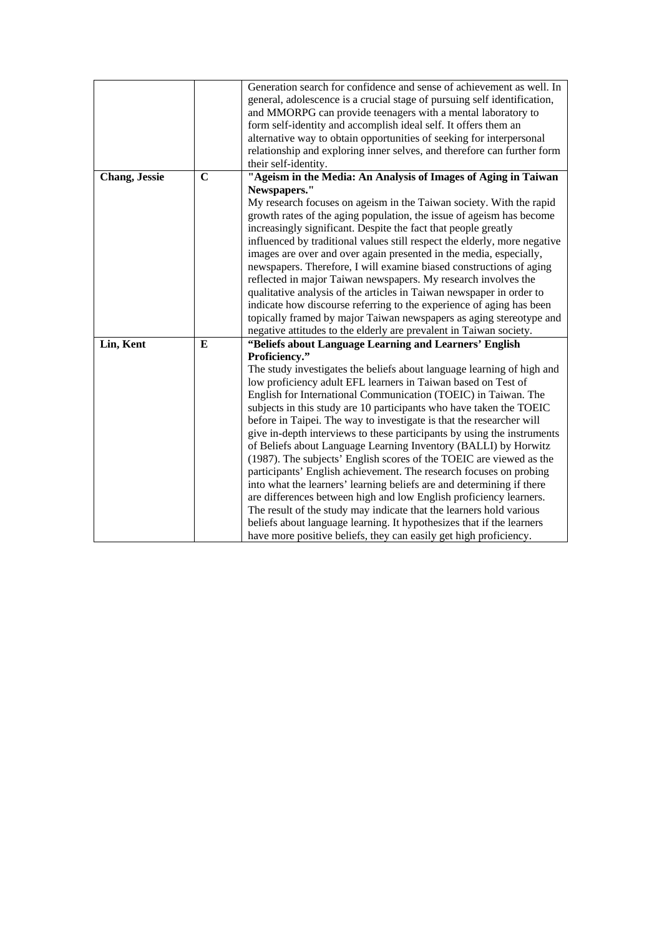|               |             | Generation search for confidence and sense of achievement as well. In     |
|---------------|-------------|---------------------------------------------------------------------------|
|               |             | general, adolescence is a crucial stage of pursuing self identification,  |
|               |             | and MMORPG can provide teenagers with a mental laboratory to              |
|               |             | form self-identity and accomplish ideal self. It offers them an           |
|               |             | alternative way to obtain opportunities of seeking for interpersonal      |
|               |             | relationship and exploring inner selves, and therefore can further form   |
|               |             | their self-identity.                                                      |
| Chang, Jessie | $\mathbf C$ | "Ageism in the Media: An Analysis of Images of Aging in Taiwan            |
|               |             | Newspapers."                                                              |
|               |             | My research focuses on ageism in the Taiwan society. With the rapid       |
|               |             | growth rates of the aging population, the issue of ageism has become      |
|               |             | increasingly significant. Despite the fact that people greatly            |
|               |             | influenced by traditional values still respect the elderly, more negative |
|               |             | images are over and over again presented in the media, especially,        |
|               |             | newspapers. Therefore, I will examine biased constructions of aging       |
|               |             | reflected in major Taiwan newspapers. My research involves the            |
|               |             | qualitative analysis of the articles in Taiwan newspaper in order to      |
|               |             | indicate how discourse referring to the experience of aging has been      |
|               |             | topically framed by major Taiwan newspapers as aging stereotype and       |
|               |             | negative attitudes to the elderly are prevalent in Taiwan society.        |
| Lin, Kent     | E           | "Beliefs about Language Learning and Learners' English                    |
|               |             | Proficiency."                                                             |
|               |             | The study investigates the beliefs about language learning of high and    |
|               |             | low proficiency adult EFL learners in Taiwan based on Test of             |
|               |             | English for International Communication (TOEIC) in Taiwan. The            |
|               |             | subjects in this study are 10 participants who have taken the TOEIC       |
|               |             | before in Taipei. The way to investigate is that the researcher will      |
|               |             | give in-depth interviews to these participants by using the instruments   |
|               |             | of Beliefs about Language Learning Inventory (BALLI) by Horwitz           |
|               |             | (1987). The subjects' English scores of the TOEIC are viewed as the       |
|               |             | participants' English achievement. The research focuses on probing        |
|               |             | into what the learners' learning beliefs are and determining if there     |
|               |             | are differences between high and low English proficiency learners.        |
|               |             |                                                                           |
|               |             | The result of the study may indicate that the learners hold various       |
|               |             | beliefs about language learning. It hypothesizes that if the learners     |
|               |             | have more positive beliefs, they can easily get high proficiency.         |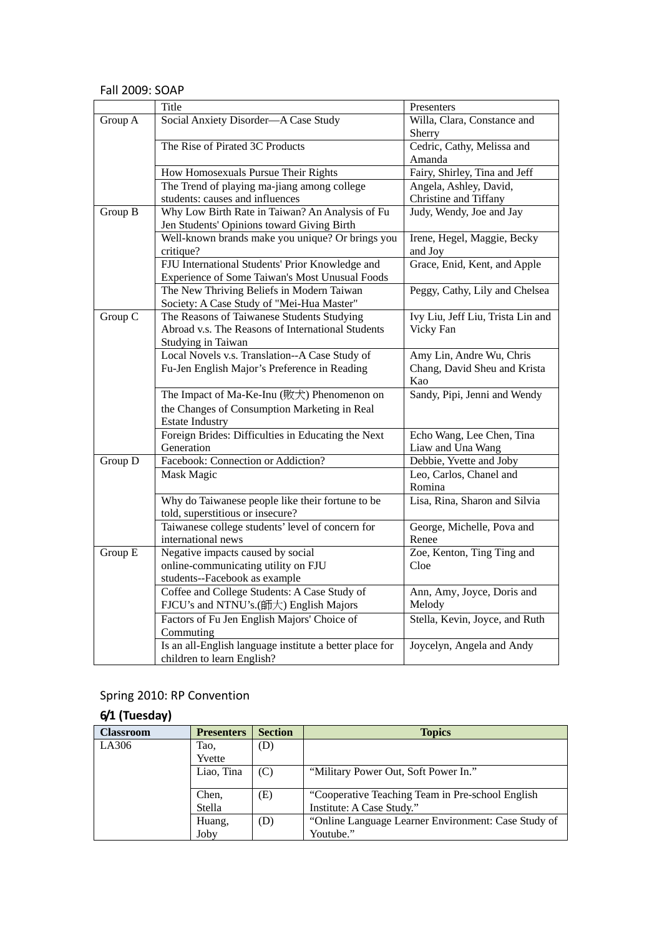#### Fall 2009: SOAP

|         | Title                                                   | Presenters                        |
|---------|---------------------------------------------------------|-----------------------------------|
| Group A | Social Anxiety Disorder-A Case Study                    | Willa, Clara, Constance and       |
|         |                                                         | Sherry                            |
|         | The Rise of Pirated 3C Products                         | Cedric, Cathy, Melissa and        |
|         |                                                         | Amanda                            |
|         | How Homosexuals Pursue Their Rights                     | Fairy, Shirley, Tina and Jeff     |
|         | The Trend of playing ma-jiang among college             | Angela, Ashley, David,            |
|         | students: causes and influences                         | Christine and Tiffany             |
| Group B | Why Low Birth Rate in Taiwan? An Analysis of Fu         | Judy, Wendy, Joe and Jay          |
|         | Jen Students' Opinions toward Giving Birth              |                                   |
|         | Well-known brands make you unique? Or brings you        | Irene, Hegel, Maggie, Becky       |
|         | critique?                                               | and Joy                           |
|         | FJU International Students' Prior Knowledge and         | Grace, Enid, Kent, and Apple      |
|         | Experience of Some Taiwan's Most Unusual Foods          |                                   |
|         | The New Thriving Beliefs in Modern Taiwan               | Peggy, Cathy, Lily and Chelsea    |
|         | Society: A Case Study of "Mei-Hua Master"               |                                   |
| Group C | The Reasons of Taiwanese Students Studying              | Ivy Liu, Jeff Liu, Trista Lin and |
|         | Abroad v.s. The Reasons of International Students       | Vicky Fan                         |
|         | Studying in Taiwan                                      |                                   |
|         | Local Novels v.s. Translation--A Case Study of          | Amy Lin, Andre Wu, Chris          |
|         | Fu-Jen English Major's Preference in Reading            | Chang, David Sheu and Krista      |
|         |                                                         | Kao                               |
|         | The Impact of Ma-Ke-Inu (敗犬) Phenomenon on              | Sandy, Pipi, Jenni and Wendy      |
|         | the Changes of Consumption Marketing in Real            |                                   |
|         | <b>Estate Industry</b>                                  |                                   |
|         | Foreign Brides: Difficulties in Educating the Next      | Echo Wang, Lee Chen, Tina         |
|         | Generation                                              | Liaw and Una Wang                 |
| Group D | Facebook: Connection or Addiction?                      | Debbie, Yvette and Joby           |
|         | Mask Magic                                              | Leo, Carlos, Chanel and           |
|         |                                                         | Romina                            |
|         | Why do Taiwanese people like their fortune to be        | Lisa, Rina, Sharon and Silvia     |
|         | told, superstitious or insecure?                        |                                   |
|         | Taiwanese college students' level of concern for        | George, Michelle, Pova and        |
|         | international news                                      | Renee                             |
| Group E | Negative impacts caused by social                       | Zoe, Kenton, Ting Ting and        |
|         | online-communicating utility on FJU                     | Cloe                              |
|         | students--Facebook as example                           |                                   |
|         | Coffee and College Students: A Case Study of            | Ann, Amy, Joyce, Doris and        |
|         | FJCU's and NTNU's.(師大) English Majors                   | Melody                            |
|         | Factors of Fu Jen English Majors' Choice of             | Stella, Kevin, Joyce, and Ruth    |
|         | Commuting                                               |                                   |
|         | Is an all-English language institute a better place for | Joycelyn, Angela and Andy         |
|         | children to learn English?                              |                                   |

# Spring 2010: RP Convention

# **6/1 (Tuesday)**

| <b>Classroom</b> | <b>Presenters</b> | <b>Section</b> | <b>Topics</b>                                       |
|------------------|-------------------|----------------|-----------------------------------------------------|
| LA306            | Tao.              | (D)            |                                                     |
|                  | Yvette            |                |                                                     |
|                  | Liao, Tina        | (C)            | "Military Power Out, Soft Power In."                |
|                  |                   |                |                                                     |
|                  | Chen,             | (E)            | "Cooperative Teaching Team in Pre-school English    |
|                  | Stella            |                | Institute: A Case Study."                           |
|                  | Huang,            | (D)            | "Online Language Learner Environment: Case Study of |
|                  | Joby              |                | Youtube."                                           |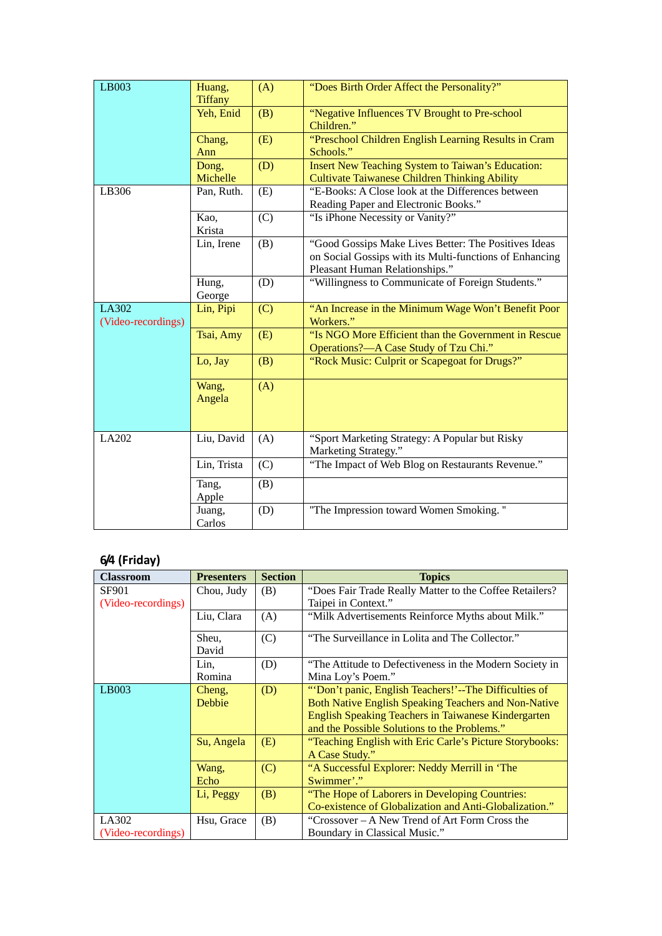| LB003                       | Huang,<br><b>Tiffany</b> | (A) | "Does Birth Order Affect the Personality?"                                                                                                        |
|-----------------------------|--------------------------|-----|---------------------------------------------------------------------------------------------------------------------------------------------------|
|                             | Yeh, Enid                | (B) | "Negative Influences TV Brought to Pre-school<br>Children."                                                                                       |
|                             | Chang,<br>Ann            | (E) | "Preschool Children English Learning Results in Cram<br>Schools."                                                                                 |
|                             | Dong,<br>Michelle        | (D) | Insert New Teaching System to Taiwan's Education:<br><b>Cultivate Taiwanese Children Thinking Ability</b>                                         |
| LB306                       | Pan, Ruth.               | (E) | "E-Books: A Close look at the Differences between<br>Reading Paper and Electronic Books."                                                         |
|                             | Kao,<br>Krista           | (C) | "Is iPhone Necessity or Vanity?"                                                                                                                  |
|                             | Lin, Irene               | (B) | "Good Gossips Make Lives Better: The Positives Ideas<br>on Social Gossips with its Multi-functions of Enhancing<br>Pleasant Human Relationships." |
|                             | Hung,<br>George          | (D) | "Willingness to Communicate of Foreign Students."                                                                                                 |
| LA302<br>(Video-recordings) | Lin, Pipi                | (C) | "An Increase in the Minimum Wage Won't Benefit Poor<br>Workers."                                                                                  |
|                             | Tsai, Amy                | (E) | "Is NGO More Efficient than the Government in Rescue<br>Operations?-A Case Study of Tzu Chi."                                                     |
|                             | Lo, Jay                  | (B) | "Rock Music: Culprit or Scapegoat for Drugs?"                                                                                                     |
|                             | Wang,<br>Angela          | (A) |                                                                                                                                                   |
| LA202                       | Liu, David               | (A) | "Sport Marketing Strategy: A Popular but Risky<br>Marketing Strategy."                                                                            |
|                             | Lin, Trista              | (C) | "The Impact of Web Blog on Restaurants Revenue."                                                                                                  |
|                             | Tang,<br>Apple           | (B) |                                                                                                                                                   |
|                             | Juang,<br>Carlos         | (D) | "The Impression toward Women Smoking."                                                                                                            |

# **6/4 (Friday)**

| <b>Classroom</b>   | <b>Presenters</b> | <b>Section</b> | <b>Topics</b>                                           |
|--------------------|-------------------|----------------|---------------------------------------------------------|
| SF901              | Chou, Judy        | (B)            | "Does Fair Trade Really Matter to the Coffee Retailers? |
| (Video-recordings) |                   |                | Taipei in Context."                                     |
|                    | Liu, Clara        | (A)            | "Milk Advertisements Reinforce Myths about Milk."       |
|                    | Sheu,             | (C)            | "The Surveillance in Lolita and The Collector."         |
|                    | David             |                |                                                         |
|                    | Lin.              | (D)            | "The Attitude to Defectiveness in the Modern Society in |
|                    | Romina            |                | Mina Loy's Poem."                                       |
| LB003              | Cheng,            | (D)            | "'Don't panic, English Teachers!'--The Difficulties of  |
|                    | Debbie            |                | Both Native English Speaking Teachers and Non-Native    |
|                    |                   |                | English Speaking Teachers in Taiwanese Kindergarten     |
|                    |                   |                | and the Possible Solutions to the Problems."            |
|                    | Su, Angela        | (E)            | "Teaching English with Eric Carle's Picture Storybooks: |
|                    |                   |                | A Case Study."                                          |
|                    | Wang,             | (C)            | "A Successful Explorer: Neddy Merrill in 'The           |
|                    | Echo              |                | Swimmer'."                                              |
|                    | Li, Peggy         | (B)            | "The Hope of Laborers in Developing Countries:          |
|                    |                   |                | Co-existence of Globalization and Anti-Globalization."  |
| LA302              | Hsu, Grace        | (B)            | "Crossover – A New Trend of Art Form Cross the          |
| (Video-recordings) |                   |                | Boundary in Classical Music."                           |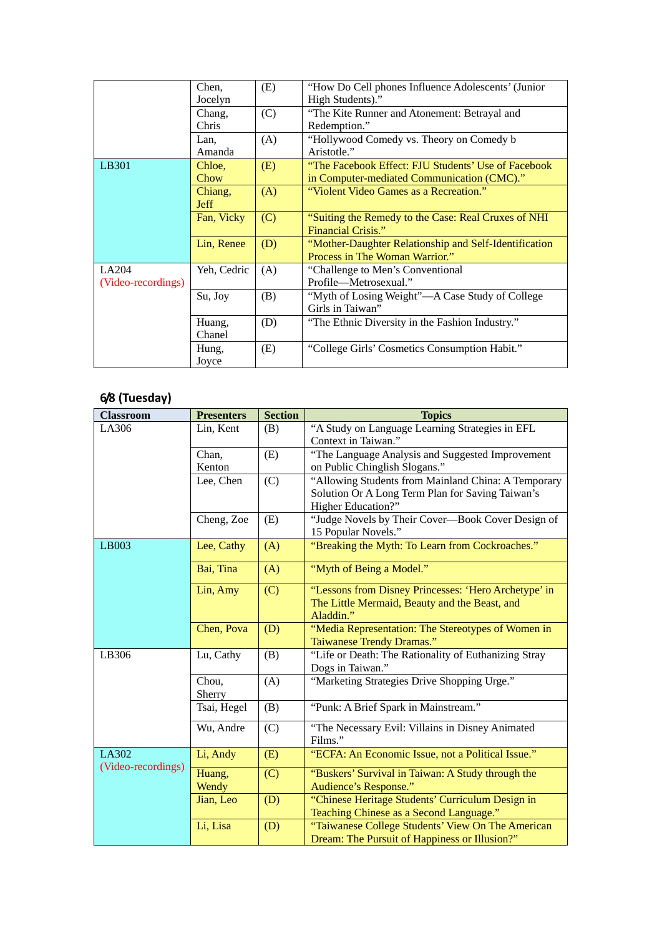|                    | Chen,       | (E) | "How Do Cell phones Influence Adolescents' (Junior)   |
|--------------------|-------------|-----|-------------------------------------------------------|
|                    | Jocelyn     |     | High Students)."                                      |
|                    | Chang,      | (C) | "The Kite Runner and Atonement: Betrayal and          |
|                    | Chris       |     | Redemption."                                          |
|                    | Lan,        | (A) | "Hollywood Comedy vs. Theory on Comedy b              |
|                    | Amanda      |     | Aristotle."                                           |
| LB301              | Chloe,      | (E) | "The Facebook Effect: FJU Students' Use of Facebook   |
|                    | Chow        |     | in Computer-mediated Communication (CMC)."            |
|                    | Chiang,     | (A) | "Violent Video Games as a Recreation."                |
|                    | <b>Jeff</b> |     |                                                       |
|                    | Fan, Vicky  | (C) | "Suiting the Remedy to the Case: Real Cruxes of NHI   |
|                    |             |     | Financial Crisis."                                    |
|                    | Lin, Renee  | (D) | "Mother-Daughter Relationship and Self-Identification |
|                    |             |     | Process in The Woman Warrior."                        |
| LA204              | Yeh, Cedric | (A) | "Challenge to Men's Conventional"                     |
| (Video-recordings) |             |     | Profile—Metrosexual."                                 |
|                    | Su, Joy     | (B) | "Myth of Losing Weight"—A Case Study of College       |
|                    |             |     | Girls in Taiwan"                                      |
|                    | Huang,      | (D) | "The Ethnic Diversity in the Fashion Industry."       |
|                    | Chanel      |     |                                                       |
|                    | Hung,       | (E) | "College Girls' Cosmetics Consumption Habit."         |
|                    | Joyce       |     |                                                       |

## **6/8 (Tuesday)**

| <b>Classroom</b>   | <b>Presenters</b> | <b>Section</b> | <b>Topics</b>                                                                                                                 |
|--------------------|-------------------|----------------|-------------------------------------------------------------------------------------------------------------------------------|
| LA306              | Lin, Kent         | (B)            | "A Study on Language Learning Strategies in EFL<br>Context in Taiwan."                                                        |
|                    | Chan,<br>Kenton   | (E)            | "The Language Analysis and Suggested Improvement<br>on Public Chinglish Slogans."                                             |
|                    | Lee, Chen         | (C)            | "Allowing Students from Mainland China: A Temporary<br>Solution Or A Long Term Plan for Saving Taiwan's<br>Higher Education?" |
|                    | Cheng, Zoe        | (E)            | "Judge Novels by Their Cover—Book Cover Design of<br>15 Popular Novels."                                                      |
| LB003              | Lee, Cathy        | (A)            | "Breaking the Myth: To Learn from Cockroaches."                                                                               |
|                    | Bai, Tina         | (A)            | "Myth of Being a Model."                                                                                                      |
|                    | Lin, Amy          | (C)            | "Lessons from Disney Princesses: 'Hero Archetype' in<br>The Little Mermaid, Beauty and the Beast, and<br>Aladdin."            |
|                    | Chen, Pova        | (D)            | "Media Representation: The Stereotypes of Women in<br>Taiwanese Trendy Dramas."                                               |
| LB306              | Lu, Cathy         | (B)            | "Life or Death: The Rationality of Euthanizing Stray<br>Dogs in Taiwan."                                                      |
|                    | Chou,<br>Sherry   | (A)            | "Marketing Strategies Drive Shopping Urge."                                                                                   |
|                    | Tsai, Hegel       | (B)            | "Punk: A Brief Spark in Mainstream."                                                                                          |
|                    | Wu, Andre         | (C)            | "The Necessary Evil: Villains in Disney Animated<br>Films."                                                                   |
| LA302              | Li, Andy          | (E)            | "ECFA: An Economic Issue, not a Political Issue."                                                                             |
| (Video-recordings) | Huang,<br>Wendy   | (C)            | "Buskers' Survival in Taiwan: A Study through the<br>Audience's Response."                                                    |
|                    | Jian, Leo         | (D)            | "Chinese Heritage Students' Curriculum Design in<br>Teaching Chinese as a Second Language."                                   |
|                    | Li, Lisa          | (D)            | "Taiwanese College Students' View On The American<br>Dream: The Pursuit of Happiness or Illusion?"                            |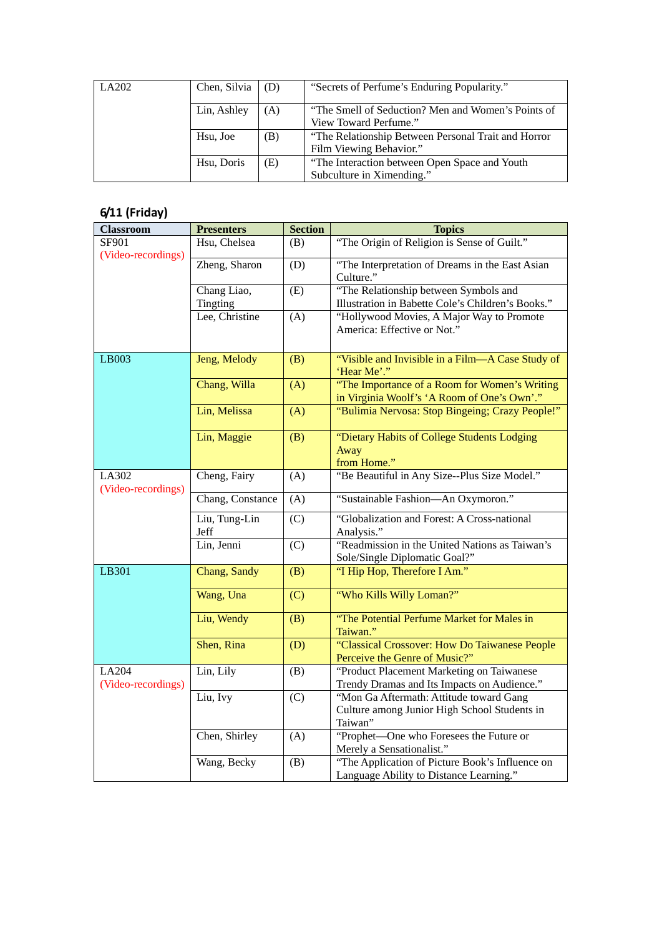| LA202 | Chen, Silvia | (D) | "Secrets of Perfume's Enduring Popularity."          |
|-------|--------------|-----|------------------------------------------------------|
|       | Lin, Ashley  | (A) | "The Smell of Seduction? Men and Women's Points of   |
|       |              |     | View Toward Perfume."                                |
|       | Hsu, Joe     | (B) | "The Relationship Between Personal Trait and Horror" |
|       |              |     | Film Viewing Behavior."                              |
|       | Hsu, Doris   | (E) | "The Interaction between Open Space and Youth"       |
|       |              |     | Subculture in Ximending."                            |

# **6/11 (Friday)**

| <b>Classroom</b>            | <b>Presenters</b>       | <b>Section</b> | <b>Topics</b>                                                                                      |
|-----------------------------|-------------------------|----------------|----------------------------------------------------------------------------------------------------|
| SF901<br>(Video-recordings) | Hsu, Chelsea            | (B)            | "The Origin of Religion is Sense of Guilt."                                                        |
|                             | Zheng, Sharon           | (D)            | "The Interpretation of Dreams in the East Asian<br>Culture."                                       |
|                             | Chang Liao,<br>Tingting | (E)            | "The Relationship between Symbols and<br>Illustration in Babette Cole's Children's Books."         |
|                             | Lee, Christine          | (A)            | "Hollywood Movies, A Major Way to Promote<br>America: Effective or Not."                           |
| LB003                       | Jeng, Melody            | (B)            | "Visible and Invisible in a Film-A Case Study of<br>'Hear Me'."                                    |
|                             | Chang, Willa            | (A)            | "The Importance of a Room for Women's Writing<br>in Virginia Woolf's 'A Room of One's Own'."       |
|                             | Lin, Melissa            | (A)            | "Bulimia Nervosa: Stop Bingeing; Crazy People!"                                                    |
|                             | Lin, Maggie             | (B)            | "Dietary Habits of College Students Lodging<br>Away<br>from Home."                                 |
| LA302<br>(Video-recordings) | Cheng, Fairy            | (A)            | "Be Beautiful in Any Size--Plus Size Model."                                                       |
|                             | Chang, Constance        | (A)            | "Sustainable Fashion-An Oxymoron."                                                                 |
|                             | Liu, Tung-Lin<br>Jeff   | (C)            | "Globalization and Forest: A Cross-national<br>Analysis."                                          |
|                             | Lin, Jenni              | (C)            | "Readmission in the United Nations as Taiwan's<br>Sole/Single Diplomatic Goal?"                    |
| LB301                       | Chang, Sandy            | (B)            | "I Hip Hop, Therefore I Am."                                                                       |
|                             | Wang, Una               | (C)            | "Who Kills Willy Loman?"                                                                           |
|                             | Liu, Wendy              | (B)            | "The Potential Perfume Market for Males in<br>Taiwan."                                             |
|                             | Shen, Rina              | (D)            | "Classical Crossover: How Do Taiwanese People<br>Perceive the Genre of Music?"                     |
| LA204<br>(Video-recordings) | Lin, Lily               | (B)            | "Product Placement Marketing on Taiwanese<br>Trendy Dramas and Its Impacts on Audience."           |
|                             | Liu, Ivy                | (C)            | "Mon Ga Aftermath: Attitude toward Gang<br>Culture among Junior High School Students in<br>Taiwan" |
|                             | Chen, Shirley           | (A)            | "Prophet-One who Foresees the Future or<br>Merely a Sensationalist."                               |
|                             | Wang, Becky             | (B)            | "The Application of Picture Book's Influence on<br>Language Ability to Distance Learning."         |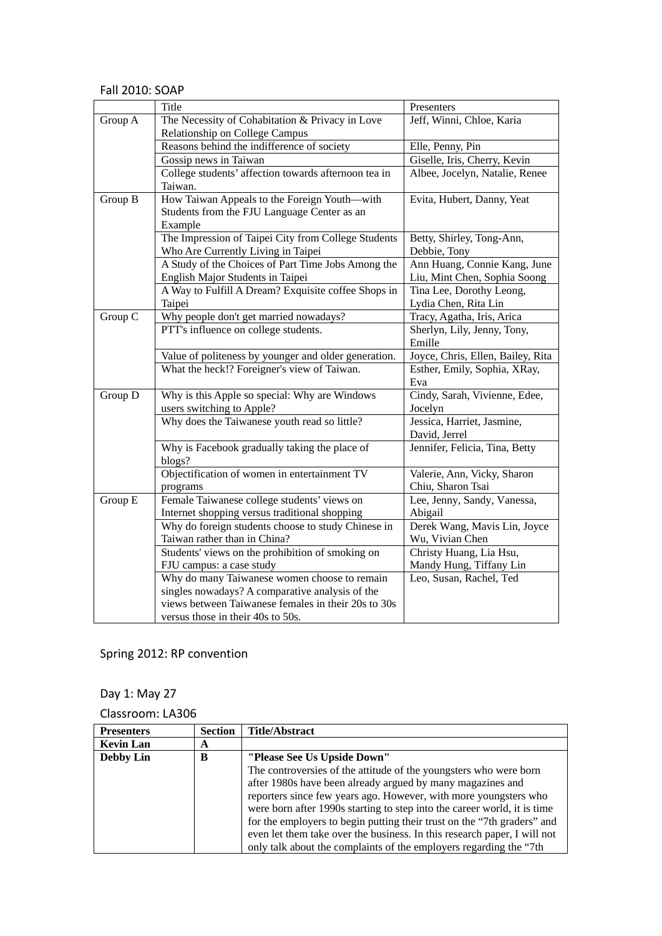#### Fall 2010: SOAP

|         | Title                                                | Presenters                        |
|---------|------------------------------------------------------|-----------------------------------|
| Group A | The Necessity of Cohabitation & Privacy in Love      | Jeff, Winni, Chloe, Karia         |
|         | Relationship on College Campus                       |                                   |
|         | Reasons behind the indifference of society           | Elle, Penny, Pin                  |
|         | Gossip news in Taiwan                                | Giselle, Iris, Cherry, Kevin      |
|         | College students' affection towards afternoon tea in | Albee, Jocelyn, Natalie, Renee    |
|         | Taiwan.                                              |                                   |
| Group B | How Taiwan Appeals to the Foreign Youth—with         | Evita, Hubert, Danny, Yeat        |
|         | Students from the FJU Language Center as an          |                                   |
|         | Example                                              |                                   |
|         | The Impression of Taipei City from College Students  | Betty, Shirley, Tong-Ann,         |
|         | Who Are Currently Living in Taipei                   | Debbie, Tony                      |
|         | A Study of the Choices of Part Time Jobs Among the   | Ann Huang, Connie Kang, June      |
|         | English Major Students in Taipei                     | Liu, Mint Chen, Sophia Soong      |
|         | A Way to Fulfill A Dream? Exquisite coffee Shops in  | Tina Lee, Dorothy Leong,          |
|         | Taipei                                               | Lydia Chen, Rita Lin              |
| Group C | Why people don't get married nowadays?               | Tracy, Agatha, Iris, Arica        |
|         | PTT's influence on college students.                 | Sherlyn, Lily, Jenny, Tony,       |
|         |                                                      | Emille                            |
|         | Value of politeness by younger and older generation. | Joyce, Chris, Ellen, Bailey, Rita |
|         | What the heck!? Foreigner's view of Taiwan.          | Esther, Emily, Sophia, XRay,      |
|         |                                                      | Eva                               |
| Group D | Why is this Apple so special: Why are Windows        | Cindy, Sarah, Vivienne, Edee,     |
|         | users switching to Apple?                            | Jocelyn                           |
|         | Why does the Taiwanese youth read so little?         | Jessica, Harriet, Jasmine,        |
|         |                                                      | David, Jerrel                     |
|         | Why is Facebook gradually taking the place of        | Jennifer, Felicia, Tina, Betty    |
|         | blogs?                                               |                                   |
|         | Objectification of women in entertainment TV         | Valerie, Ann, Vicky, Sharon       |
|         | programs                                             | Chiu, Sharon Tsai                 |
| Group E | Female Taiwanese college students' views on          | Lee, Jenny, Sandy, Vanessa,       |
|         | Internet shopping versus traditional shopping        | Abigail                           |
|         | Why do foreign students choose to study Chinese in   | Derek Wang, Mavis Lin, Joyce      |
|         | Taiwan rather than in China?                         | Wu, Vivian Chen                   |
|         | Students' views on the prohibition of smoking on     | Christy Huang, Lia Hsu,           |
|         | FJU campus: a case study                             | Mandy Hung, Tiffany Lin           |
|         | Why do many Taiwanese women choose to remain         | Leo, Susan, Rachel, Ted           |
|         | singles nowadays? A comparative analysis of the      |                                   |
|         | views between Taiwanese females in their 20s to 30s  |                                   |
|         | versus those in their 40s to 50s.                    |                                   |

Spring 2012: RP convention

Day 1: May 27

| <b>Presenters</b> | <b>Section</b> | <b>Title/Abstract</b>                                                    |
|-------------------|----------------|--------------------------------------------------------------------------|
| <b>Kevin Lan</b>  | A              |                                                                          |
| <b>Debby Lin</b>  | B              | "Please See Us Upside Down"                                              |
|                   |                | The controversies of the attitude of the youngsters who were born        |
|                   |                | after 1980s have been already argued by many magazines and               |
|                   |                | reporters since few years ago. However, with more youngsters who         |
|                   |                | were born after 1990s starting to step into the career world, it is time |
|                   |                | for the employers to begin putting their trust on the "7th graders" and  |
|                   |                | even let them take over the business. In this research paper, I will not |
|                   |                | only talk about the complaints of the employers regarding the "7th"      |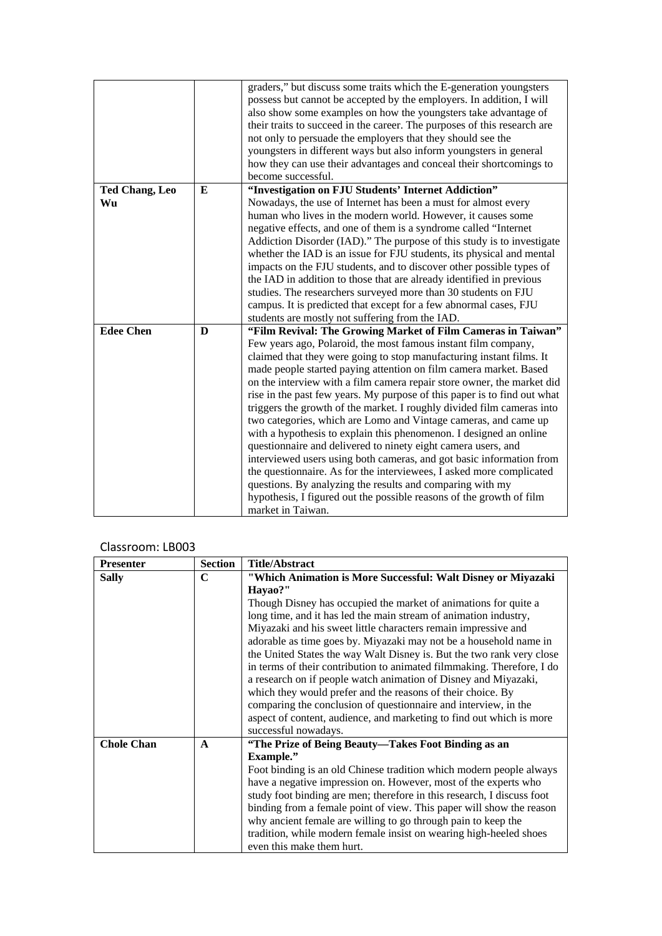|                       |   | graders," but discuss some traits which the E-generation youngsters<br>possess but cannot be accepted by the employers. In addition, I will |
|-----------------------|---|---------------------------------------------------------------------------------------------------------------------------------------------|
|                       |   | also show some examples on how the youngsters take advantage of                                                                             |
|                       |   | their traits to succeed in the career. The purposes of this research are                                                                    |
|                       |   | not only to persuade the employers that they should see the                                                                                 |
|                       |   | youngsters in different ways but also inform youngsters in general                                                                          |
|                       |   | how they can use their advantages and conceal their shortcomings to                                                                         |
|                       |   | become successful.                                                                                                                          |
| <b>Ted Chang, Leo</b> | E | "Investigation on FJU Students' Internet Addiction"                                                                                         |
| Wu                    |   | Nowadays, the use of Internet has been a must for almost every                                                                              |
|                       |   | human who lives in the modern world. However, it causes some                                                                                |
|                       |   | negative effects, and one of them is a syndrome called "Internet"                                                                           |
|                       |   | Addiction Disorder (IAD)." The purpose of this study is to investigate                                                                      |
|                       |   | whether the IAD is an issue for FJU students, its physical and mental                                                                       |
|                       |   | impacts on the FJU students, and to discover other possible types of                                                                        |
|                       |   | the IAD in addition to those that are already identified in previous                                                                        |
|                       |   | studies. The researchers surveyed more than 30 students on FJU                                                                              |
|                       |   | campus. It is predicted that except for a few abnormal cases, FJU                                                                           |
|                       |   | students are mostly not suffering from the IAD.                                                                                             |
| <b>Edee Chen</b>      | D | "Film Revival: The Growing Market of Film Cameras in Taiwan"                                                                                |
|                       |   | Few years ago, Polaroid, the most famous instant film company,                                                                              |
|                       |   | claimed that they were going to stop manufacturing instant films. It                                                                        |
|                       |   | made people started paying attention on film camera market. Based                                                                           |
|                       |   | on the interview with a film camera repair store owner, the market did                                                                      |
|                       |   | rise in the past few years. My purpose of this paper is to find out what                                                                    |
|                       |   | triggers the growth of the market. I roughly divided film cameras into                                                                      |
|                       |   | two categories, which are Lomo and Vintage cameras, and came up                                                                             |
|                       |   | with a hypothesis to explain this phenomenon. I designed an online                                                                          |
|                       |   | questionnaire and delivered to ninety eight camera users, and                                                                               |
|                       |   | interviewed users using both cameras, and got basic information from                                                                        |
|                       |   | the questionnaire. As for the interviewees, I asked more complicated                                                                        |
|                       |   | questions. By analyzing the results and comparing with my                                                                                   |
|                       |   | hypothesis, I figured out the possible reasons of the growth of film                                                                        |
|                       |   | market in Taiwan.                                                                                                                           |

| <b>Presenter</b>  | <b>Section</b> | <b>Title/Abstract</b>                                                  |
|-------------------|----------------|------------------------------------------------------------------------|
| <b>Sally</b>      | C              | "Which Animation is More Successful: Walt Disney or Miyazaki           |
|                   |                | Hayao?"                                                                |
|                   |                | Though Disney has occupied the market of animations for quite a        |
|                   |                | long time, and it has led the main stream of animation industry,       |
|                   |                | Miyazaki and his sweet little characters remain impressive and         |
|                   |                | adorable as time goes by. Miyazaki may not be a household name in      |
|                   |                | the United States the way Walt Disney is. But the two rank very close  |
|                   |                | in terms of their contribution to animated filmmaking. Therefore, I do |
|                   |                | a research on if people watch animation of Disney and Miyazaki,        |
|                   |                | which they would prefer and the reasons of their choice. By            |
|                   |                | comparing the conclusion of questionnaire and interview, in the        |
|                   |                | aspect of content, audience, and marketing to find out which is more   |
|                   |                | successful nowadays.                                                   |
| <b>Chole Chan</b> | $\mathbf{A}$   | "The Prize of Being Beauty-Takes Foot Binding as an                    |
|                   |                | <b>Example."</b>                                                       |
|                   |                | Foot binding is an old Chinese tradition which modern people always    |
|                   |                | have a negative impression on. However, most of the experts who        |
|                   |                | study foot binding are men; therefore in this research, I discuss foot |
|                   |                | binding from a female point of view. This paper will show the reason   |
|                   |                | why ancient female are willing to go through pain to keep the          |
|                   |                | tradition, while modern female insist on wearing high-heeled shoes     |
|                   |                | even this make them hurt.                                              |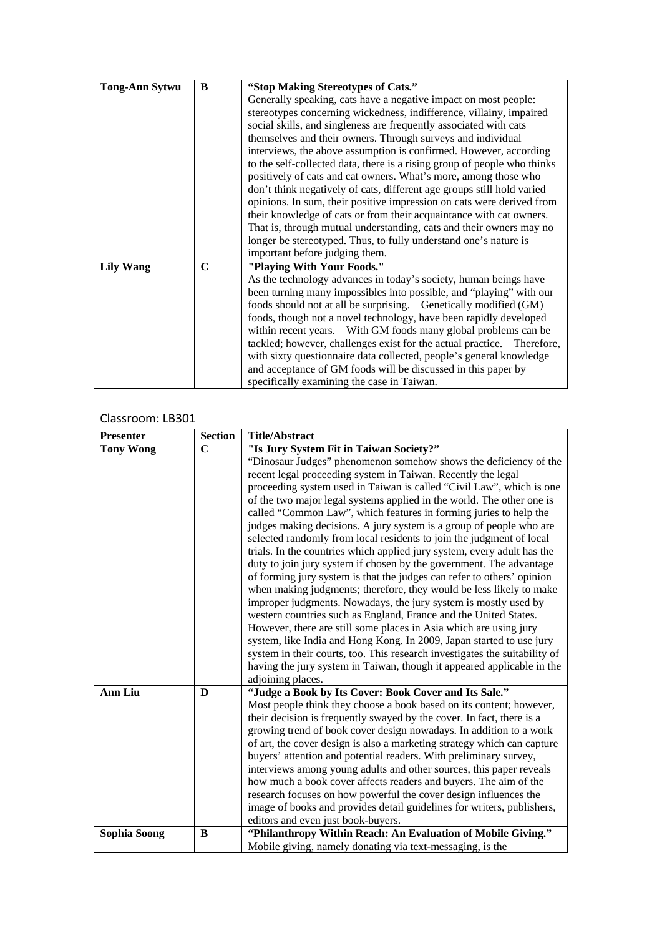| <b>Tong-Ann Sytwu</b> | B | "Stop Making Stereotypes of Cats."                                       |
|-----------------------|---|--------------------------------------------------------------------------|
|                       |   | Generally speaking, cats have a negative impact on most people:          |
|                       |   | stereotypes concerning wickedness, indifference, villainy, impaired      |
|                       |   | social skills, and singleness are frequently associated with cats        |
|                       |   | themselves and their owners. Through surveys and individual              |
|                       |   | interviews, the above assumption is confirmed. However, according        |
|                       |   | to the self-collected data, there is a rising group of people who thinks |
|                       |   | positively of cats and cat owners. What's more, among those who          |
|                       |   | don't think negatively of cats, different age groups still hold varied   |
|                       |   | opinions. In sum, their positive impression on cats were derived from    |
|                       |   | their knowledge of cats or from their acquaintance with cat owners.      |
|                       |   | That is, through mutual understanding, cats and their owners may no      |
|                       |   | longer be stereotyped. Thus, to fully understand one's nature is         |
|                       |   | important before judging them.                                           |
| <b>Lily Wang</b>      | C | "Playing With Your Foods."                                               |
|                       |   | As the technology advances in today's society, human beings have         |
|                       |   | been turning many impossibles into possible, and "playing" with our      |
|                       |   | foods should not at all be surprising. Genetically modified (GM)         |
|                       |   | foods, though not a novel technology, have been rapidly developed        |
|                       |   | within recent years. With GM foods many global problems can be           |
|                       |   | tackled; however, challenges exist for the actual practice. Therefore,   |
|                       |   | with sixty questionnaire data collected, people's general knowledge      |
|                       |   | and acceptance of GM foods will be discussed in this paper by            |
|                       |   | specifically examining the case in Taiwan.                               |

| <b>Presenter</b>    | <b>Section</b> | <b>Title/Abstract</b>                                                                                                                                                                                                                                                                                                                                                                                                                                                                                                                                                                                                                                                                                                                                                                                                                                                                                                                                                                                                                                                                                                                                                      |
|---------------------|----------------|----------------------------------------------------------------------------------------------------------------------------------------------------------------------------------------------------------------------------------------------------------------------------------------------------------------------------------------------------------------------------------------------------------------------------------------------------------------------------------------------------------------------------------------------------------------------------------------------------------------------------------------------------------------------------------------------------------------------------------------------------------------------------------------------------------------------------------------------------------------------------------------------------------------------------------------------------------------------------------------------------------------------------------------------------------------------------------------------------------------------------------------------------------------------------|
| <b>Tony Wong</b>    | $\mathbf C$    | "Is Jury System Fit in Taiwan Society?"                                                                                                                                                                                                                                                                                                                                                                                                                                                                                                                                                                                                                                                                                                                                                                                                                                                                                                                                                                                                                                                                                                                                    |
|                     |                | "Dinosaur Judges" phenomenon somehow shows the deficiency of the<br>recent legal proceeding system in Taiwan. Recently the legal<br>proceeding system used in Taiwan is called "Civil Law", which is one<br>of the two major legal systems applied in the world. The other one is<br>called "Common Law", which features in forming juries to help the<br>judges making decisions. A jury system is a group of people who are<br>selected randomly from local residents to join the judgment of local<br>trials. In the countries which applied jury system, every adult has the<br>duty to join jury system if chosen by the government. The advantage<br>of forming jury system is that the judges can refer to others' opinion<br>when making judgments; therefore, they would be less likely to make<br>improper judgments. Nowadays, the jury system is mostly used by<br>western countries such as England, France and the United States.<br>However, there are still some places in Asia which are using jury<br>system, like India and Hong Kong. In 2009, Japan started to use jury<br>system in their courts, too. This research investigates the suitability of |
|                     |                | having the jury system in Taiwan, though it appeared applicable in the                                                                                                                                                                                                                                                                                                                                                                                                                                                                                                                                                                                                                                                                                                                                                                                                                                                                                                                                                                                                                                                                                                     |
|                     |                | adjoining places.                                                                                                                                                                                                                                                                                                                                                                                                                                                                                                                                                                                                                                                                                                                                                                                                                                                                                                                                                                                                                                                                                                                                                          |
| <b>Ann Liu</b>      | D              | "Judge a Book by Its Cover: Book Cover and Its Sale."<br>Most people think they choose a book based on its content; however,<br>their decision is frequently swayed by the cover. In fact, there is a<br>growing trend of book cover design nowadays. In addition to a work<br>of art, the cover design is also a marketing strategy which can capture<br>buyers' attention and potential readers. With preliminary survey,<br>interviews among young adults and other sources, this paper reveals<br>how much a book cover affects readers and buyers. The aim of the<br>research focuses on how powerful the cover design influences the<br>image of books and provides detail guidelines for writers, publishers,<br>editors and even just book-buyers.                                                                                                                                                                                                                                                                                                                                                                                                                 |
| <b>Sophia Soong</b> | B              | "Philanthropy Within Reach: An Evaluation of Mobile Giving."                                                                                                                                                                                                                                                                                                                                                                                                                                                                                                                                                                                                                                                                                                                                                                                                                                                                                                                                                                                                                                                                                                               |
|                     |                | Mobile giving, namely donating via text-messaging, is the                                                                                                                                                                                                                                                                                                                                                                                                                                                                                                                                                                                                                                                                                                                                                                                                                                                                                                                                                                                                                                                                                                                  |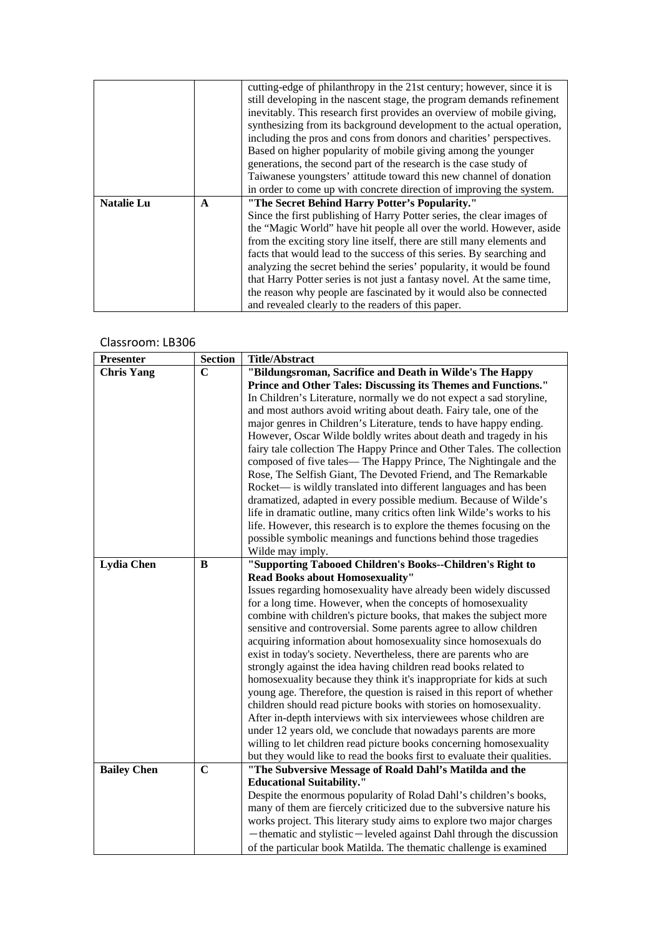|                   |              | cutting-edge of philanthropy in the 21st century; however, since it is  |
|-------------------|--------------|-------------------------------------------------------------------------|
|                   |              | still developing in the nascent stage, the program demands refinement   |
|                   |              | inevitably. This research first provides an overview of mobile giving,  |
|                   |              | synthesizing from its background development to the actual operation,   |
|                   |              | including the pros and cons from donors and charities' perspectives.    |
|                   |              | Based on higher popularity of mobile giving among the younger           |
|                   |              | generations, the second part of the research is the case study of       |
|                   |              | Taiwanese youngsters' attitude toward this new channel of donation      |
|                   |              | in order to come up with concrete direction of improving the system.    |
|                   |              |                                                                         |
| <b>Natalie Lu</b> | $\mathbf{A}$ | "The Secret Behind Harry Potter's Popularity."                          |
|                   |              | Since the first publishing of Harry Potter series, the clear images of  |
|                   |              | the "Magic World" have hit people all over the world. However, aside    |
|                   |              | from the exciting story line itself, there are still many elements and  |
|                   |              | facts that would lead to the success of this series. By searching and   |
|                   |              | analyzing the secret behind the series' popularity, it would be found   |
|                   |              | that Harry Potter series is not just a fantasy novel. At the same time, |
|                   |              | the reason why people are fascinated by it would also be connected      |

| <b>Presenter</b>   | <b>Section</b> | <b>Title/Abstract</b>                                                                                                                |
|--------------------|----------------|--------------------------------------------------------------------------------------------------------------------------------------|
| <b>Chris Yang</b>  | $\mathbf C$    | "Bildungsroman, Sacrifice and Death in Wilde's The Happy                                                                             |
|                    |                | Prince and Other Tales: Discussing its Themes and Functions."                                                                        |
|                    |                | In Children's Literature, normally we do not expect a sad storyline,                                                                 |
|                    |                | and most authors avoid writing about death. Fairy tale, one of the                                                                   |
|                    |                | major genres in Children's Literature, tends to have happy ending.                                                                   |
|                    |                | However, Oscar Wilde boldly writes about death and tragedy in his                                                                    |
|                    |                | fairy tale collection The Happy Prince and Other Tales. The collection                                                               |
|                    |                | composed of five tales— The Happy Prince, The Nightingale and the                                                                    |
|                    |                | Rose, The Selfish Giant, The Devoted Friend, and The Remarkable                                                                      |
|                    |                | Rocket— is wildly translated into different languages and has been                                                                   |
|                    |                | dramatized, adapted in every possible medium. Because of Wilde's                                                                     |
|                    |                | life in dramatic outline, many critics often link Wilde's works to his                                                               |
|                    |                | life. However, this research is to explore the themes focusing on the                                                                |
|                    |                | possible symbolic meanings and functions behind those tragedies                                                                      |
|                    |                | Wilde may imply.                                                                                                                     |
| <b>Lydia Chen</b>  | B              | "Supporting Tabooed Children's Books--Children's Right to                                                                            |
|                    |                | Read Books about Homosexuality"                                                                                                      |
|                    |                | Issues regarding homosexuality have already been widely discussed                                                                    |
|                    |                | for a long time. However, when the concepts of homosexuality                                                                         |
|                    |                | combine with children's picture books, that makes the subject more                                                                   |
|                    |                | sensitive and controversial. Some parents agree to allow children                                                                    |
|                    |                | acquiring information about homosexuality since homosexuals do                                                                       |
|                    |                | exist in today's society. Nevertheless, there are parents who are                                                                    |
|                    |                | strongly against the idea having children read books related to                                                                      |
|                    |                | homosexuality because they think it's inappropriate for kids at such                                                                 |
|                    |                | young age. Therefore, the question is raised in this report of whether                                                               |
|                    |                | children should read picture books with stories on homosexuality.                                                                    |
|                    |                | After in-depth interviews with six interviewees whose children are<br>under 12 years old, we conclude that nowadays parents are more |
|                    |                | willing to let children read picture books concerning homosexuality                                                                  |
|                    |                | but they would like to read the books first to evaluate their qualities.                                                             |
| <b>Bailey Chen</b> | $\mathbf C$    | "The Subversive Message of Roald Dahl's Matilda and the                                                                              |
|                    |                | <b>Educational Suitability."</b>                                                                                                     |
|                    |                | Despite the enormous popularity of Rolad Dahl's children's books,                                                                    |
|                    |                | many of them are fiercely criticized due to the subversive nature his                                                                |
|                    |                | works project. This literary study aims to explore two major charges                                                                 |
|                    |                | -thematic and stylistic-leveled against Dahl through the discussion                                                                  |
|                    |                |                                                                                                                                      |
|                    |                | of the particular book Matilda. The thematic challenge is examined                                                                   |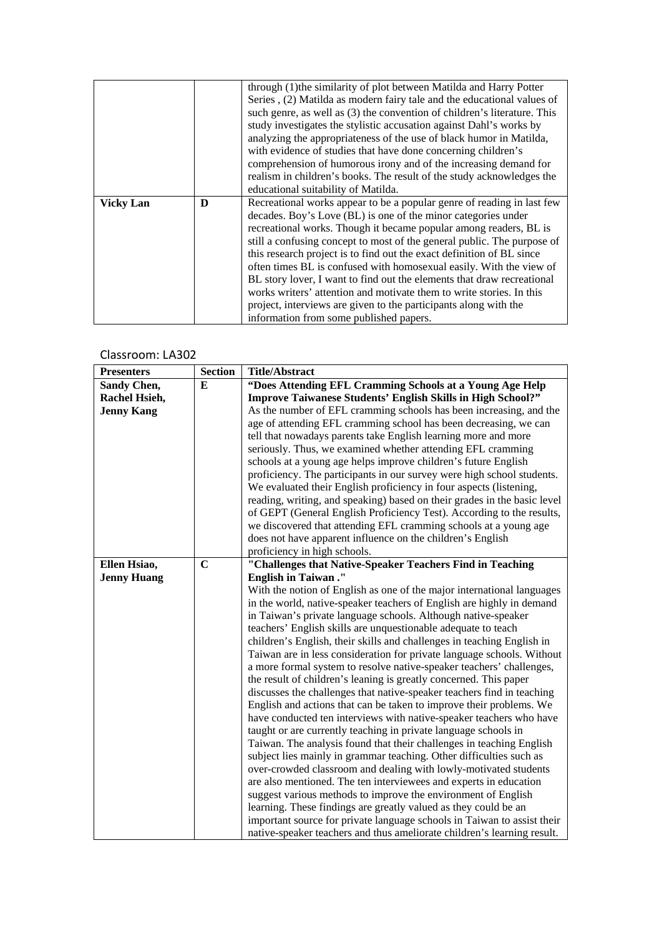|                  |   | through (1) the similarity of plot between Matilda and Harry Potter      |
|------------------|---|--------------------------------------------------------------------------|
|                  |   | Series, (2) Matilda as modern fairy tale and the educational values of   |
|                  |   | such genre, as well as (3) the convention of children's literature. This |
|                  |   | study investigates the stylistic accusation against Dahl's works by      |
|                  |   | analyzing the appropriateness of the use of black humor in Matilda,      |
|                  |   | with evidence of studies that have done concerning children's            |
|                  |   | comprehension of humorous irony and of the increasing demand for         |
|                  |   | realism in children's books. The result of the study acknowledges the    |
|                  |   | educational suitability of Matilda.                                      |
| <b>Vicky Lan</b> | D | Recreational works appear to be a popular genre of reading in last few   |
|                  |   | decades. Boy's Love (BL) is one of the minor categories under            |
|                  |   | recreational works. Though it became popular among readers, BL is        |
|                  |   | still a confusing concept to most of the general public. The purpose of  |
|                  |   | this research project is to find out the exact definition of BL since    |
|                  |   | often times BL is confused with homosexual easily. With the view of      |
|                  |   | BL story lover, I want to find out the elements that draw recreational   |
|                  |   | works writers' attention and motivate them to write stories. In this     |
|                  |   | project, interviews are given to the participants along with the         |
|                  |   | information from some published papers.                                  |

| <b>Presenters</b>  | <b>Section</b> | <b>Title/Abstract</b>                                                                                                                      |
|--------------------|----------------|--------------------------------------------------------------------------------------------------------------------------------------------|
| Sandy Chen,        | E              | "Does Attending EFL Cramming Schools at a Young Age Help                                                                                   |
| Rachel Hsieh,      |                | <b>Improve Taiwanese Students' English Skills in High School?"</b>                                                                         |
| <b>Jenny Kang</b>  |                | As the number of EFL cramming schools has been increasing, and the                                                                         |
|                    |                | age of attending EFL cramming school has been decreasing, we can                                                                           |
|                    |                | tell that nowadays parents take English learning more and more                                                                             |
|                    |                | seriously. Thus, we examined whether attending EFL cramming                                                                                |
|                    |                | schools at a young age helps improve children's future English                                                                             |
|                    |                | proficiency. The participants in our survey were high school students.                                                                     |
|                    |                | We evaluated their English proficiency in four aspects (listening,                                                                         |
|                    |                | reading, writing, and speaking) based on their grades in the basic level                                                                   |
|                    |                | of GEPT (General English Proficiency Test). According to the results,                                                                      |
|                    |                | we discovered that attending EFL cramming schools at a young age                                                                           |
|                    |                | does not have apparent influence on the children's English                                                                                 |
|                    |                | proficiency in high schools.                                                                                                               |
| Ellen Hsiao,       | $\mathbf C$    | "Challenges that Native-Speaker Teachers Find in Teaching                                                                                  |
| <b>Jenny Huang</b> |                | <b>English in Taiwan."</b>                                                                                                                 |
|                    |                | With the notion of English as one of the major international languages                                                                     |
|                    |                | in the world, native-speaker teachers of English are highly in demand                                                                      |
|                    |                | in Taiwan's private language schools. Although native-speaker                                                                              |
|                    |                | teachers' English skills are unquestionable adequate to teach                                                                              |
|                    |                | children's English, their skills and challenges in teaching English in                                                                     |
|                    |                | Taiwan are in less consideration for private language schools. Without                                                                     |
|                    |                | a more formal system to resolve native-speaker teachers' challenges,                                                                       |
|                    |                | the result of children's leaning is greatly concerned. This paper                                                                          |
|                    |                | discusses the challenges that native-speaker teachers find in teaching                                                                     |
|                    |                | English and actions that can be taken to improve their problems. We                                                                        |
|                    |                | have conducted ten interviews with native-speaker teachers who have                                                                        |
|                    |                | taught or are currently teaching in private language schools in                                                                            |
|                    |                | Taiwan. The analysis found that their challenges in teaching English                                                                       |
|                    |                | subject lies mainly in grammar teaching. Other difficulties such as                                                                        |
|                    |                | over-crowded classroom and dealing with lowly-motivated students                                                                           |
|                    |                | are also mentioned. The ten interviewees and experts in education                                                                          |
|                    |                | suggest various methods to improve the environment of English                                                                              |
|                    |                | learning. These findings are greatly valued as they could be an<br>important source for private language schools in Taiwan to assist their |
|                    |                |                                                                                                                                            |
|                    |                | native-speaker teachers and thus ameliorate children's learning result.                                                                    |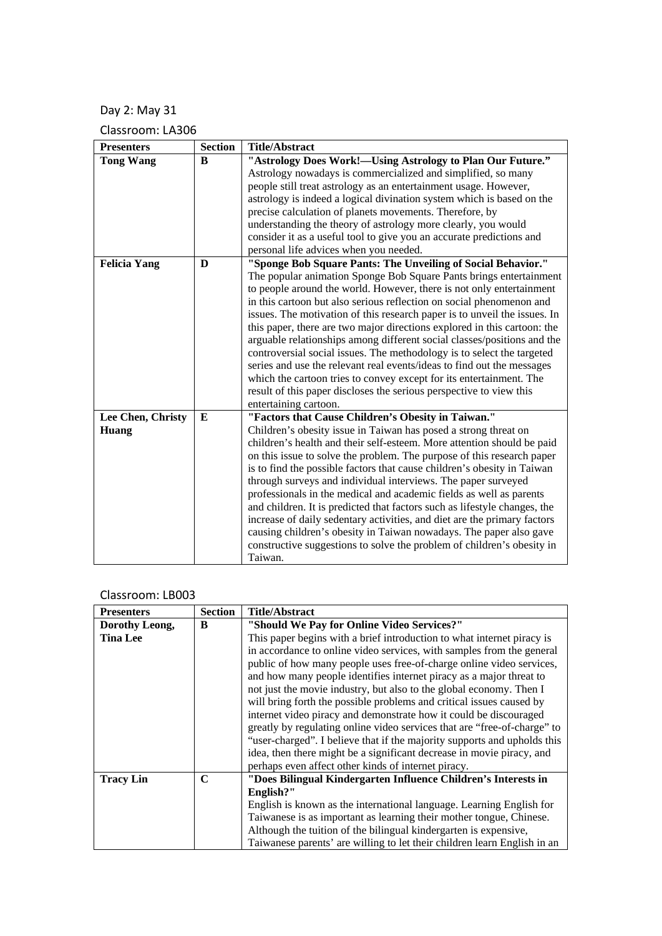# Day 2: May 31

Classroom: LA306

| <b>Presenters</b>   | <b>Section</b> | <b>Title/Abstract</b>                                                       |
|---------------------|----------------|-----------------------------------------------------------------------------|
| <b>Tong Wang</b>    | B              | "Astrology Does Work!-Using Astrology to Plan Our Future."                  |
|                     |                | Astrology nowadays is commercialized and simplified, so many                |
|                     |                | people still treat astrology as an entertainment usage. However,            |
|                     |                | astrology is indeed a logical divination system which is based on the       |
|                     |                | precise calculation of planets movements. Therefore, by                     |
|                     |                | understanding the theory of astrology more clearly, you would               |
|                     |                | consider it as a useful tool to give you an accurate predictions and        |
|                     |                | personal life advices when you needed.                                      |
| <b>Felicia Yang</b> | $\mathbf{D}$   | "Sponge Bob Square Pants: The Unveiling of Social Behavior."                |
|                     |                | The popular animation Sponge Bob Square Pants brings entertainment          |
|                     |                | to people around the world. However, there is not only entertainment        |
|                     |                | in this cartoon but also serious reflection on social phenomenon and        |
|                     |                | issues. The motivation of this research paper is to unveil the issues. In   |
|                     |                | this paper, there are two major directions explored in this cartoon: the    |
|                     |                | arguable relationships among different social classes/positions and the     |
|                     |                | controversial social issues. The methodology is to select the targeted      |
|                     |                | series and use the relevant real events/ideas to find out the messages      |
|                     |                | which the cartoon tries to convey except for its entertainment. The         |
|                     |                | result of this paper discloses the serious perspective to view this         |
|                     | E              | entertaining cartoon.<br>"Factors that Cause Children's Obesity in Taiwan." |
| Lee Chen, Christy   |                | Children's obesity issue in Taiwan has posed a strong threat on             |
| Huang               |                | children's health and their self-esteem. More attention should be paid      |
|                     |                | on this issue to solve the problem. The purpose of this research paper      |
|                     |                | is to find the possible factors that cause children's obesity in Taiwan     |
|                     |                | through surveys and individual interviews. The paper surveyed               |
|                     |                | professionals in the medical and academic fields as well as parents         |
|                     |                | and children. It is predicted that factors such as lifestyle changes, the   |
|                     |                | increase of daily sedentary activities, and diet are the primary factors    |
|                     |                | causing children's obesity in Taiwan nowadays. The paper also gave          |
|                     |                | constructive suggestions to solve the problem of children's obesity in      |
|                     |                | Taiwan.                                                                     |

| <b>Presenters</b> | <b>Section</b> | <b>Title/Abstract</b>                                                    |
|-------------------|----------------|--------------------------------------------------------------------------|
| Dorothy Leong,    | B              | "Should We Pay for Online Video Services?"                               |
| <b>Tina Lee</b>   |                | This paper begins with a brief introduction to what internet piracy is   |
|                   |                | in accordance to online video services, with samples from the general    |
|                   |                | public of how many people uses free-of-charge online video services,     |
|                   |                | and how many people identifies internet piracy as a major threat to      |
|                   |                | not just the movie industry, but also to the global economy. Then I      |
|                   |                | will bring forth the possible problems and critical issues caused by     |
|                   |                | internet video piracy and demonstrate how it could be discouraged        |
|                   |                | greatly by regulating online video services that are "free-of-charge" to |
|                   |                | "user-charged". I believe that if the majority supports and upholds this |
|                   |                | idea, then there might be a significant decrease in movie piracy, and    |
|                   |                | perhaps even affect other kinds of internet piracy.                      |
| <b>Tracy Lin</b>  | C              | "Does Bilingual Kindergarten Influence Children's Interests in           |
|                   |                | English?"                                                                |
|                   |                | English is known as the international language. Learning English for     |
|                   |                | Taiwanese is as important as learning their mother tongue, Chinese.      |
|                   |                | Although the tuition of the bilingual kindergarten is expensive,         |
|                   |                | Taiwanese parents' are willing to let their children learn English in an |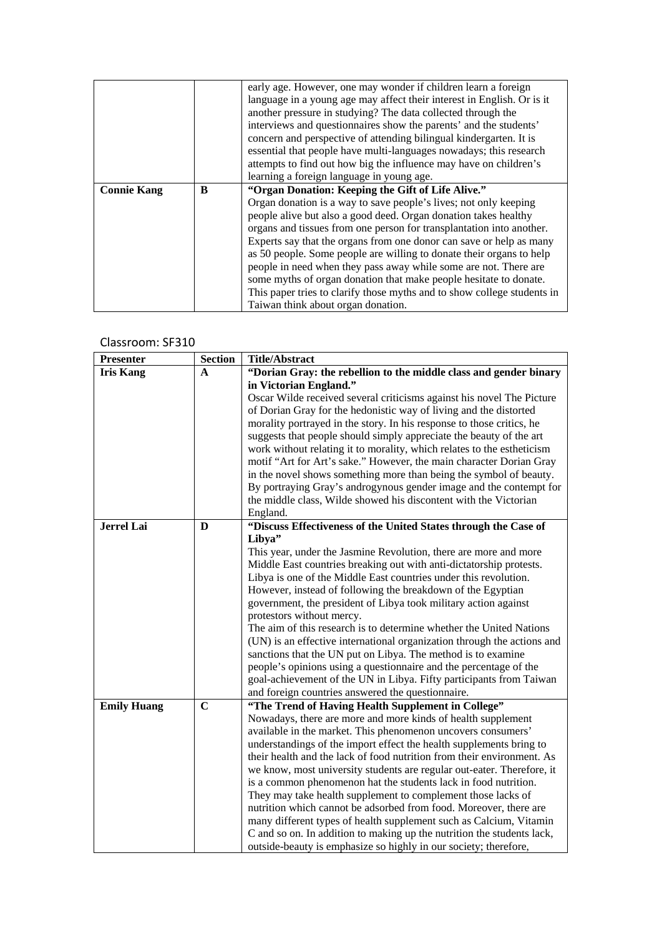|                    |   | early age. However, one may wonder if children learn a foreign          |
|--------------------|---|-------------------------------------------------------------------------|
|                    |   | language in a young age may affect their interest in English. Or is it  |
|                    |   | another pressure in studying? The data collected through the            |
|                    |   | interviews and questionnaires show the parents' and the students'       |
|                    |   | concern and perspective of attending bilingual kindergarten. It is      |
|                    |   | essential that people have multi-languages nowadays; this research      |
|                    |   | attempts to find out how big the influence may have on children's       |
|                    |   | learning a foreign language in young age.                               |
| <b>Connie Kang</b> | B | "Organ Donation: Keeping the Gift of Life Alive."                       |
|                    |   | Organ donation is a way to save people's lives; not only keeping        |
|                    |   | people alive but also a good deed. Organ donation takes healthy         |
|                    |   | organs and tissues from one person for transplantation into another.    |
|                    |   | Experts say that the organs from one donor can save or help as many     |
|                    |   | as 50 people. Some people are willing to donate their organs to help    |
|                    |   | people in need when they pass away while some are not. There are        |
|                    |   | some myths of organ donation that make people hesitate to donate.       |
|                    |   | This paper tries to clarify those myths and to show college students in |
|                    |   | Taiwan think about organ donation.                                      |

#### Classroom: SF310

| <b>Presenter</b>   | <b>Section</b> | <b>Title/Abstract</b>                                                   |
|--------------------|----------------|-------------------------------------------------------------------------|
| <b>Iris Kang</b>   | $\mathbf{A}$   | "Dorian Gray: the rebellion to the middle class and gender binary       |
|                    |                | in Victorian England."                                                  |
|                    |                | Oscar Wilde received several criticisms against his novel The Picture   |
|                    |                | of Dorian Gray for the hedonistic way of living and the distorted       |
|                    |                | morality portrayed in the story. In his response to those critics, he   |
|                    |                | suggests that people should simply appreciate the beauty of the art     |
|                    |                | work without relating it to morality, which relates to the estheticism  |
|                    |                | motif "Art for Art's sake." However, the main character Dorian Gray     |
|                    |                | in the novel shows something more than being the symbol of beauty.      |
|                    |                | By portraying Gray's androgynous gender image and the contempt for      |
|                    |                | the middle class, Wilde showed his discontent with the Victorian        |
|                    |                | England.                                                                |
| <b>Jerrel Lai</b>  | D              | "Discuss Effectiveness of the United States through the Case of         |
|                    |                | Libya"                                                                  |
|                    |                | This year, under the Jasmine Revolution, there are more and more        |
|                    |                | Middle East countries breaking out with anti-dictatorship protests.     |
|                    |                | Libya is one of the Middle East countries under this revolution.        |
|                    |                | However, instead of following the breakdown of the Egyptian             |
|                    |                | government, the president of Libya took military action against         |
|                    |                | protestors without mercy.                                               |
|                    |                | The aim of this research is to determine whether the United Nations     |
|                    |                | (UN) is an effective international organization through the actions and |
|                    |                | sanctions that the UN put on Libya. The method is to examine            |
|                    |                | people's opinions using a questionnaire and the percentage of the       |
|                    |                | goal-achievement of the UN in Libya. Fifty participants from Taiwan     |
|                    |                | and foreign countries answered the questionnaire.                       |
| <b>Emily Huang</b> | $\mathbf C$    | "The Trend of Having Health Supplement in College"                      |
|                    |                | Nowadays, there are more and more kinds of health supplement            |
|                    |                | available in the market. This phenomenon uncovers consumers'            |
|                    |                | understandings of the import effect the health supplements bring to     |
|                    |                | their health and the lack of food nutrition from their environment. As  |
|                    |                | we know, most university students are regular out-eater. Therefore, it  |
|                    |                | is a common phenomenon hat the students lack in food nutrition.         |
|                    |                | They may take health supplement to complement those lacks of            |
|                    |                | nutrition which cannot be adsorbed from food. Moreover, there are       |
|                    |                | many different types of health supplement such as Calcium, Vitamin      |
|                    |                | C and so on. In addition to making up the nutrition the students lack,  |
|                    |                | outside-beauty is emphasize so highly in our society; therefore,        |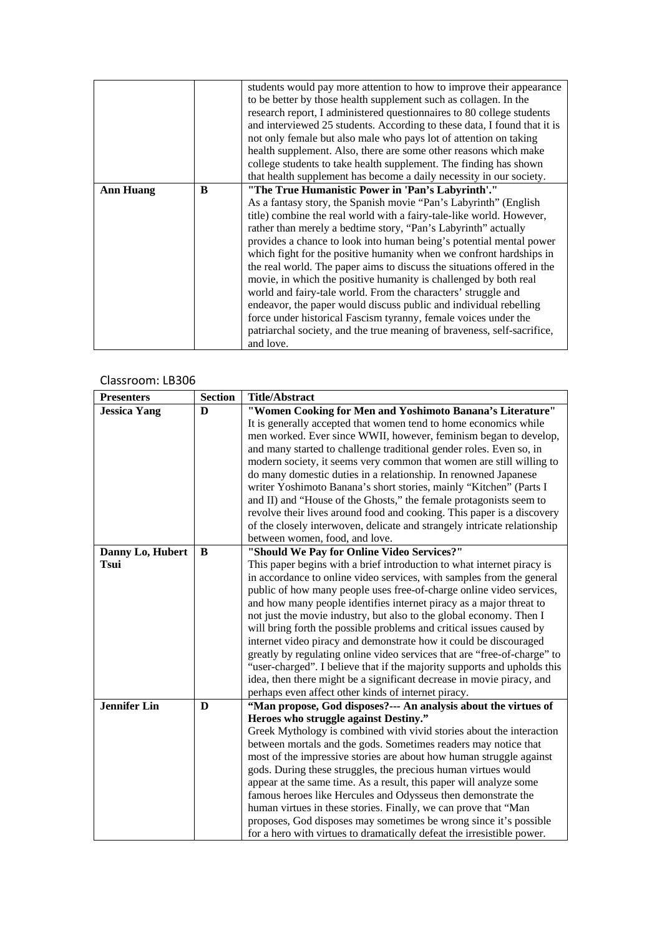|                  |   | students would pay more attention to how to improve their appearance     |
|------------------|---|--------------------------------------------------------------------------|
|                  |   | to be better by those health supplement such as collagen. In the         |
|                  |   | research report, I administered questionnaires to 80 college students    |
|                  |   | and interviewed 25 students. According to these data, I found that it is |
|                  |   | not only female but also male who pays lot of attention on taking        |
|                  |   | health supplement. Also, there are some other reasons which make         |
|                  |   | college students to take health supplement. The finding has shown        |
|                  |   | that health supplement has become a daily necessity in our society.      |
| <b>Ann Huang</b> | B | "The True Humanistic Power in 'Pan's Labyrinth'."                        |
|                  |   | As a fantasy story, the Spanish movie "Pan's Labyrinth" (English         |
|                  |   | title) combine the real world with a fairy-tale-like world. However,     |
|                  |   | rather than merely a bedtime story, "Pan's Labyrinth" actually           |
|                  |   | provides a chance to look into human being's potential mental power      |
|                  |   | which fight for the positive humanity when we confront hardships in      |
|                  |   | the real world. The paper aims to discuss the situations offered in the  |
|                  |   | movie, in which the positive humanity is challenged by both real         |
|                  |   | world and fairy-tale world. From the characters' struggle and            |
|                  |   | endeavor, the paper would discuss public and individual rebelling        |
|                  |   | force under historical Fascism tyranny, female voices under the          |
|                  |   | patriarchal society, and the true meaning of braveness, self-sacrifice,  |
|                  |   | and love.                                                                |

| <b>Presenters</b>   | <b>Section</b> | <b>Title/Abstract</b>                                                    |
|---------------------|----------------|--------------------------------------------------------------------------|
| <b>Jessica Yang</b> | $\bf{D}$       | "Women Cooking for Men and Yoshimoto Banana's Literature"                |
|                     |                | It is generally accepted that women tend to home economics while         |
|                     |                | men worked. Ever since WWII, however, feminism began to develop,         |
|                     |                | and many started to challenge traditional gender roles. Even so, in      |
|                     |                | modern society, it seems very common that women are still willing to     |
|                     |                | do many domestic duties in a relationship. In renowned Japanese          |
|                     |                | writer Yoshimoto Banana's short stories, mainly "Kitchen" (Parts I       |
|                     |                | and II) and "House of the Ghosts," the female protagonists seem to       |
|                     |                | revolve their lives around food and cooking. This paper is a discovery   |
|                     |                | of the closely interwoven, delicate and strangely intricate relationship |
|                     |                | between women, food, and love.                                           |
| Danny Lo, Hubert    | B              | "Should We Pay for Online Video Services?"                               |
| <b>Tsui</b>         |                | This paper begins with a brief introduction to what internet piracy is   |
|                     |                | in accordance to online video services, with samples from the general    |
|                     |                | public of how many people uses free-of-charge online video services,     |
|                     |                | and how many people identifies internet piracy as a major threat to      |
|                     |                | not just the movie industry, but also to the global economy. Then I      |
|                     |                | will bring forth the possible problems and critical issues caused by     |
|                     |                | internet video piracy and demonstrate how it could be discouraged        |
|                     |                | greatly by regulating online video services that are "free-of-charge" to |
|                     |                | "user-charged". I believe that if the majority supports and upholds this |
|                     |                | idea, then there might be a significant decrease in movie piracy, and    |
|                     |                | perhaps even affect other kinds of internet piracy.                      |
| <b>Jennifer Lin</b> | D              | "Man propose, God disposes?--- An analysis about the virtues of          |
|                     |                | Heroes who struggle against Destiny."                                    |
|                     |                | Greek Mythology is combined with vivid stories about the interaction     |
|                     |                | between mortals and the gods. Sometimes readers may notice that          |
|                     |                | most of the impressive stories are about how human struggle against      |
|                     |                | gods. During these struggles, the precious human virtues would           |
|                     |                | appear at the same time. As a result, this paper will analyze some       |
|                     |                | famous heroes like Hercules and Odysseus then demonstrate the            |
|                     |                | human virtues in these stories. Finally, we can prove that "Man          |
|                     |                | proposes, God disposes may sometimes be wrong since it's possible        |
|                     |                | for a hero with virtues to dramatically defeat the irresistible power.   |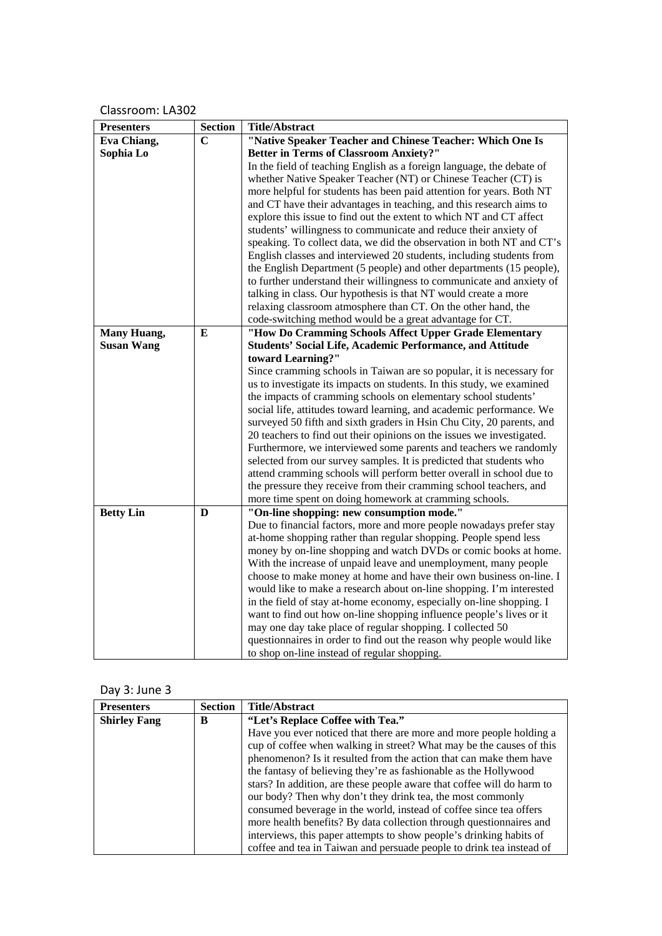| <b>Presenters</b> | <b>Section</b> | <b>Title/Abstract</b>                                                 |
|-------------------|----------------|-----------------------------------------------------------------------|
| Eva Chiang,       | $\mathbf C$    | "Native Speaker Teacher and Chinese Teacher: Which One Is             |
| Sophia Lo         |                | <b>Better in Terms of Classroom Anxiety?"</b>                         |
|                   |                | In the field of teaching English as a foreign language, the debate of |
|                   |                | whether Native Speaker Teacher (NT) or Chinese Teacher (CT) is        |
|                   |                | more helpful for students has been paid attention for years. Both NT  |
|                   |                | and CT have their advantages in teaching, and this research aims to   |
|                   |                | explore this issue to find out the extent to which NT and CT affect   |
|                   |                | students' willingness to communicate and reduce their anxiety of      |
|                   |                | speaking. To collect data, we did the observation in both NT and CT's |
|                   |                | English classes and interviewed 20 students, including students from  |
|                   |                | the English Department (5 people) and other departments (15 people),  |
|                   |                | to further understand their willingness to communicate and anxiety of |
|                   |                | talking in class. Our hypothesis is that NT would create a more       |
|                   |                | relaxing classroom atmosphere than CT. On the other hand, the         |
|                   |                | code-switching method would be a great advantage for CT.              |
| Many Huang,       | E              | "How Do Cramming Schools Affect Upper Grade Elementary                |
| <b>Susan Wang</b> |                | Students' Social Life, Academic Performance, and Attitude             |
|                   |                | toward Learning?"                                                     |
|                   |                | Since cramming schools in Taiwan are so popular, it is necessary for  |
|                   |                | us to investigate its impacts on students. In this study, we examined |
|                   |                | the impacts of cramming schools on elementary school students'        |
|                   |                | social life, attitudes toward learning, and academic performance. We  |
|                   |                | surveyed 50 fifth and sixth graders in Hsin Chu City, 20 parents, and |
|                   |                | 20 teachers to find out their opinions on the issues we investigated. |
|                   |                | Furthermore, we interviewed some parents and teachers we randomly     |
|                   |                | selected from our survey samples. It is predicted that students who   |
|                   |                | attend cramming schools will perform better overall in school due to  |
|                   |                | the pressure they receive from their cramming school teachers, and    |
|                   |                | more time spent on doing homework at cramming schools.                |
| <b>Betty Lin</b>  | D              | "On-line shopping: new consumption mode."                             |
|                   |                | Due to financial factors, more and more people nowadays prefer stay   |
|                   |                | at-home shopping rather than regular shopping. People spend less      |
|                   |                | money by on-line shopping and watch DVDs or comic books at home.      |
|                   |                | With the increase of unpaid leave and unemployment, many people       |
|                   |                | choose to make money at home and have their own business on-line. I   |
|                   |                | would like to make a research about on-line shopping. I'm interested  |
|                   |                | in the field of stay at-home economy, especially on-line shopping. I  |
|                   |                | want to find out how on-line shopping influence people's lives or it  |
|                   |                | may one day take place of regular shopping. I collected 50            |
|                   |                | questionnaires in order to find out the reason why people would like  |
|                   |                | to shop on-line instead of regular shopping.                          |

# Day 3: June 3

| <b>Presenters</b>   | <b>Section</b> | <b>Title/Abstract</b>                                                  |
|---------------------|----------------|------------------------------------------------------------------------|
| <b>Shirley Fang</b> | B              | "Let's Replace Coffee with Tea."                                       |
|                     |                | Have you ever noticed that there are more and more people holding a    |
|                     |                | cup of coffee when walking in street? What may be the causes of this   |
|                     |                | phenomenon? Is it resulted from the action that can make them have     |
|                     |                | the fantasy of believing they're as fashionable as the Hollywood       |
|                     |                | stars? In addition, are these people aware that coffee will do harm to |
|                     |                | our body? Then why don't they drink tea, the most commonly             |
|                     |                | consumed beverage in the world, instead of coffee since tea offers     |
|                     |                | more health benefits? By data collection through questionnaires and    |
|                     |                | interviews, this paper attempts to show people's drinking habits of    |
|                     |                | coffee and tea in Taiwan and persuade people to drink tea instead of   |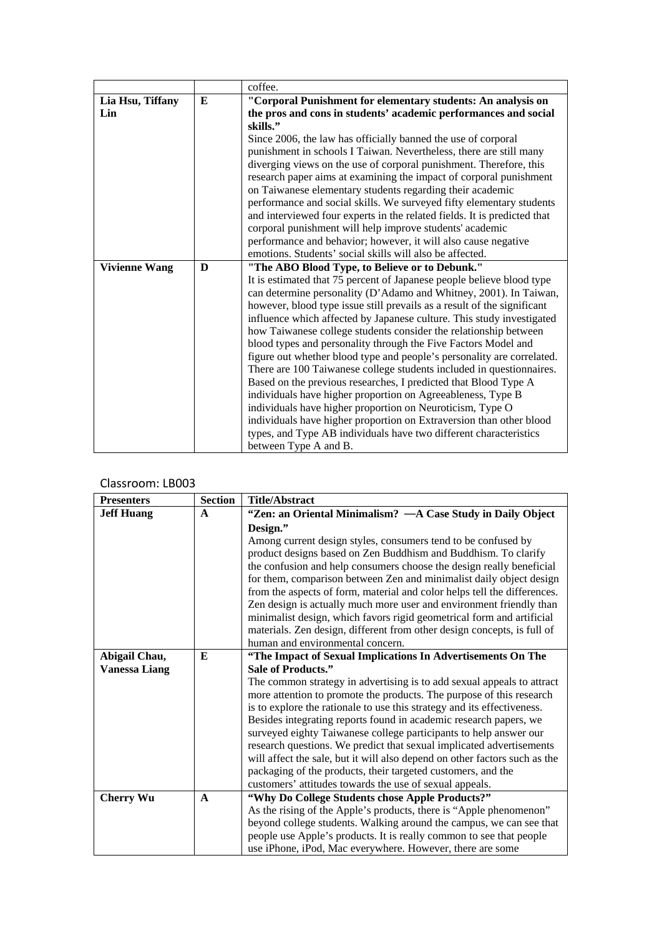|                      |   | coffee.                                                                     |
|----------------------|---|-----------------------------------------------------------------------------|
| Lia Hsu, Tiffany     | E | "Corporal Punishment for elementary students: An analysis on                |
| Lin                  |   | the pros and cons in students' academic performances and social<br>skills." |
|                      |   | Since 2006, the law has officially banned the use of corporal               |
|                      |   | punishment in schools I Taiwan. Nevertheless, there are still many          |
|                      |   | diverging views on the use of corporal punishment. Therefore, this          |
|                      |   | research paper aims at examining the impact of corporal punishment          |
|                      |   | on Taiwanese elementary students regarding their academic                   |
|                      |   | performance and social skills. We surveyed fifty elementary students        |
|                      |   | and interviewed four experts in the related fields. It is predicted that    |
|                      |   | corporal punishment will help improve students' academic                    |
|                      |   | performance and behavior; however, it will also cause negative              |
|                      |   | emotions. Students' social skills will also be affected.                    |
| <b>Vivienne Wang</b> | D | "The ABO Blood Type, to Believe or to Debunk."                              |
|                      |   | It is estimated that 75 percent of Japanese people believe blood type       |
|                      |   | can determine personality (D'Adamo and Whitney, 2001). In Taiwan,           |
|                      |   | however, blood type issue still prevails as a result of the significant     |
|                      |   | influence which affected by Japanese culture. This study investigated       |
|                      |   | how Taiwanese college students consider the relationship between            |
|                      |   | blood types and personality through the Five Factors Model and              |
|                      |   | figure out whether blood type and people's personality are correlated.      |
|                      |   | There are 100 Taiwanese college students included in questionnaires.        |
|                      |   | Based on the previous researches, I predicted that Blood Type A             |
|                      |   | individuals have higher proportion on Agreeableness, Type B                 |
|                      |   | individuals have higher proportion on Neuroticism, Type O                   |
|                      |   | individuals have higher proportion on Extraversion than other blood         |
|                      |   | types, and Type AB individuals have two different characteristics           |
|                      |   | between Type A and B.                                                       |

| <b>Presenters</b>    | <b>Section</b> | <b>Title/Abstract</b>                                                      |
|----------------------|----------------|----------------------------------------------------------------------------|
| <b>Jeff Huang</b>    | $\mathbf{A}$   | "Zen: an Oriental Minimalism? — A Case Study in Daily Object               |
|                      |                | Design."                                                                   |
|                      |                | Among current design styles, consumers tend to be confused by              |
|                      |                | product designs based on Zen Buddhism and Buddhism. To clarify             |
|                      |                | the confusion and help consumers choose the design really beneficial       |
|                      |                | for them, comparison between Zen and minimalist daily object design        |
|                      |                | from the aspects of form, material and color helps tell the differences.   |
|                      |                | Zen design is actually much more user and environment friendly than        |
|                      |                | minimalist design, which favors rigid geometrical form and artificial      |
|                      |                | materials. Zen design, different from other design concepts, is full of    |
|                      |                | human and environmental concern.                                           |
| Abigail Chau,        | E              | "The Impact of Sexual Implications In Advertisements On The                |
| <b>Vanessa Liang</b> |                | Sale of Products."                                                         |
|                      |                | The common strategy in advertising is to add sexual appeals to attract     |
|                      |                | more attention to promote the products. The purpose of this research       |
|                      |                | is to explore the rationale to use this strategy and its effectiveness.    |
|                      |                | Besides integrating reports found in academic research papers, we          |
|                      |                | surveyed eighty Taiwanese college participants to help answer our          |
|                      |                | research questions. We predict that sexual implicated advertisements       |
|                      |                | will affect the sale, but it will also depend on other factors such as the |
|                      |                | packaging of the products, their targeted customers, and the               |
|                      |                | customers' attitudes towards the use of sexual appeals.                    |
| <b>Cherry Wu</b>     | $\mathbf{A}$   | "Why Do College Students chose Apple Products?"                            |
|                      |                | As the rising of the Apple's products, there is "Apple phenomenon"         |
|                      |                | beyond college students. Walking around the campus, we can see that        |
|                      |                | people use Apple's products. It is really common to see that people        |
|                      |                | use iPhone, iPod, Mac everywhere. However, there are some                  |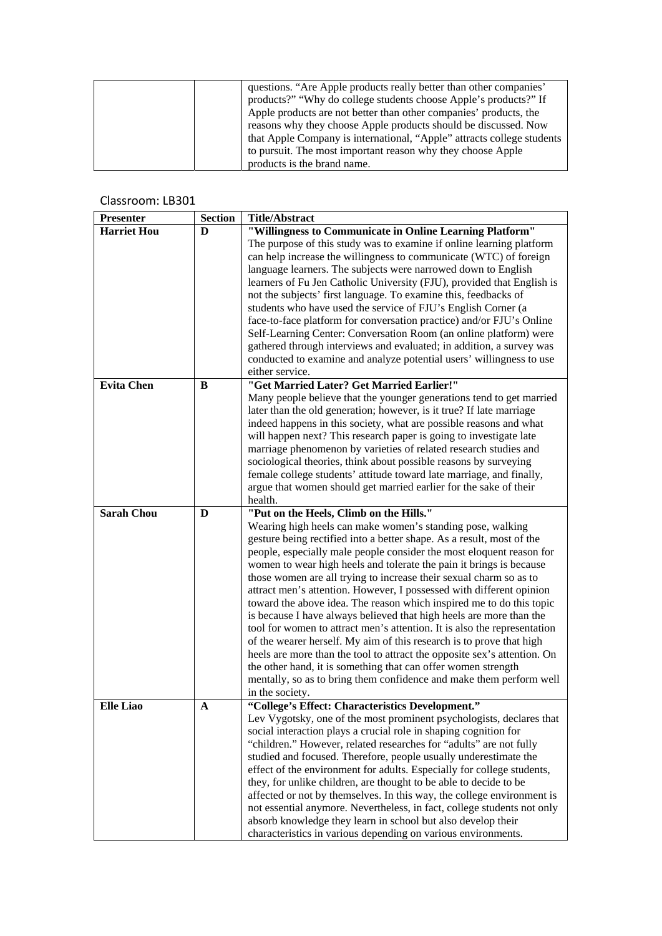| questions. "Are Apple products really better than other companies"     |
|------------------------------------------------------------------------|
| products?" "Why do college students choose Apple's products?" If       |
| Apple products are not better than other companies' products, the      |
| reasons why they choose Apple products should be discussed. Now        |
| that Apple Company is international, "Apple" attracts college students |
| to pursuit. The most important reason why they choose Apple            |
| products is the brand name.                                            |

| <b>Presenter</b>   | <b>Section</b> | <b>Title/Abstract</b>                                                    |
|--------------------|----------------|--------------------------------------------------------------------------|
| <b>Harriet Hou</b> | D              | "Willingness to Communicate in Online Learning Platform"                 |
|                    |                | The purpose of this study was to examine if online learning platform     |
|                    |                | can help increase the willingness to communicate (WTC) of foreign        |
|                    |                | language learners. The subjects were narrowed down to English            |
|                    |                | learners of Fu Jen Catholic University (FJU), provided that English is   |
|                    |                | not the subjects' first language. To examine this, feedbacks of          |
|                    |                | students who have used the service of FJU's English Corner (a            |
|                    |                | face-to-face platform for conversation practice) and/or FJU's Online     |
|                    |                | Self-Learning Center: Conversation Room (an online platform) were        |
|                    |                | gathered through interviews and evaluated; in addition, a survey was     |
|                    |                | conducted to examine and analyze potential users' willingness to use     |
|                    |                | either service.                                                          |
| <b>Evita Chen</b>  |                | "Get Married Later? Get Married Earlier!"                                |
|                    | B              |                                                                          |
|                    |                | Many people believe that the younger generations tend to get married     |
|                    |                | later than the old generation; however, is it true? If late marriage     |
|                    |                | indeed happens in this society, what are possible reasons and what       |
|                    |                | will happen next? This research paper is going to investigate late       |
|                    |                | marriage phenomenon by varieties of related research studies and         |
|                    |                | sociological theories, think about possible reasons by surveying         |
|                    |                | female college students' attitude toward late marriage, and finally,     |
|                    |                | argue that women should get married earlier for the sake of their        |
|                    |                | health.                                                                  |
| <b>Sarah Chou</b>  | D              | "Put on the Heels, Climb on the Hills."                                  |
|                    |                | Wearing high heels can make women's standing pose, walking               |
|                    |                | gesture being rectified into a better shape. As a result, most of the    |
|                    |                | people, especially male people consider the most eloquent reason for     |
|                    |                | women to wear high heels and tolerate the pain it brings is because      |
|                    |                | those women are all trying to increase their sexual charm so as to       |
|                    |                | attract men's attention. However, I possessed with different opinion     |
|                    |                | toward the above idea. The reason which inspired me to do this topic     |
|                    |                | is because I have always believed that high heels are more than the      |
|                    |                | tool for women to attract men's attention. It is also the representation |
|                    |                | of the wearer herself. My aim of this research is to prove that high     |
|                    |                | heels are more than the tool to attract the opposite sex's attention. On |
|                    |                | the other hand, it is something that can offer women strength            |
|                    |                | mentally, so as to bring them confidence and make them perform well      |
|                    |                | in the society.                                                          |
| Elle Liao          | A              | "College's Effect: Characteristics Development."                         |
|                    |                | Lev Vygotsky, one of the most prominent psychologists, declares that     |
|                    |                | social interaction plays a crucial role in shaping cognition for         |
|                    |                | "children." However, related researches for "adults" are not fully       |
|                    |                | studied and focused. Therefore, people usually underestimate the         |
|                    |                | effect of the environment for adults. Especially for college students,   |
|                    |                | they, for unlike children, are thought to be able to decide to be        |
|                    |                | affected or not by themselves. In this way, the college environment is   |
|                    |                | not essential anymore. Nevertheless, in fact, college students not only  |
|                    |                | absorb knowledge they learn in school but also develop their             |
|                    |                | characteristics in various depending on various environments.            |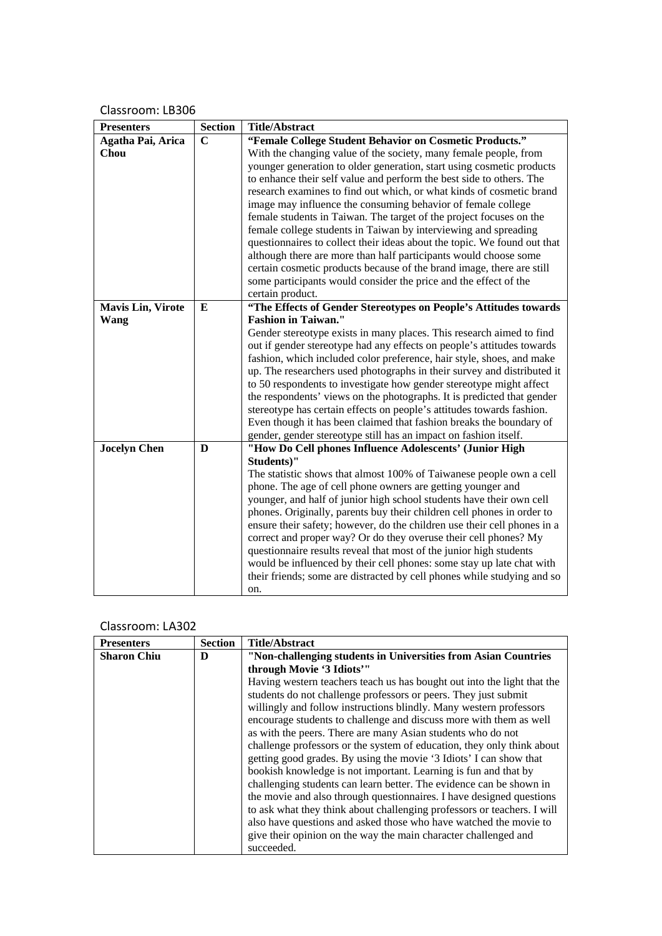| <b>Presenters</b>        | <b>Section</b> | <b>Title/Abstract</b>                                                                                                                          |
|--------------------------|----------------|------------------------------------------------------------------------------------------------------------------------------------------------|
| Agatha Pai, Arica        | $\mathbf C$    | "Female College Student Behavior on Cosmetic Products."                                                                                        |
| Chou                     |                | With the changing value of the society, many female people, from                                                                               |
|                          |                | younger generation to older generation, start using cosmetic products                                                                          |
|                          |                | to enhance their self value and perform the best side to others. The                                                                           |
|                          |                | research examines to find out which, or what kinds of cosmetic brand                                                                           |
|                          |                | image may influence the consuming behavior of female college                                                                                   |
|                          |                | female students in Taiwan. The target of the project focuses on the                                                                            |
|                          |                | female college students in Taiwan by interviewing and spreading                                                                                |
|                          |                | questionnaires to collect their ideas about the topic. We found out that                                                                       |
|                          |                | although there are more than half participants would choose some                                                                               |
|                          |                | certain cosmetic products because of the brand image, there are still                                                                          |
|                          |                | some participants would consider the price and the effect of the                                                                               |
|                          |                | certain product.                                                                                                                               |
| <b>Mavis Lin, Virote</b> | Е              | "The Effects of Gender Stereotypes on People's Attitudes towards                                                                               |
| Wang                     |                | <b>Fashion in Taiwan."</b>                                                                                                                     |
|                          |                | Gender stereotype exists in many places. This research aimed to find<br>out if gender stereotype had any effects on people's attitudes towards |
|                          |                | fashion, which included color preference, hair style, shoes, and make                                                                          |
|                          |                | up. The researchers used photographs in their survey and distributed it                                                                        |
|                          |                | to 50 respondents to investigate how gender stereotype might affect                                                                            |
|                          |                | the respondents' views on the photographs. It is predicted that gender                                                                         |
|                          |                | stereotype has certain effects on people's attitudes towards fashion.                                                                          |
|                          |                | Even though it has been claimed that fashion breaks the boundary of                                                                            |
|                          |                | gender, gender stereotype still has an impact on fashion itself.                                                                               |
| <b>Jocelyn Chen</b>      | D              | "How Do Cell phones Influence Adolescents' (Junior High                                                                                        |
|                          |                | Students)"                                                                                                                                     |
|                          |                | The statistic shows that almost 100% of Taiwanese people own a cell                                                                            |
|                          |                | phone. The age of cell phone owners are getting younger and                                                                                    |
|                          |                | younger, and half of junior high school students have their own cell                                                                           |
|                          |                | phones. Originally, parents buy their children cell phones in order to                                                                         |
|                          |                | ensure their safety; however, do the children use their cell phones in a                                                                       |
|                          |                | correct and proper way? Or do they overuse their cell phones? My                                                                               |
|                          |                | questionnaire results reveal that most of the junior high students                                                                             |
|                          |                | would be influenced by their cell phones: some stay up late chat with                                                                          |
|                          |                | their friends; some are distracted by cell phones while studying and so                                                                        |
|                          |                | on.                                                                                                                                            |

| <b>Presenters</b>  | <b>Section</b> | <b>Title/Abstract</b>                                                   |
|--------------------|----------------|-------------------------------------------------------------------------|
| <b>Sharon Chiu</b> | D              | "Non-challenging students in Universities from Asian Countries          |
|                    |                | through Movie '3 Idiots'"                                               |
|                    |                | Having western teachers teach us has bought out into the light that the |
|                    |                | students do not challenge professors or peers. They just submit         |
|                    |                | willingly and follow instructions blindly. Many western professors      |
|                    |                | encourage students to challenge and discuss more with them as well      |
|                    |                | as with the peers. There are many Asian students who do not             |
|                    |                | challenge professors or the system of education, they only think about  |
|                    |                | getting good grades. By using the movie '3 Idiots' I can show that      |
|                    |                | bookish knowledge is not important. Learning is fun and that by         |
|                    |                | challenging students can learn better. The evidence can be shown in     |
|                    |                | the movie and also through questionnaires. I have designed questions    |
|                    |                | to ask what they think about challenging professors or teachers. I will |
|                    |                | also have questions and asked those who have watched the movie to       |
|                    |                | give their opinion on the way the main character challenged and         |
|                    |                | succeeded.                                                              |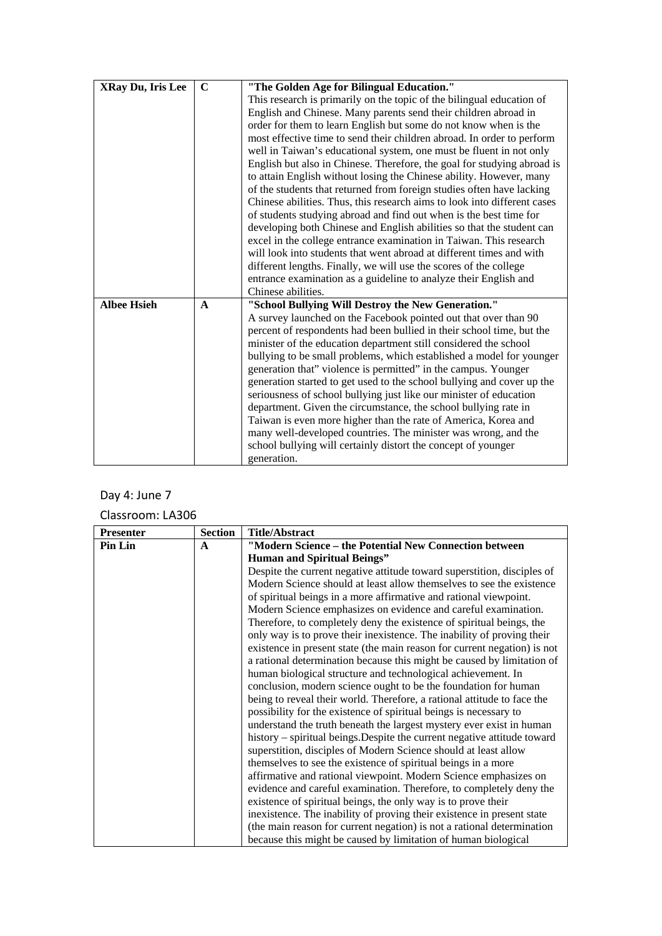| <b>XRay Du, Iris Lee</b> | $\mathbf C$  | "The Golden Age for Bilingual Education."                                |
|--------------------------|--------------|--------------------------------------------------------------------------|
|                          |              | This research is primarily on the topic of the bilingual education of    |
|                          |              | English and Chinese. Many parents send their children abroad in          |
|                          |              | order for them to learn English but some do not know when is the         |
|                          |              | most effective time to send their children abroad. In order to perform   |
|                          |              | well in Taiwan's educational system, one must be fluent in not only      |
|                          |              | English but also in Chinese. Therefore, the goal for studying abroad is  |
|                          |              | to attain English without losing the Chinese ability. However, many      |
|                          |              | of the students that returned from foreign studies often have lacking    |
|                          |              | Chinese abilities. Thus, this research aims to look into different cases |
|                          |              | of students studying abroad and find out when is the best time for       |
|                          |              | developing both Chinese and English abilities so that the student can    |
|                          |              | excel in the college entrance examination in Taiwan. This research       |
|                          |              | will look into students that went abroad at different times and with     |
|                          |              | different lengths. Finally, we will use the scores of the college        |
|                          |              | entrance examination as a guideline to analyze their English and         |
|                          |              | Chinese abilities.                                                       |
| <b>Albee Hsieh</b>       | $\mathbf{A}$ | "School Bullying Will Destroy the New Generation."                       |
|                          |              | A survey launched on the Facebook pointed out that over than 90          |
|                          |              | percent of respondents had been bullied in their school time, but the    |
|                          |              | minister of the education department still considered the school         |
|                          |              | bullying to be small problems, which established a model for younger     |
|                          |              | generation that" violence is permitted" in the campus. Younger           |
|                          |              | generation started to get used to the school bullying and cover up the   |
|                          |              | seriousness of school bullying just like our minister of education       |
|                          |              | department. Given the circumstance, the school bullying rate in          |
|                          |              | Taiwan is even more higher than the rate of America, Korea and           |
|                          |              | many well-developed countries. The minister was wrong, and the           |
|                          |              | school bullying will certainly distort the concept of younger            |
|                          |              | generation.                                                              |

# Day 4: June 7

| <b>Presenter</b> | <b>Section</b> | <b>Title/Abstract</b>                                                    |
|------------------|----------------|--------------------------------------------------------------------------|
| <b>Pin Lin</b>   | $\mathbf{A}$   | "Modern Science - the Potential New Connection between                   |
|                  |                | <b>Human and Spiritual Beings"</b>                                       |
|                  |                | Despite the current negative attitude toward superstition, disciples of  |
|                  |                | Modern Science should at least allow themselves to see the existence     |
|                  |                | of spiritual beings in a more affirmative and rational viewpoint.        |
|                  |                | Modern Science emphasizes on evidence and careful examination.           |
|                  |                | Therefore, to completely deny the existence of spiritual beings, the     |
|                  |                | only way is to prove their inexistence. The inability of proving their   |
|                  |                | existence in present state (the main reason for current negation) is not |
|                  |                | a rational determination because this might be caused by limitation of   |
|                  |                | human biological structure and technological achievement. In             |
|                  |                | conclusion, modern science ought to be the foundation for human          |
|                  |                | being to reveal their world. Therefore, a rational attitude to face the  |
|                  |                | possibility for the existence of spiritual beings is necessary to        |
|                  |                | understand the truth beneath the largest mystery ever exist in human     |
|                  |                | history – spiritual beings. Despite the current negative attitude toward |
|                  |                | superstition, disciples of Modern Science should at least allow          |
|                  |                | themselves to see the existence of spiritual beings in a more            |
|                  |                | affirmative and rational viewpoint. Modern Science emphasizes on         |
|                  |                | evidence and careful examination. Therefore, to completely deny the      |
|                  |                | existence of spiritual beings, the only way is to prove their            |
|                  |                | inexistence. The inability of proving their existence in present state   |
|                  |                | (the main reason for current negation) is not a rational determination   |
|                  |                | because this might be caused by limitation of human biological           |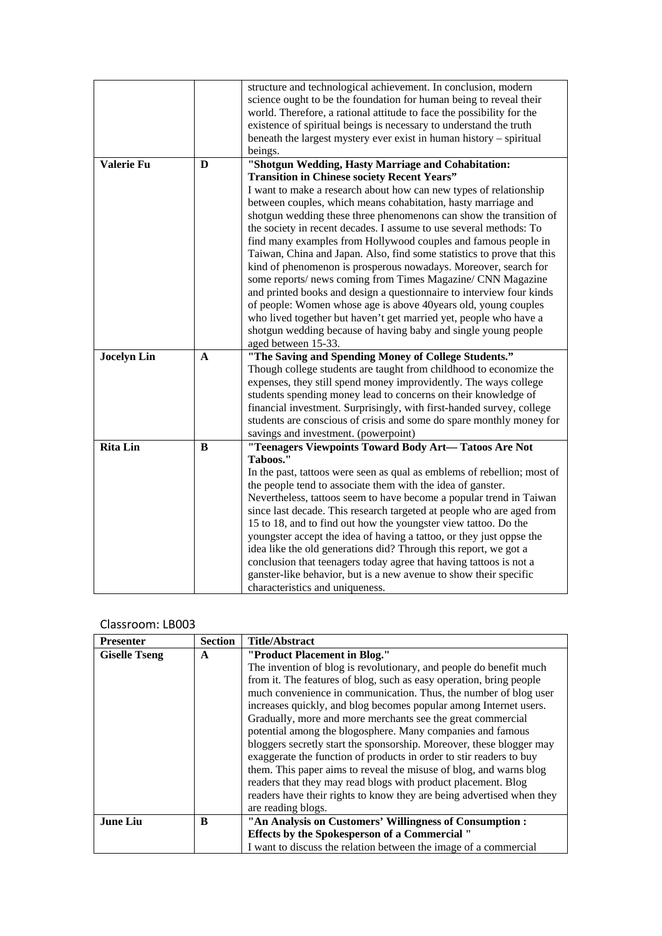|                    |             | structure and technological achievement. In conclusion, modern          |  |
|--------------------|-------------|-------------------------------------------------------------------------|--|
|                    |             | science ought to be the foundation for human being to reveal their      |  |
|                    |             | world. Therefore, a rational attitude to face the possibility for the   |  |
|                    |             | existence of spiritual beings is necessary to understand the truth      |  |
|                    |             | beneath the largest mystery ever exist in human history – spiritual     |  |
|                    |             | beings.                                                                 |  |
| Valerie Fu         |             |                                                                         |  |
|                    | D           | "Shotgun Wedding, Hasty Marriage and Cohabitation:                      |  |
|                    |             | <b>Transition in Chinese society Recent Years"</b>                      |  |
|                    |             | I want to make a research about how can new types of relationship       |  |
|                    |             | between couples, which means cohabitation, hasty marriage and           |  |
|                    |             | shotgun wedding these three phenomenons can show the transition of      |  |
|                    |             | the society in recent decades. I assume to use several methods: To      |  |
|                    |             | find many examples from Hollywood couples and famous people in          |  |
|                    |             | Taiwan, China and Japan. Also, find some statistics to prove that this  |  |
|                    |             | kind of phenomenon is prosperous nowadays. Moreover, search for         |  |
|                    |             | some reports/ news coming from Times Magazine/ CNN Magazine             |  |
|                    |             | and printed books and design a questionnaire to interview four kinds    |  |
|                    |             | of people: Women whose age is above 40 years old, young couples         |  |
|                    |             | who lived together but haven't get married yet, people who have a       |  |
|                    |             | shotgun wedding because of having baby and single young people          |  |
|                    |             | aged between 15-33.                                                     |  |
| <b>Jocelyn Lin</b> | $\mathbf A$ | "The Saving and Spending Money of College Students."                    |  |
|                    |             | Though college students are taught from childhood to economize the      |  |
|                    |             | expenses, they still spend money improvidently. The ways college        |  |
|                    |             | students spending money lead to concerns on their knowledge of          |  |
|                    |             | financial investment. Surprisingly, with first-handed survey, college   |  |
|                    |             | students are conscious of crisis and some do spare monthly money for    |  |
|                    |             | savings and investment. (powerpoint)                                    |  |
| <b>Rita Lin</b>    | B           | "Teenagers Viewpoints Toward Body Art-Tatoos Are Not                    |  |
|                    |             | Taboos."                                                                |  |
|                    |             | In the past, tattoos were seen as qual as emblems of rebellion; most of |  |
|                    |             | the people tend to associate them with the idea of ganster.             |  |
|                    |             | Nevertheless, tattoos seem to have become a popular trend in Taiwan     |  |
|                    |             | since last decade. This research targeted at people who are aged from   |  |
|                    |             | 15 to 18, and to find out how the youngster view tattoo. Do the         |  |
|                    |             | youngster accept the idea of having a tattoo, or they just oppse the    |  |
|                    |             | idea like the old generations did? Through this report, we got a        |  |
|                    |             | conclusion that teenagers today agree that having tattoos is not a      |  |
|                    |             | ganster-like behavior, but is a new avenue to show their specific       |  |
|                    |             | characteristics and uniqueness.                                         |  |
|                    |             |                                                                         |  |

| <b>Presenter</b>     | <b>Section</b> | <b>Title/Abstract</b>                                                 |  |
|----------------------|----------------|-----------------------------------------------------------------------|--|
| <b>Giselle Tseng</b> | A              | "Product Placement in Blog."                                          |  |
|                      |                | The invention of blog is revolutionary, and people do benefit much    |  |
|                      |                | from it. The features of blog, such as easy operation, bring people   |  |
|                      |                | much convenience in communication. Thus, the number of blog user      |  |
|                      |                | increases quickly, and blog becomes popular among Internet users.     |  |
|                      |                | Gradually, more and more merchants see the great commercial           |  |
|                      |                | potential among the blogosphere. Many companies and famous            |  |
|                      |                | bloggers secretly start the sponsorship. Moreover, these blogger may  |  |
|                      |                | exaggerate the function of products in order to stir readers to buy   |  |
|                      |                | them. This paper aims to reveal the misuse of blog, and warns blog    |  |
|                      |                | readers that they may read blogs with product placement. Blog         |  |
|                      |                | readers have their rights to know they are being advertised when they |  |
|                      |                | are reading blogs.                                                    |  |
| <b>June Liu</b>      | B              | "An Analysis on Customers' Willingness of Consumption:                |  |
|                      |                | <b>Effects by the Spokesperson of a Commercial "</b>                  |  |
|                      |                | I want to discuss the relation between the image of a commercial      |  |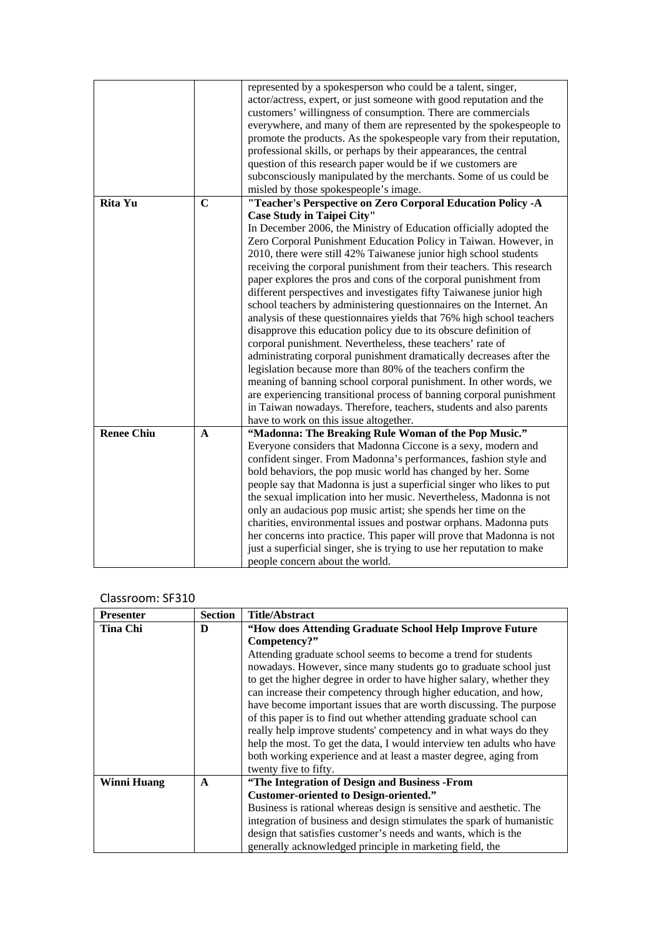|                   |             | represented by a spokesperson who could be a talent, singer,<br>actor/actress, expert, or just someone with good reputation and the<br>customers' willingness of consumption. There are commercials<br>everywhere, and many of them are represented by the spokespeople to<br>promote the products. As the spokespeople vary from their reputation,<br>professional skills, or perhaps by their appearances, the central<br>question of this research paper would be if we customers are<br>subconsciously manipulated by the merchants. Some of us could be<br>misled by those spokespeople's image.                                                                                                                                                                                                                                                                                                                                                                                                                                                                       |  |
|-------------------|-------------|-----------------------------------------------------------------------------------------------------------------------------------------------------------------------------------------------------------------------------------------------------------------------------------------------------------------------------------------------------------------------------------------------------------------------------------------------------------------------------------------------------------------------------------------------------------------------------------------------------------------------------------------------------------------------------------------------------------------------------------------------------------------------------------------------------------------------------------------------------------------------------------------------------------------------------------------------------------------------------------------------------------------------------------------------------------------------------|--|
| <b>Rita Yu</b>    | $\mathbf C$ | "Teacher's Perspective on Zero Corporal Education Policy -A                                                                                                                                                                                                                                                                                                                                                                                                                                                                                                                                                                                                                                                                                                                                                                                                                                                                                                                                                                                                                 |  |
|                   |             | <b>Case Study in Taipei City"</b>                                                                                                                                                                                                                                                                                                                                                                                                                                                                                                                                                                                                                                                                                                                                                                                                                                                                                                                                                                                                                                           |  |
|                   |             | In December 2006, the Ministry of Education officially adopted the<br>Zero Corporal Punishment Education Policy in Taiwan. However, in<br>2010, there were still 42% Taiwanese junior high school students<br>receiving the corporal punishment from their teachers. This research<br>paper explores the pros and cons of the corporal punishment from<br>different perspectives and investigates fifty Taiwanese junior high<br>school teachers by administering questionnaires on the Internet. An<br>analysis of these questionnaires yields that 76% high school teachers<br>disapprove this education policy due to its obscure definition of<br>corporal punishment. Nevertheless, these teachers' rate of<br>administrating corporal punishment dramatically decreases after the<br>legislation because more than 80% of the teachers confirm the<br>meaning of banning school corporal punishment. In other words, we<br>are experiencing transitional process of banning corporal punishment<br>in Taiwan nowadays. Therefore, teachers, students and also parents |  |
|                   |             | have to work on this issue altogether.                                                                                                                                                                                                                                                                                                                                                                                                                                                                                                                                                                                                                                                                                                                                                                                                                                                                                                                                                                                                                                      |  |
| <b>Renee Chiu</b> | A           | "Madonna: The Breaking Rule Woman of the Pop Music."<br>Everyone considers that Madonna Ciccone is a sexy, modern and<br>confident singer. From Madonna's performances, fashion style and<br>bold behaviors, the pop music world has changed by her. Some<br>people say that Madonna is just a superficial singer who likes to put<br>the sexual implication into her music. Nevertheless, Madonna is not<br>only an audacious pop music artist; she spends her time on the<br>charities, environmental issues and postwar orphans. Madonna puts<br>her concerns into practice. This paper will prove that Madonna is not<br>just a superficial singer, she is trying to use her reputation to make<br>people concern about the world.                                                                                                                                                                                                                                                                                                                                      |  |

#### Classroom: SF310

| <b>Presenter</b>   | <b>Section</b> | <b>Title/Abstract</b>                                                 |  |
|--------------------|----------------|-----------------------------------------------------------------------|--|
| <b>Tina Chi</b>    | D              | "How does Attending Graduate School Help Improve Future               |  |
|                    |                | Competency?"                                                          |  |
|                    |                | Attending graduate school seems to become a trend for students        |  |
|                    |                | nowadays. However, since many students go to graduate school just     |  |
|                    |                | to get the higher degree in order to have higher salary, whether they |  |
|                    |                | can increase their competency through higher education, and how,      |  |
|                    |                | have become important issues that are worth discussing. The purpose   |  |
|                    |                | of this paper is to find out whether attending graduate school can    |  |
|                    |                | really help improve students' competency and in what ways do they     |  |
|                    |                | help the most. To get the data, I would interview ten adults who have |  |
|                    |                | both working experience and at least a master degree, aging from      |  |
|                    |                | twenty five to fifty.                                                 |  |
| <b>Winni Huang</b> | $\mathbf{A}$   | "The Integration of Design and Business -From                         |  |
|                    |                | <b>Customer-oriented to Design-oriented."</b>                         |  |
|                    |                | Business is rational whereas design is sensitive and aesthetic. The   |  |
|                    |                | integration of business and design stimulates the spark of humanistic |  |
|                    |                | design that satisfies customer's needs and wants, which is the        |  |
|                    |                | generally acknowledged principle in marketing field, the              |  |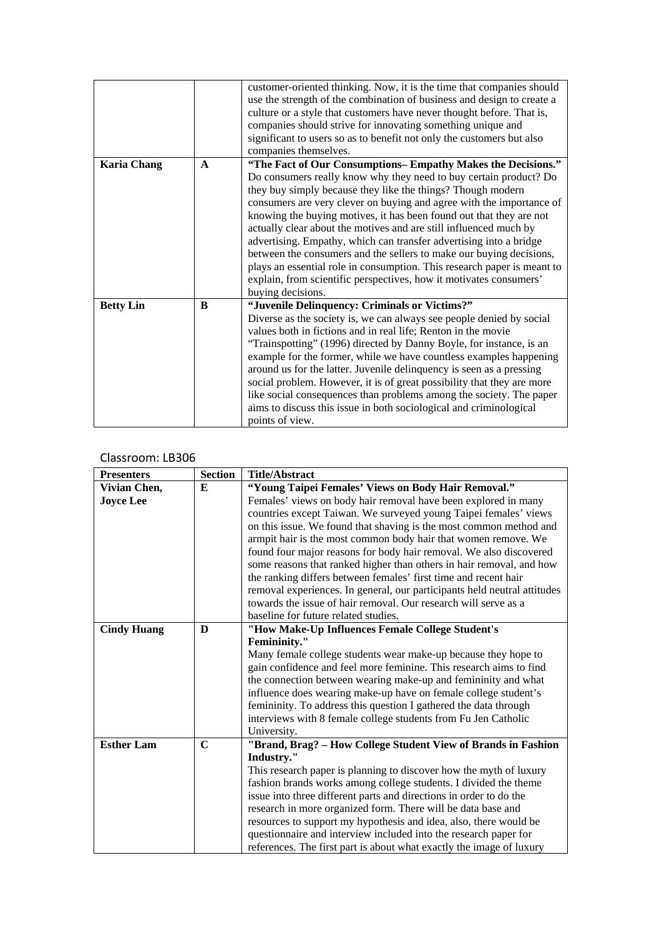|                    |              | customer-oriented thinking. Now, it is the time that companies should<br>use the strength of the combination of business and design to create a |  |  |
|--------------------|--------------|-------------------------------------------------------------------------------------------------------------------------------------------------|--|--|
|                    |              | culture or a style that customers have never thought before. That is,                                                                           |  |  |
|                    |              | companies should strive for innovating something unique and                                                                                     |  |  |
|                    |              | significant to users so as to benefit not only the customers but also                                                                           |  |  |
|                    |              | companies themselves.                                                                                                                           |  |  |
| <b>Karia Chang</b> | $\mathbf{A}$ | "The Fact of Our Consumptions-Empathy Makes the Decisions."                                                                                     |  |  |
|                    |              | Do consumers really know why they need to buy certain product? Do                                                                               |  |  |
|                    |              | they buy simply because they like the things? Though modern                                                                                     |  |  |
|                    |              | consumers are very clever on buying and agree with the importance of                                                                            |  |  |
|                    |              | knowing the buying motives, it has been found out that they are not                                                                             |  |  |
|                    |              | actually clear about the motives and are still influenced much by                                                                               |  |  |
|                    |              | advertising. Empathy, which can transfer advertising into a bridge                                                                              |  |  |
|                    |              | between the consumers and the sellers to make our buying decisions,                                                                             |  |  |
|                    |              | plays an essential role in consumption. This research paper is meant to                                                                         |  |  |
|                    |              | explain, from scientific perspectives, how it motivates consumers'                                                                              |  |  |
|                    |              | buying decisions.                                                                                                                               |  |  |
| <b>Betty Lin</b>   | B            | "Juvenile Delinquency: Criminals or Victims?"                                                                                                   |  |  |
|                    |              | Diverse as the society is, we can always see people denied by social                                                                            |  |  |
|                    |              | values both in fictions and in real life; Renton in the movie                                                                                   |  |  |
|                    |              | "Trainspotting" (1996) directed by Danny Boyle, for instance, is an                                                                             |  |  |
|                    |              | example for the former, while we have countless examples happening                                                                              |  |  |
|                    |              | around us for the latter. Juvenile delinquency is seen as a pressing                                                                            |  |  |
|                    |              | social problem. However, it is of great possibility that they are more                                                                          |  |  |
|                    |              | like social consequences than problems among the society. The paper                                                                             |  |  |
|                    |              | aims to discuss this issue in both sociological and criminological                                                                              |  |  |
|                    |              | points of view.                                                                                                                                 |  |  |

| <b>Presenters</b>  | <b>Section</b> | <b>Title/Abstract</b>                                                    |  |
|--------------------|----------------|--------------------------------------------------------------------------|--|
| Vivian Chen,       | E              | "Young Taipei Females' Views on Body Hair Removal."                      |  |
| <b>Joyce Lee</b>   |                | Females' views on body hair removal have been explored in many           |  |
|                    |                | countries except Taiwan. We surveyed young Taipei females' views         |  |
|                    |                | on this issue. We found that shaving is the most common method and       |  |
|                    |                | armpit hair is the most common body hair that women remove. We           |  |
|                    |                | found four major reasons for body hair removal. We also discovered       |  |
|                    |                | some reasons that ranked higher than others in hair removal, and how     |  |
|                    |                | the ranking differs between females' first time and recent hair          |  |
|                    |                | removal experiences. In general, our participants held neutral attitudes |  |
|                    |                | towards the issue of hair removal. Our research will serve as a          |  |
|                    |                | baseline for future related studies.                                     |  |
| <b>Cindy Huang</b> | D              | "How Make-Up Influences Female College Student's                         |  |
|                    |                | <b>Femininity."</b>                                                      |  |
|                    |                | Many female college students wear make-up because they hope to           |  |
|                    |                | gain confidence and feel more feminine. This research aims to find       |  |
|                    |                | the connection between wearing make-up and femininity and what           |  |
|                    |                | influence does wearing make-up have on female college student's          |  |
|                    |                | femininity. To address this question I gathered the data through         |  |
|                    |                | interviews with 8 female college students from Fu Jen Catholic           |  |
|                    |                | University.                                                              |  |
| <b>Esther Lam</b>  | $\mathbf C$    | "Brand, Brag? - How College Student View of Brands in Fashion            |  |
|                    |                | Industry."                                                               |  |
|                    |                | This research paper is planning to discover how the myth of luxury       |  |
|                    |                | fashion brands works among college students. I divided the theme         |  |
|                    |                | issue into three different parts and directions in order to do the       |  |
|                    |                | research in more organized form. There will be data base and             |  |
|                    |                | resources to support my hypothesis and idea, also, there would be        |  |
|                    |                | questionnaire and interview included into the research paper for         |  |
|                    |                | references. The first part is about what exactly the image of luxury     |  |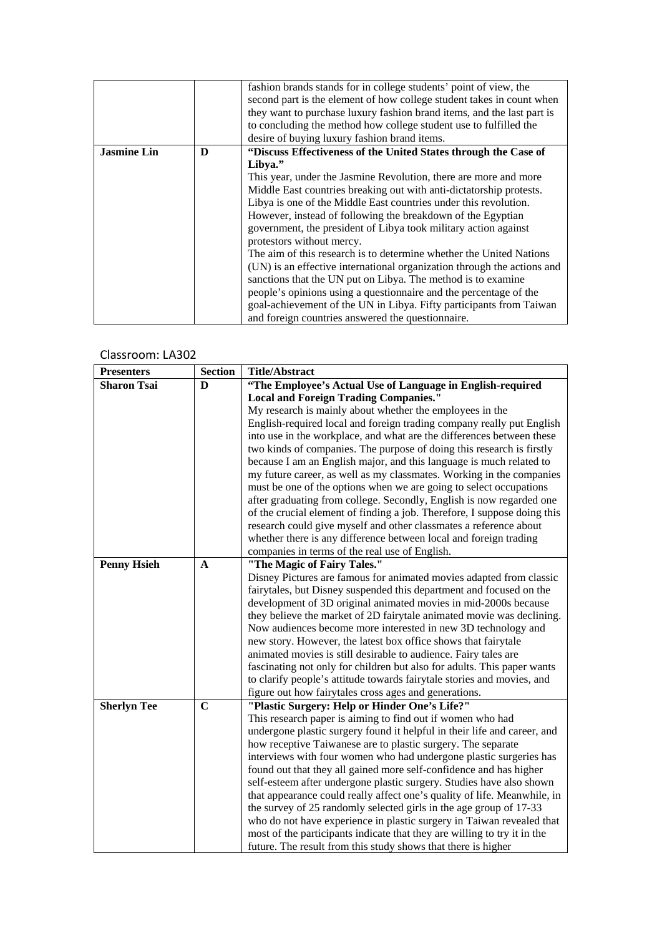|                    |   | fashion brands stands for in college students' point of view, the       |  |
|--------------------|---|-------------------------------------------------------------------------|--|
|                    |   | second part is the element of how college student takes in count when   |  |
|                    |   | they want to purchase luxury fashion brand items, and the last part is  |  |
|                    |   | to concluding the method how college student use to fulfilled the       |  |
|                    |   | desire of buying luxury fashion brand items.                            |  |
| <b>Jasmine Lin</b> | D | "Discuss Effectiveness of the United States through the Case of         |  |
|                    |   | Libya."                                                                 |  |
|                    |   | This year, under the Jasmine Revolution, there are more and more        |  |
|                    |   | Middle East countries breaking out with anti-dictatorship protests.     |  |
|                    |   | Libya is one of the Middle East countries under this revolution.        |  |
|                    |   | However, instead of following the breakdown of the Egyptian             |  |
|                    |   | government, the president of Libya took military action against         |  |
|                    |   | protestors without mercy.                                               |  |
|                    |   | The aim of this research is to determine whether the United Nations     |  |
|                    |   | (UN) is an effective international organization through the actions and |  |
|                    |   | sanctions that the UN put on Libya. The method is to examine            |  |
|                    |   | people's opinions using a questionnaire and the percentage of the       |  |
|                    |   | goal-achievement of the UN in Libya. Fifty participants from Taiwan     |  |
|                    |   | and foreign countries answered the questionnaire.                       |  |

| <b>Presenters</b>  | <b>Section</b> | <b>Title/Abstract</b>                                                                                                                                                                                                                                                                                                                                                                                                                                                                                                                                                                                                                                                                                                                                                                              |  |
|--------------------|----------------|----------------------------------------------------------------------------------------------------------------------------------------------------------------------------------------------------------------------------------------------------------------------------------------------------------------------------------------------------------------------------------------------------------------------------------------------------------------------------------------------------------------------------------------------------------------------------------------------------------------------------------------------------------------------------------------------------------------------------------------------------------------------------------------------------|--|
| <b>Sharon Tsai</b> | D              | "The Employee's Actual Use of Language in English-required                                                                                                                                                                                                                                                                                                                                                                                                                                                                                                                                                                                                                                                                                                                                         |  |
|                    |                | <b>Local and Foreign Trading Companies."</b>                                                                                                                                                                                                                                                                                                                                                                                                                                                                                                                                                                                                                                                                                                                                                       |  |
|                    |                | My research is mainly about whether the employees in the                                                                                                                                                                                                                                                                                                                                                                                                                                                                                                                                                                                                                                                                                                                                           |  |
|                    |                | English-required local and foreign trading company really put English<br>into use in the workplace, and what are the differences between these<br>two kinds of companies. The purpose of doing this research is firstly<br>because I am an English major, and this language is much related to<br>my future career, as well as my classmates. Working in the companies<br>must be one of the options when we are going to select occupations<br>after graduating from college. Secondly, English is now regarded one<br>of the crucial element of finding a job. Therefore, I suppose doing this<br>research could give myself and other classmates a reference about<br>whether there is any difference between local and foreign trading<br>companies in terms of the real use of English.       |  |
| <b>Penny Hsieh</b> | $\mathbf A$    | "The Magic of Fairy Tales."                                                                                                                                                                                                                                                                                                                                                                                                                                                                                                                                                                                                                                                                                                                                                                        |  |
|                    |                | Disney Pictures are famous for animated movies adapted from classic<br>fairytales, but Disney suspended this department and focused on the<br>development of 3D original animated movies in mid-2000s because<br>they believe the market of 2D fairytale animated movie was declining.<br>Now audiences become more interested in new 3D technology and<br>new story. However, the latest box office shows that fairytale<br>animated movies is still desirable to audience. Fairy tales are<br>fascinating not only for children but also for adults. This paper wants<br>to clarify people's attitude towards fairytale stories and movies, and<br>figure out how fairytales cross ages and generations.                                                                                         |  |
| <b>Sherlyn Tee</b> | $\mathbf C$    | "Plastic Surgery: Help or Hinder One's Life?"                                                                                                                                                                                                                                                                                                                                                                                                                                                                                                                                                                                                                                                                                                                                                      |  |
|                    |                | This research paper is aiming to find out if women who had<br>undergone plastic surgery found it helpful in their life and career, and<br>how receptive Taiwanese are to plastic surgery. The separate<br>interviews with four women who had undergone plastic surgeries has<br>found out that they all gained more self-confidence and has higher<br>self-esteem after undergone plastic surgery. Studies have also shown<br>that appearance could really affect one's quality of life. Meanwhile, in<br>the survey of 25 randomly selected girls in the age group of 17-33<br>who do not have experience in plastic surgery in Taiwan revealed that<br>most of the participants indicate that they are willing to try it in the<br>future. The result from this study shows that there is higher |  |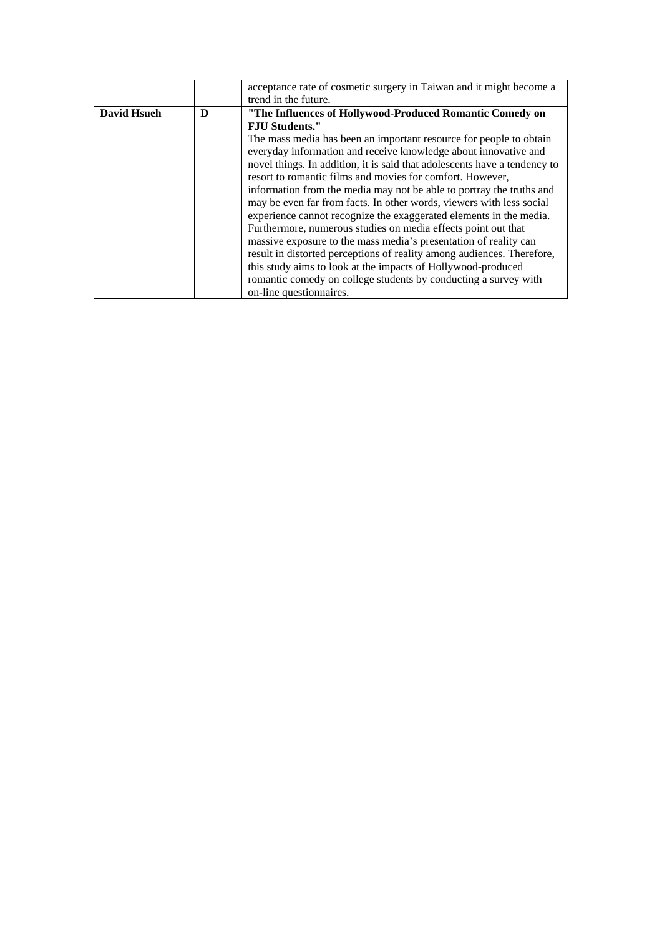|                    |   | acceptance rate of cosmetic surgery in Taiwan and it might become a       |  |
|--------------------|---|---------------------------------------------------------------------------|--|
|                    |   | trend in the future.                                                      |  |
| <b>David Hsueh</b> | D | "The Influences of Hollywood-Produced Romantic Comedy on                  |  |
|                    |   | <b>F.IU Students."</b>                                                    |  |
|                    |   | The mass media has been an important resource for people to obtain        |  |
|                    |   | everyday information and receive knowledge about innovative and           |  |
|                    |   | novel things. In addition, it is said that adolescents have a tendency to |  |
|                    |   | resort to romantic films and movies for comfort. However,                 |  |
|                    |   | information from the media may not be able to portray the truths and      |  |
|                    |   | may be even far from facts. In other words, viewers with less social      |  |
|                    |   | experience cannot recognize the exaggerated elements in the media.        |  |
|                    |   | Furthermore, numerous studies on media effects point out that             |  |
|                    |   | massive exposure to the mass media's presentation of reality can          |  |
|                    |   | result in distorted perceptions of reality among audiences. Therefore,    |  |
|                    |   | this study aims to look at the impacts of Hollywood-produced              |  |
|                    |   | romantic comedy on college students by conducting a survey with           |  |
|                    |   | on-line questionnaires.                                                   |  |